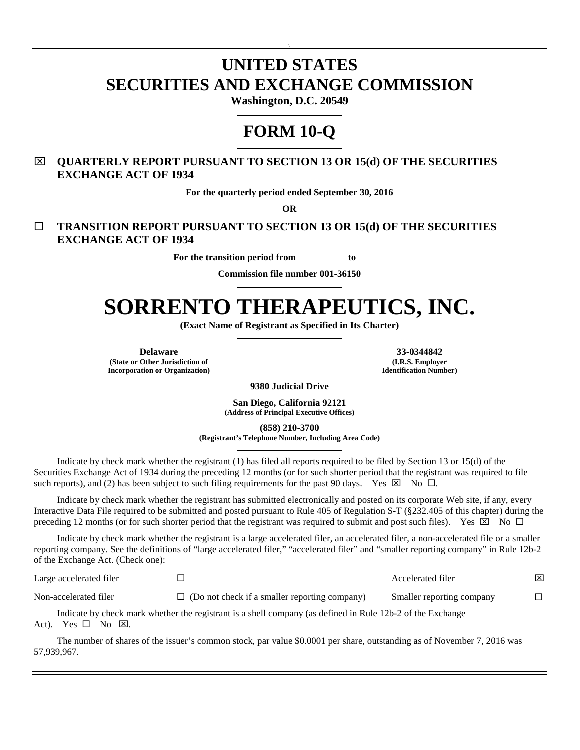# **UNITED STATES SECURITIES AND EXCHANGE COMMISSION**

 $\ddot{\phantom{1}}$ 

**Washington, D.C. 20549** 

## **FORM 10-Q**

## **QUARTERLY REPORT PURSUANT TO SECTION 13 OR 15(d) OF THE SECURITIES EXCHANGE ACT OF 1934**

**For the quarterly period ended September 30, 2016** 

**OR** 

 **TRANSITION REPORT PURSUANT TO SECTION 13 OR 15(d) OF THE SECURITIES EXCHANGE ACT OF 1934** 

For the transition period from \_\_\_\_\_\_\_\_\_ to \_

**Commission file number 001-36150**

# **SORRENTO THERAPEUTICS, INC.**

**(Exact Name of Registrant as Specified in Its Charter)** 

**Delaware 33-0344842 (State or Other Jurisdiction of Incorporation or Organization)**

**(I.R.S. Employer Identification Number)**

**9380 Judicial Drive** 

**San Diego, California 92121 (Address of Principal Executive Offices)** 

**(858) 210-3700 (Registrant's Telephone Number, Including Area Code)** 

Indicate by check mark whether the registrant (1) has filed all reports required to be filed by Section 13 or 15(d) of the Securities Exchange Act of 1934 during the preceding 12 months (or for such shorter period that the registrant was required to file such reports), and (2) has been subject to such filing requirements for the past 90 days. Yes  $\boxtimes$  No  $\Box$ .

Indicate by check mark whether the registrant has submitted electronically and posted on its corporate Web site, if any, every Interactive Data File required to be submitted and posted pursuant to Rule 405 of Regulation S-T (§232.405 of this chapter) during the preceding 12 months (or for such shorter period that the registrant was required to submit and post such files). Yes  $\boxtimes$  No  $\square$ 

Indicate by check mark whether the registrant is a large accelerated filer, an accelerated filer, a non-accelerated file or a smaller reporting company. See the definitions of "large accelerated filer," "accelerated filer" and "smaller reporting company" in Rule 12b-2 of the Exchange Act. (Check one):

| Large accelerated filer |                                                                                                            | Accelerated filer         | ⊠ |
|-------------------------|------------------------------------------------------------------------------------------------------------|---------------------------|---|
| Non-accelerated filer   | $\Box$ (Do not check if a smaller reporting company)                                                       | Smaller reporting company |   |
|                         | Indicate by check mark whether the registrant is a shell company (as defined in Rule 12b-2 of the Exchange |                           |   |

Act). Yes  $\square$  No  $\square$ .

The number of shares of the issuer's common stock, par value \$0.0001 per share, outstanding as of November 7, 2016 was 57,939,967.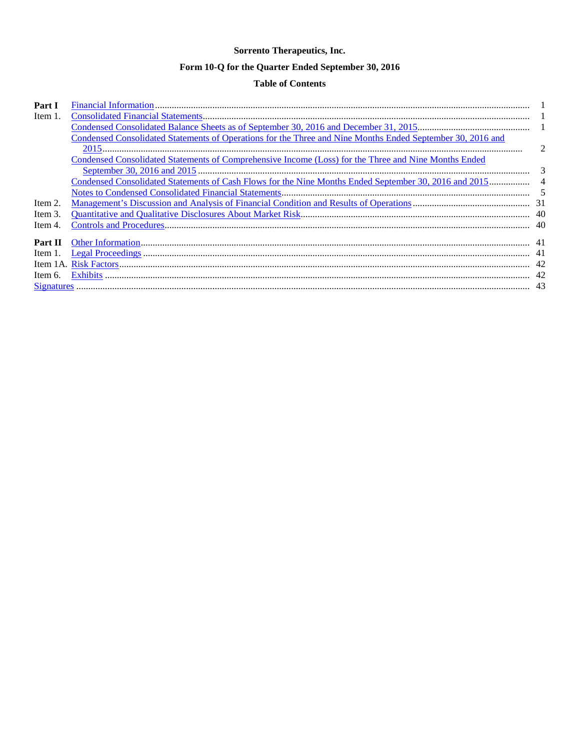## Sorrento Therapeutics, Inc.

## Form 10-Q for the Quarter Ended September 30, 2016

## **Table of Contents**

| Part I     |                                                                                                            |                |
|------------|------------------------------------------------------------------------------------------------------------|----------------|
| Item 1.    |                                                                                                            |                |
|            |                                                                                                            |                |
|            | Condensed Consolidated Statements of Operations for the Three and Nine Months Ended September 30, 2016 and |                |
|            |                                                                                                            |                |
|            | Condensed Consolidated Statements of Comprehensive Income (Loss) for the Three and Nine Months Ended       |                |
|            |                                                                                                            | $\mathcal{E}$  |
|            | Condensed Consolidated Statements of Cash Flows for the Nine Months Ended September 30, 2016 and 2015      | $\overline{4}$ |
|            |                                                                                                            |                |
| Item 2.    |                                                                                                            |                |
| Item 3.    |                                                                                                            |                |
| Item 4.    |                                                                                                            |                |
|            |                                                                                                            |                |
| Part II    |                                                                                                            |                |
| Item $1$ . |                                                                                                            |                |
| Item 1A.   |                                                                                                            |                |
| Item 6.    |                                                                                                            | 42             |
|            |                                                                                                            |                |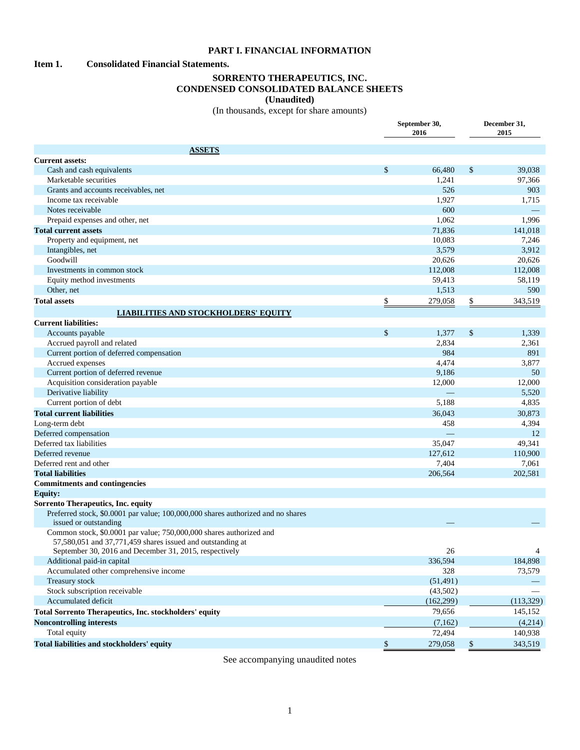#### <span id="page-2-0"></span>**PART I. FINANCIAL INFORMATION**

## <span id="page-2-1"></span>**Item 1. Consolidated Financial Statements.**

## <span id="page-2-2"></span>**SORRENTO THERAPEUTICS, INC. CONDENSED CONSOLIDATED BALANCE SHEETS (Unaudited)**

(In thousands, except for share amounts)

|                                                                                                                                   | September 30,<br>2016 | December 31,<br>2015 |
|-----------------------------------------------------------------------------------------------------------------------------------|-----------------------|----------------------|
| <b>ASSETS</b>                                                                                                                     |                       |                      |
| <b>Current assets:</b>                                                                                                            |                       |                      |
| Cash and cash equivalents                                                                                                         | \$<br>66,480          | \$<br>39,038         |
| Marketable securities                                                                                                             | 1,241                 | 97,366               |
| Grants and accounts receivables, net                                                                                              | 526                   | 903                  |
| Income tax receivable                                                                                                             | 1,927                 | 1,715                |
| Notes receivable                                                                                                                  | 600                   |                      |
| Prepaid expenses and other, net                                                                                                   | 1,062                 | 1,996                |
| <b>Total current assets</b>                                                                                                       | 71,836                | 141,018              |
| Property and equipment, net                                                                                                       | 10.083                | 7,246                |
| Intangibles, net                                                                                                                  | 3,579                 | 3,912                |
| Goodwill                                                                                                                          | 20,626                | 20,626               |
| Investments in common stock                                                                                                       | 112,008               | 112,008              |
| Equity method investments                                                                                                         | 59,413                | 58,119               |
| Other, net                                                                                                                        | 1,513                 | 590                  |
| <b>Total assets</b>                                                                                                               | \$<br>279,058         | \$<br>343,519        |
| <b>LIABILITIES AND STOCKHOLDERS' EQUITY</b>                                                                                       |                       |                      |
|                                                                                                                                   |                       |                      |
| <b>Current liabilities:</b>                                                                                                       |                       |                      |
| Accounts payable                                                                                                                  | \$<br>1,377           | \$<br>1,339          |
| Accrued payroll and related                                                                                                       | 2,834                 | 2,361                |
| Current portion of deferred compensation                                                                                          | 984                   | 891                  |
| Accrued expenses                                                                                                                  | 4,474                 | 3,877                |
| Current portion of deferred revenue                                                                                               | 9,186                 | 50                   |
| Acquisition consideration payable                                                                                                 | 12,000                | 12,000               |
| Derivative liability                                                                                                              |                       | 5,520                |
| Current portion of debt                                                                                                           | 5,188                 | 4,835                |
| <b>Total current liabilities</b>                                                                                                  | 36,043                | 30,873               |
| Long-term debt                                                                                                                    | 458                   | 4,394                |
| Deferred compensation                                                                                                             |                       | 12                   |
| Deferred tax liabilities                                                                                                          | 35,047                | 49,341               |
| Deferred revenue                                                                                                                  | 127,612               | 110,900              |
| Deferred rent and other                                                                                                           | 7,404                 | 7,061                |
| <b>Total liabilities</b>                                                                                                          | 206,564               | 202,581              |
| <b>Commitments and contingencies</b>                                                                                              |                       |                      |
| <b>Equity:</b>                                                                                                                    |                       |                      |
| Sorrento Therapeutics, Inc. equity                                                                                                |                       |                      |
| Preferred stock, \$0.0001 par value; 100,000,000 shares authorized and no shares<br>issued or outstanding                         |                       |                      |
| Common stock, \$0.0001 par value; 750,000,000 shares authorized and<br>57,580,051 and 37,771,459 shares issued and outstanding at | 26                    | $\overline{4}$       |
| September 30, 2016 and December 31, 2015, respectively                                                                            |                       |                      |
| Additional paid-in capital                                                                                                        | 336,594               | 184,898              |
| Accumulated other comprehensive income                                                                                            | 328                   | 73,579               |
| Treasury stock                                                                                                                    | (51, 491)             |                      |
| Stock subscription receivable                                                                                                     | (43,502)              |                      |
| Accumulated deficit                                                                                                               | (162, 299)            | (113, 329)           |
| <b>Total Sorrento Therapeutics, Inc. stockholders' equity</b>                                                                     | 79,656                | 145,152              |
| <b>Noncontrolling interests</b>                                                                                                   | (7,162)               | (4,214)              |
| Total equity                                                                                                                      | 72,494                | 140,938              |
| Total liabilities and stockholders' equity                                                                                        | \$<br>279,058         | \$<br>343,519        |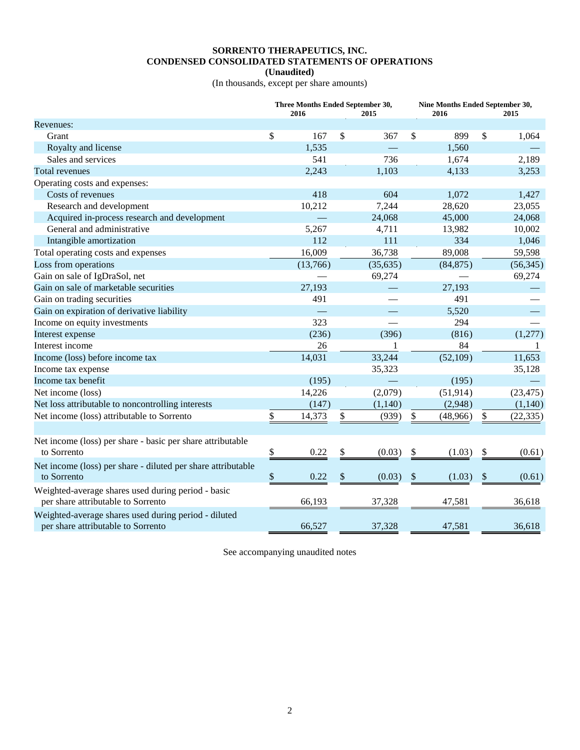## **SORRENTO THERAPEUTICS, INC. CONDENSED CONSOLIDATED STATEMENTS OF OPERATIONS**

<span id="page-3-0"></span>**(Unaudited)**

(In thousands, except per share amounts)

|                                                                                            |              | Three Months Ended September 30,<br>2016 | 2015         | Nine Months Ended September 30,<br>2016 | 2015            |
|--------------------------------------------------------------------------------------------|--------------|------------------------------------------|--------------|-----------------------------------------|-----------------|
| Revenues:                                                                                  |              |                                          |              |                                         |                 |
| Grant                                                                                      | \$           | 167                                      | \$<br>367    | \$<br>899                               | \$<br>1,064     |
| Royalty and license                                                                        |              | 1,535                                    |              | 1,560                                   |                 |
| Sales and services                                                                         |              | 541                                      | 736          | 1,674                                   | 2,189           |
| Total revenues                                                                             |              | 2,243                                    | 1,103        | 4,133                                   | 3,253           |
| Operating costs and expenses:                                                              |              |                                          |              |                                         |                 |
| Costs of revenues                                                                          |              | 418                                      | 604          | 1,072                                   | 1,427           |
| Research and development                                                                   |              | 10,212                                   | 7,244        | 28,620                                  | 23,055          |
| Acquired in-process research and development                                               |              |                                          | 24,068       | 45,000                                  | 24,068          |
| General and administrative                                                                 |              | 5,267                                    | 4,711        | 13,982                                  | 10,002          |
| Intangible amortization                                                                    |              | 112                                      | 111          | 334                                     | 1,046           |
| Total operating costs and expenses                                                         |              | 16,009                                   | 36,738       | 89,008                                  | 59,598          |
| Loss from operations                                                                       |              | (13,766)                                 | (35, 635)    | (84, 875)                               | (56, 345)       |
| Gain on sale of IgDraSol, net                                                              |              |                                          | 69,274       |                                         | 69,274          |
| Gain on sale of marketable securities                                                      |              | 27,193                                   |              | 27,193                                  |                 |
| Gain on trading securities                                                                 |              | 491                                      |              | 491                                     |                 |
| Gain on expiration of derivative liability                                                 |              |                                          |              | 5,520                                   |                 |
| Income on equity investments                                                               |              | 323                                      |              | 294                                     |                 |
| Interest expense                                                                           |              | (236)                                    | (396)        | (816)                                   | (1,277)         |
| Interest income                                                                            |              | 26                                       | 1            | 84                                      | -1              |
| Income (loss) before income tax                                                            |              | 14,031                                   | 33,244       | (52, 109)                               | 11,653          |
| Income tax expense                                                                         |              |                                          | 35,323       |                                         | 35,128          |
| Income tax benefit                                                                         |              | (195)                                    |              | (195)                                   |                 |
| Net income (loss)                                                                          |              | 14,226                                   | (2,079)      | (51, 914)                               | (23, 475)       |
| Net loss attributable to noncontrolling interests                                          |              | (147)                                    | (1,140)      | (2,948)                                 | (1,140)         |
| Net income (loss) attributable to Sorrento                                                 | \$           | 14,373                                   | \$<br>(939)  | \$<br>(48,966)                          | \$<br>(22, 335) |
|                                                                                            |              |                                          |              |                                         |                 |
| Net income (loss) per share - basic per share attributable                                 |              |                                          |              |                                         |                 |
| to Sorrento                                                                                | \$           | 0.22                                     | \$<br>(0.03) | \$<br>(1.03)                            | \$<br>(0.61)    |
| Net income (loss) per share - diluted per share attributable<br>to Sorrento                | $\mathbb{S}$ | 0.22                                     | \$<br>(0.03) | \$<br>(1.03)                            | \$<br>(0.61)    |
| Weighted-average shares used during period - basic<br>per share attributable to Sorrento   |              | 66,193                                   | 37,328       | 47,581                                  | 36,618          |
| Weighted-average shares used during period - diluted<br>per share attributable to Sorrento |              | 66,527                                   | 37,328       | 47,581                                  | 36,618          |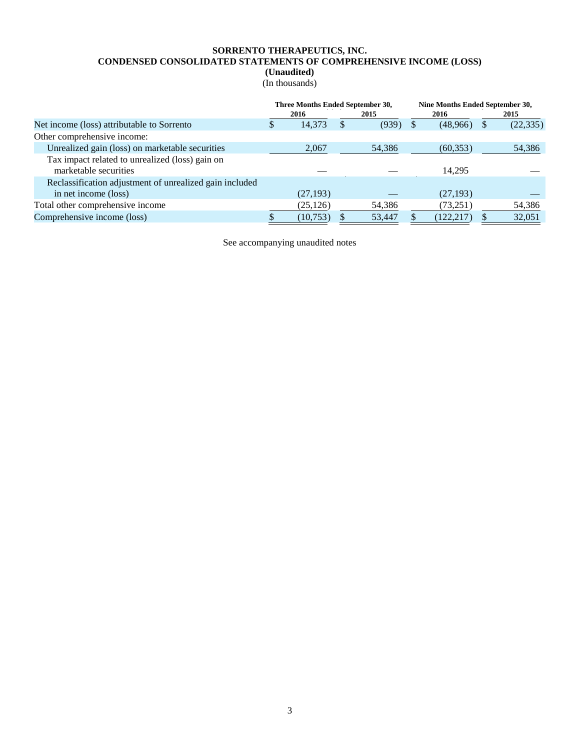## **SORRENTO THERAPEUTICS, INC. CONDENSED CONSOLIDATED STATEMENTS OF COMPREHENSIVE INCOME (LOSS)**

<span id="page-4-0"></span>**(Unaudited)**

(In thousands)

|   |           |        | Nine Months Ended September 30,  |            |  |           |
|---|-----------|--------|----------------------------------|------------|--|-----------|
|   | 2016      | 2015   |                                  | 2016       |  | 2015      |
| S | 14,373    | (939)  |                                  | (48,966)   |  | (22, 335) |
|   |           |        |                                  |            |  |           |
|   | 2,067     | 54,386 |                                  | (60, 353)  |  | 54,386    |
|   |           |        |                                  |            |  |           |
|   |           |        |                                  | 14,295     |  |           |
|   |           |        |                                  |            |  |           |
|   | (27, 193) |        |                                  | (27, 193)  |  |           |
|   | (25, 126) | 54,386 |                                  | (73,251)   |  | 54,386    |
|   | (10, 753) | 53,447 |                                  | (122, 217) |  | 32,051    |
|   |           |        | Three Months Ended September 30, |            |  |           |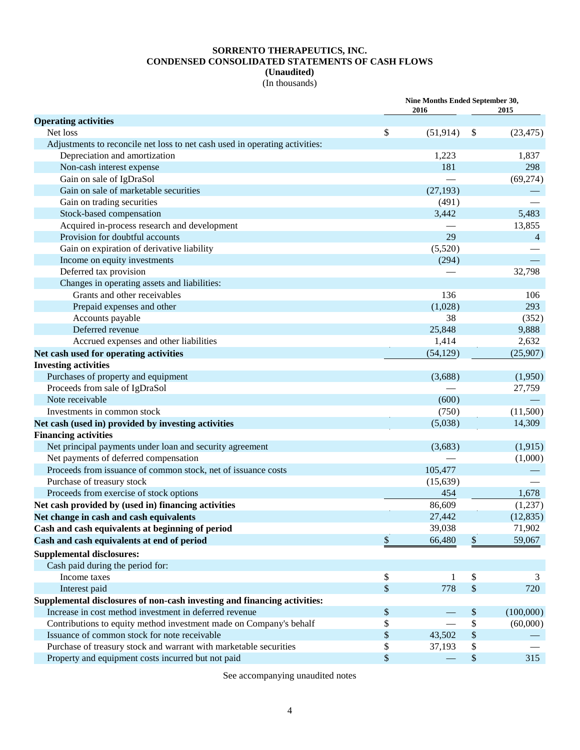## **SORRENTO THERAPEUTICS, INC. CONDENSED CONSOLIDATED STATEMENTS OF CASH FLOWS (Unaudited)**

<span id="page-5-0"></span>(In thousands)

|                                                                                                              | Nine Months Ended September 30, |                           |                |  |  |
|--------------------------------------------------------------------------------------------------------------|---------------------------------|---------------------------|----------------|--|--|
|                                                                                                              | 2016                            |                           | 2015           |  |  |
| <b>Operating activities</b><br>Net loss                                                                      | \$                              |                           |                |  |  |
|                                                                                                              | (51, 914)                       | \$                        | (23, 475)      |  |  |
| Adjustments to reconcile net loss to net cash used in operating activities:<br>Depreciation and amortization | 1,223                           |                           | 1,837          |  |  |
| Non-cash interest expense                                                                                    | 181                             |                           | 298            |  |  |
| Gain on sale of IgDraSol                                                                                     |                                 |                           | (69,274)       |  |  |
| Gain on sale of marketable securities                                                                        | (27, 193)                       |                           |                |  |  |
| Gain on trading securities                                                                                   | (491)                           |                           |                |  |  |
| Stock-based compensation                                                                                     | 3,442                           |                           | 5,483          |  |  |
| Acquired in-process research and development                                                                 |                                 |                           | 13,855         |  |  |
| Provision for doubtful accounts                                                                              | 29                              |                           | $\overline{4}$ |  |  |
| Gain on expiration of derivative liability                                                                   | (5,520)                         |                           |                |  |  |
| Income on equity investments                                                                                 | (294)                           |                           |                |  |  |
| Deferred tax provision                                                                                       |                                 |                           | 32,798         |  |  |
| Changes in operating assets and liabilities:                                                                 |                                 |                           |                |  |  |
| Grants and other receivables                                                                                 | 136                             |                           | 106            |  |  |
| Prepaid expenses and other                                                                                   | (1,028)                         |                           | 293            |  |  |
| Accounts payable                                                                                             | 38                              |                           | (352)          |  |  |
| Deferred revenue                                                                                             | 25,848                          |                           | 9,888          |  |  |
| Accrued expenses and other liabilities                                                                       | 1,414                           |                           | 2,632          |  |  |
| Net cash used for operating activities                                                                       | (54, 129)                       |                           | (25,907)       |  |  |
| <b>Investing activities</b>                                                                                  |                                 |                           |                |  |  |
| Purchases of property and equipment                                                                          | (3,688)                         |                           | (1,950)        |  |  |
| Proceeds from sale of IgDraSol                                                                               |                                 |                           | 27,759         |  |  |
| Note receivable                                                                                              | (600)                           |                           |                |  |  |
| Investments in common stock                                                                                  | (750)                           |                           | (11,500)       |  |  |
| Net cash (used in) provided by investing activities                                                          | (5,038)                         |                           | 14,309         |  |  |
| <b>Financing activities</b>                                                                                  |                                 |                           |                |  |  |
| Net principal payments under loan and security agreement                                                     | (3,683)                         |                           | (1, 915)       |  |  |
| Net payments of deferred compensation                                                                        |                                 |                           | (1,000)        |  |  |
| Proceeds from issuance of common stock, net of issuance costs                                                | 105,477                         |                           |                |  |  |
| Purchase of treasury stock                                                                                   | (15, 639)                       |                           |                |  |  |
| Proceeds from exercise of stock options                                                                      | 454                             |                           | 1,678          |  |  |
| Net cash provided by (used in) financing activities                                                          | 86,609                          |                           | (1,237)        |  |  |
| Net change in cash and cash equivalents                                                                      | 27,442                          |                           | (12, 835)      |  |  |
| Cash and cash equivalents at beginning of period                                                             | 39,038                          |                           | 71,902         |  |  |
| Cash and cash equivalents at end of period                                                                   | \$<br>66,480                    | $\boldsymbol{\mathsf{S}}$ | 59,067         |  |  |
| <b>Supplemental disclosures:</b>                                                                             |                                 |                           |                |  |  |
| Cash paid during the period for:                                                                             |                                 |                           |                |  |  |
| Income taxes                                                                                                 | \$<br>1                         | \$                        | 3              |  |  |
| Interest paid                                                                                                | \$<br>778                       | $\$$                      | 720            |  |  |
| Supplemental disclosures of non-cash investing and financing activities:                                     |                                 |                           |                |  |  |
| Increase in cost method investment in deferred revenue                                                       | \$                              | $\boldsymbol{\mathsf{S}}$ | (100,000)      |  |  |
| Contributions to equity method investment made on Company's behalf                                           | \$                              | \$                        | (60,000)       |  |  |
| Issuance of common stock for note receivable                                                                 | \$<br>43,502                    | $\$\,$                    |                |  |  |
| Purchase of treasury stock and warrant with marketable securities                                            | \$<br>37,193                    | \$                        |                |  |  |
| Property and equipment costs incurred but not paid                                                           | \$                              | $\$\,$                    | 315            |  |  |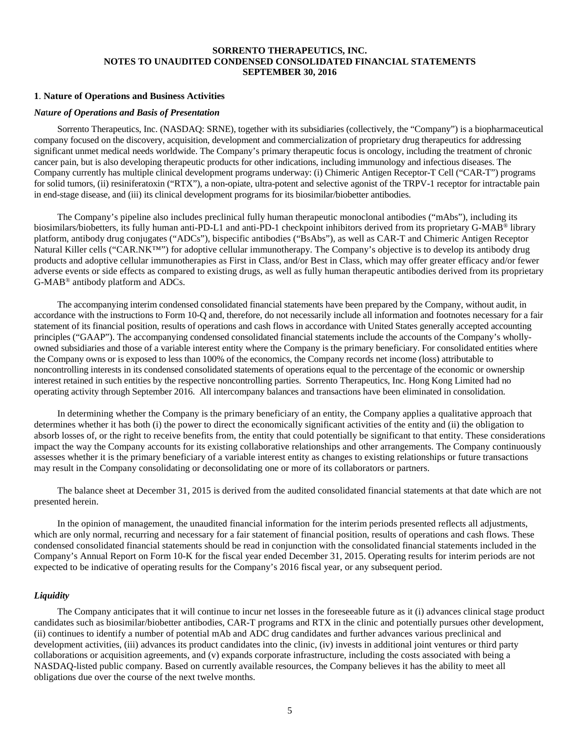#### <span id="page-6-0"></span>**SORRENTO THERAPEUTICS, INC. NOTES TO UNAUDITED CONDENSED CONSOLIDATED FINANCIAL STATEMENTS SEPTEMBER 30, 2016**

## **1**. **Nature of Operations and Business Activities**

#### *Na*t*ure of Operations and Basis of Presentation*

Sorrento Therapeutics, Inc. (NASDAQ: SRNE), together with its subsidiaries (collectively, the "Company") is a biopharmaceutical company focused on the discovery, acquisition, development and commercialization of proprietary drug therapeutics for addressing significant unmet medical needs worldwide. The Company's primary therapeutic focus is oncology, including the treatment of chronic cancer pain, but is also developing therapeutic products for other indications, including immunology and infectious diseases. The Company currently has multiple clinical development programs underway: (i) Chimeric Antigen Receptor-T Cell ("CAR-T") programs for solid tumors, (ii) resiniferatoxin ("RTX"), a non-opiate, ultra-potent and selective agonist of the TRPV-1 receptor for intractable pain in end-stage disease, and (iii) its clinical development programs for its biosimilar/biobetter antibodies.

The Company's pipeline also includes preclinical fully human therapeutic monoclonal antibodies ("mAbs"), including its biosimilars/biobetters, its fully human anti-PD-L1 and anti-PD-1 checkpoint inhibitors derived from its proprietary G-MAB® library platform, antibody drug conjugates ("ADCs"), bispecific antibodies ("BsAbs"), as well as CAR-T and Chimeric Antigen Receptor Natural Killer cells ("CAR.NK™") for adoptive cellular immunotherapy. The Company's objective is to develop its antibody drug products and adoptive cellular immunotherapies as First in Class, and/or Best in Class, which may offer greater efficacy and/or fewer adverse events or side effects as compared to existing drugs, as well as fully human therapeutic antibodies derived from its proprietary G-MAB® antibody platform and ADCs.

The accompanying interim condensed consolidated financial statements have been prepared by the Company, without audit, in accordance with the instructions to Form 10-Q and, therefore, do not necessarily include all information and footnotes necessary for a fair statement of its financial position, results of operations and cash flows in accordance with United States generally accepted accounting principles ("GAAP"). The accompanying condensed consolidated financial statements include the accounts of the Company's whollyowned subsidiaries and those of a variable interest entity where the Company is the primary beneficiary. For consolidated entities where the Company owns or is exposed to less than 100% of the economics, the Company records net income (loss) attributable to noncontrolling interests in its condensed consolidated statements of operations equal to the percentage of the economic or ownership interest retained in such entities by the respective noncontrolling parties. Sorrento Therapeutics, Inc. Hong Kong Limited had no operating activity through September 2016. All intercompany balances and transactions have been eliminated in consolidation.

In determining whether the Company is the primary beneficiary of an entity, the Company applies a qualitative approach that determines whether it has both (i) the power to direct the economically significant activities of the entity and (ii) the obligation to absorb losses of, or the right to receive benefits from, the entity that could potentially be significant to that entity. These considerations impact the way the Company accounts for its existing collaborative relationships and other arrangements. The Company continuously assesses whether it is the primary beneficiary of a variable interest entity as changes to existing relationships or future transactions may result in the Company consolidating or deconsolidating one or more of its collaborators or partners.

The balance sheet at December 31, 2015 is derived from the audited consolidated financial statements at that date which are not presented herein.

In the opinion of management, the unaudited financial information for the interim periods presented reflects all adjustments, which are only normal, recurring and necessary for a fair statement of financial position, results of operations and cash flows. These condensed consolidated financial statements should be read in conjunction with the consolidated financial statements included in the Company's Annual Report on Form 10-K for the fiscal year ended December 31, 2015. Operating results for interim periods are not expected to be indicative of operating results for the Company's 2016 fiscal year, or any subsequent period.

#### *Liquidity*

The Company anticipates that it will continue to incur net losses in the foreseeable future as it (i) advances clinical stage product candidates such as biosimilar/biobetter antibodies, CAR-T programs and RTX in the clinic and potentially pursues other development, (ii) continues to identify a number of potential mAb and ADC drug candidates and further advances various preclinical and development activities, (iii) advances its product candidates into the clinic, (iv) invests in additional joint ventures or third party collaborations or acquisition agreements, and (v) expands corporate infrastructure, including the costs associated with being a NASDAQ-listed public company. Based on currently available resources, the Company believes it has the ability to meet all obligations due over the course of the next twelve months.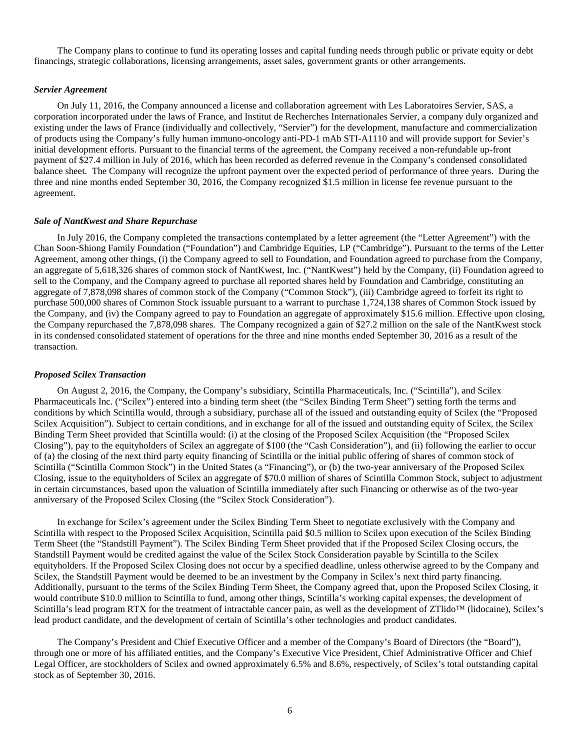The Company plans to continue to fund its operating losses and capital funding needs through public or private equity or debt financings, strategic collaborations, licensing arrangements, asset sales, government grants or other arrangements.

#### *Servier Agreement*

On July 11, 2016, the Company announced a license and collaboration agreement with Les Laboratoires Servier, SAS, a corporation incorporated under the laws of France, and Institut de Recherches Internationales Servier, a company duly organized and existing under the laws of France (individually and collectively, "Servier") for the development, manufacture and commercialization of products using the Company's fully human immuno-oncology anti-PD-1 mAb STI-A1110 and will provide support for Sevier's initial development efforts. Pursuant to the financial terms of the agreement, the Company received a non-refundable up-front payment of \$27.4 million in July of 2016, which has been recorded as deferred revenue in the Company's condensed consolidated balance sheet. The Company will recognize the upfront payment over the expected period of performance of three years. During the three and nine months ended September 30, 2016, the Company recognized \$1.5 million in license fee revenue pursuant to the agreement.

#### *Sale of NantKwest and Share Repurchase*

In July 2016, the Company completed the transactions contemplated by a letter agreement (the "Letter Agreement") with the Chan Soon-Shiong Family Foundation ("Foundation") and Cambridge Equities, LP ("Cambridge"). Pursuant to the terms of the Letter Agreement, among other things, (i) the Company agreed to sell to Foundation, and Foundation agreed to purchase from the Company, an aggregate of 5,618,326 shares of common stock of NantKwest, Inc. ("NantKwest") held by the Company, (ii) Foundation agreed to sell to the Company, and the Company agreed to purchase all reported shares held by Foundation and Cambridge, constituting an aggregate of 7,878,098 shares of common stock of the Company ("Common Stock"), (iii) Cambridge agreed to forfeit its right to purchase 500,000 shares of Common Stock issuable pursuant to a warrant to purchase 1,724,138 shares of Common Stock issued by the Company, and (iv) the Company agreed to pay to Foundation an aggregate of approximately \$15.6 million. Effective upon closing, the Company repurchased the 7,878,098 shares. The Company recognized a gain of \$27.2 million on the sale of the NantKwest stock in its condensed consolidated statement of operations for the three and nine months ended September 30, 2016 as a result of the transaction.

#### *Proposed Scilex Transaction*

On August 2, 2016, the Company, the Company's subsidiary, Scintilla Pharmaceuticals, Inc. ("Scintilla"), and Scilex Pharmaceuticals Inc. ("Scilex") entered into a binding term sheet (the "Scilex Binding Term Sheet") setting forth the terms and conditions by which Scintilla would, through a subsidiary, purchase all of the issued and outstanding equity of Scilex (the "Proposed Scilex Acquisition"). Subject to certain conditions, and in exchange for all of the issued and outstanding equity of Scilex, the Scilex Binding Term Sheet provided that Scintilla would: (i) at the closing of the Proposed Scilex Acquisition (the "Proposed Scilex Closing"), pay to the equityholders of Scilex an aggregate of \$100 (the "Cash Consideration"), and (ii) following the earlier to occur of (a) the closing of the next third party equity financing of Scintilla or the initial public offering of shares of common stock of Scintilla ("Scintilla Common Stock") in the United States (a "Financing"), or (b) the two-year anniversary of the Proposed Scilex Closing, issue to the equityholders of Scilex an aggregate of \$70.0 million of shares of Scintilla Common Stock, subject to adjustment in certain circumstances, based upon the valuation of Scintilla immediately after such Financing or otherwise as of the two-year anniversary of the Proposed Scilex Closing (the "Scilex Stock Consideration").

In exchange for Scilex's agreement under the Scilex Binding Term Sheet to negotiate exclusively with the Company and Scintilla with respect to the Proposed Scilex Acquisition, Scintilla paid \$0.5 million to Scilex upon execution of the Scilex Binding Term Sheet (the "Standstill Payment"). The Scilex Binding Term Sheet provided that if the Proposed Scilex Closing occurs, the Standstill Payment would be credited against the value of the Scilex Stock Consideration payable by Scintilla to the Scilex equityholders. If the Proposed Scilex Closing does not occur by a specified deadline, unless otherwise agreed to by the Company and Scilex, the Standstill Payment would be deemed to be an investment by the Company in Scilex's next third party financing. Additionally, pursuant to the terms of the Scilex Binding Term Sheet, the Company agreed that, upon the Proposed Scilex Closing, it would contribute \$10.0 million to Scintilla to fund, among other things, Scintilla's working capital expenses, the development of Scintilla's lead program RTX for the treatment of intractable cancer pain, as well as the development of ZTlido™ (lidocaine), Scilex's lead product candidate, and the development of certain of Scintilla's other technologies and product candidates.

The Company's President and Chief Executive Officer and a member of the Company's Board of Directors (the "Board"), through one or more of his affiliated entities, and the Company's Executive Vice President, Chief Administrative Officer and Chief Legal Officer, are stockholders of Scilex and owned approximately 6.5% and 8.6%, respectively, of Scilex's total outstanding capital stock as of September 30, 2016.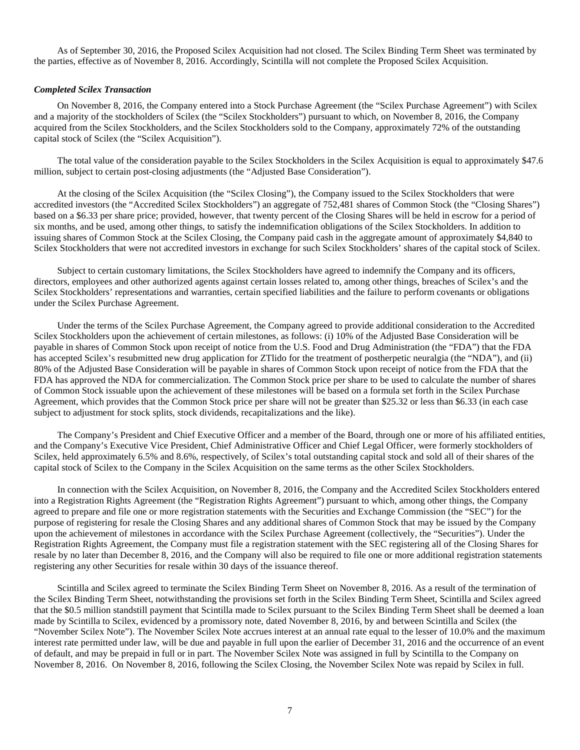As of September 30, 2016, the Proposed Scilex Acquisition had not closed. The Scilex Binding Term Sheet was terminated by the parties, effective as of November 8, 2016. Accordingly, Scintilla will not complete the Proposed Scilex Acquisition.

#### *Completed Scilex Transaction*

On November 8, 2016, the Company entered into a Stock Purchase Agreement (the "Scilex Purchase Agreement") with Scilex and a majority of the stockholders of Scilex (the "Scilex Stockholders") pursuant to which, on November 8, 2016, the Company acquired from the Scilex Stockholders, and the Scilex Stockholders sold to the Company, approximately 72% of the outstanding capital stock of Scilex (the "Scilex Acquisition").

The total value of the consideration payable to the Scilex Stockholders in the Scilex Acquisition is equal to approximately \$47.6 million, subject to certain post-closing adjustments (the "Adjusted Base Consideration").

At the closing of the Scilex Acquisition (the "Scilex Closing"), the Company issued to the Scilex Stockholders that were accredited investors (the "Accredited Scilex Stockholders") an aggregate of 752,481 shares of Common Stock (the "Closing Shares") based on a \$6.33 per share price; provided, however, that twenty percent of the Closing Shares will be held in escrow for a period of six months, and be used, among other things, to satisfy the indemnification obligations of the Scilex Stockholders. In addition to issuing shares of Common Stock at the Scilex Closing, the Company paid cash in the aggregate amount of approximately \$4,840 to Scilex Stockholders that were not accredited investors in exchange for such Scilex Stockholders' shares of the capital stock of Scilex.

Subject to certain customary limitations, the Scilex Stockholders have agreed to indemnify the Company and its officers, directors, employees and other authorized agents against certain losses related to, among other things, breaches of Scilex's and the Scilex Stockholders' representations and warranties, certain specified liabilities and the failure to perform covenants or obligations under the Scilex Purchase Agreement.

Under the terms of the Scilex Purchase Agreement, the Company agreed to provide additional consideration to the Accredited Scilex Stockholders upon the achievement of certain milestones, as follows: (i) 10% of the Adjusted Base Consideration will be payable in shares of Common Stock upon receipt of notice from the U.S. Food and Drug Administration (the "FDA") that the FDA has accepted Scilex's resubmitted new drug application for ZTlido for the treatment of postherpetic neuralgia (the "NDA"), and (ii) 80% of the Adjusted Base Consideration will be payable in shares of Common Stock upon receipt of notice from the FDA that the FDA has approved the NDA for commercialization. The Common Stock price per share to be used to calculate the number of shares of Common Stock issuable upon the achievement of these milestones will be based on a formula set forth in the Scilex Purchase Agreement, which provides that the Common Stock price per share will not be greater than \$25.32 or less than \$6.33 (in each case subject to adjustment for stock splits, stock dividends, recapitalizations and the like).

The Company's President and Chief Executive Officer and a member of the Board, through one or more of his affiliated entities, and the Company's Executive Vice President, Chief Administrative Officer and Chief Legal Officer, were formerly stockholders of Scilex, held approximately 6.5% and 8.6%, respectively, of Scilex's total outstanding capital stock and sold all of their shares of the capital stock of Scilex to the Company in the Scilex Acquisition on the same terms as the other Scilex Stockholders.

In connection with the Scilex Acquisition, on November 8, 2016, the Company and the Accredited Scilex Stockholders entered into a Registration Rights Agreement (the "Registration Rights Agreement") pursuant to which, among other things, the Company agreed to prepare and file one or more registration statements with the Securities and Exchange Commission (the "SEC") for the purpose of registering for resale the Closing Shares and any additional shares of Common Stock that may be issued by the Company upon the achievement of milestones in accordance with the Scilex Purchase Agreement (collectively, the "Securities"). Under the Registration Rights Agreement, the Company must file a registration statement with the SEC registering all of the Closing Shares for resale by no later than December 8, 2016, and the Company will also be required to file one or more additional registration statements registering any other Securities for resale within 30 days of the issuance thereof.

Scintilla and Scilex agreed to terminate the Scilex Binding Term Sheet on November 8, 2016. As a result of the termination of the Scilex Binding Term Sheet, notwithstanding the provisions set forth in the Scilex Binding Term Sheet, Scintilla and Scilex agreed that the \$0.5 million standstill payment that Scintilla made to Scilex pursuant to the Scilex Binding Term Sheet shall be deemed a loan made by Scintilla to Scilex, evidenced by a promissory note, dated November 8, 2016, by and between Scintilla and Scilex (the "November Scilex Note"). The November Scilex Note accrues interest at an annual rate equal to the lesser of 10.0% and the maximum interest rate permitted under law, will be due and payable in full upon the earlier of December 31, 2016 and the occurrence of an event of default, and may be prepaid in full or in part. The November Scilex Note was assigned in full by Scintilla to the Company on November 8, 2016. On November 8, 2016, following the Scilex Closing, the November Scilex Note was repaid by Scilex in full.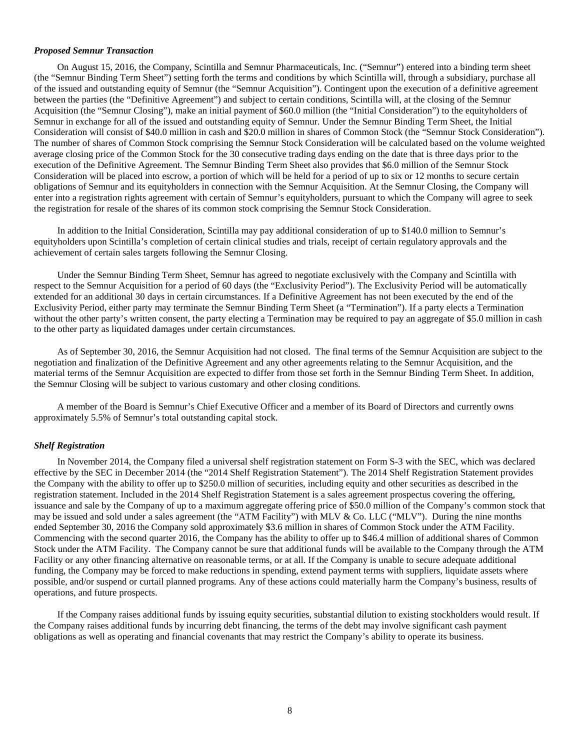#### *Proposed Semnur Transaction*

On August 15, 2016, the Company, Scintilla and Semnur Pharmaceuticals, Inc. ("Semnur") entered into a binding term sheet (the "Semnur Binding Term Sheet") setting forth the terms and conditions by which Scintilla will, through a subsidiary, purchase all of the issued and outstanding equity of Semnur (the "Semnur Acquisition"). Contingent upon the execution of a definitive agreement between the parties (the "Definitive Agreement") and subject to certain conditions, Scintilla will, at the closing of the Semnur Acquisition (the "Semnur Closing"), make an initial payment of \$60.0 million (the "Initial Consideration") to the equityholders of Semnur in exchange for all of the issued and outstanding equity of Semnur. Under the Semnur Binding Term Sheet, the Initial Consideration will consist of \$40.0 million in cash and \$20.0 million in shares of Common Stock (the "Semnur Stock Consideration"). The number of shares of Common Stock comprising the Semnur Stock Consideration will be calculated based on the volume weighted average closing price of the Common Stock for the 30 consecutive trading days ending on the date that is three days prior to the execution of the Definitive Agreement. The Semnur Binding Term Sheet also provides that \$6.0 million of the Semnur Stock Consideration will be placed into escrow, a portion of which will be held for a period of up to six or 12 months to secure certain obligations of Semnur and its equityholders in connection with the Semnur Acquisition. At the Semnur Closing, the Company will enter into a registration rights agreement with certain of Semnur's equityholders, pursuant to which the Company will agree to seek the registration for resale of the shares of its common stock comprising the Semnur Stock Consideration.

In addition to the Initial Consideration, Scintilla may pay additional consideration of up to \$140.0 million to Semnur's equityholders upon Scintilla's completion of certain clinical studies and trials, receipt of certain regulatory approvals and the achievement of certain sales targets following the Semnur Closing.

Under the Semnur Binding Term Sheet, Semnur has agreed to negotiate exclusively with the Company and Scintilla with respect to the Semnur Acquisition for a period of 60 days (the "Exclusivity Period"). The Exclusivity Period will be automatically extended for an additional 30 days in certain circumstances. If a Definitive Agreement has not been executed by the end of the Exclusivity Period, either party may terminate the Semnur Binding Term Sheet (a "Termination"). If a party elects a Termination without the other party's written consent, the party electing a Termination may be required to pay an aggregate of \$5.0 million in cash to the other party as liquidated damages under certain circumstances.

As of September 30, 2016, the Semnur Acquisition had not closed. The final terms of the Semnur Acquisition are subject to the negotiation and finalization of the Definitive Agreement and any other agreements relating to the Semnur Acquisition, and the material terms of the Semnur Acquisition are expected to differ from those set forth in the Semnur Binding Term Sheet. In addition, the Semnur Closing will be subject to various customary and other closing conditions.

A member of the Board is Semnur's Chief Executive Officer and a member of its Board of Directors and currently owns approximately 5.5% of Semnur's total outstanding capital stock.

#### *Shelf Registration*

In November 2014, the Company filed a universal shelf registration statement on Form S-3 with the SEC, which was declared effective by the SEC in December 2014 (the "2014 Shelf Registration Statement"). The 2014 Shelf Registration Statement provides the Company with the ability to offer up to \$250.0 million of securities, including equity and other securities as described in the registration statement. Included in the 2014 Shelf Registration Statement is a sales agreement prospectus covering the offering, issuance and sale by the Company of up to a maximum aggregate offering price of \$50.0 million of the Company's common stock that may be issued and sold under a sales agreement (the "ATM Facility") with MLV & Co. LLC ("MLV"). During the nine months ended September 30, 2016 the Company sold approximately \$3.6 million in shares of Common Stock under the ATM Facility. Commencing with the second quarter 2016, the Company has the ability to offer up to \$46.4 million of additional shares of Common Stock under the ATM Facility. The Company cannot be sure that additional funds will be available to the Company through the ATM Facility or any other financing alternative on reasonable terms, or at all. If the Company is unable to secure adequate additional funding, the Company may be forced to make reductions in spending, extend payment terms with suppliers, liquidate assets where possible, and/or suspend or curtail planned programs. Any of these actions could materially harm the Company's business, results of operations, and future prospects.

If the Company raises additional funds by issuing equity securities, substantial dilution to existing stockholders would result. If the Company raises additional funds by incurring debt financing, the terms of the debt may involve significant cash payment obligations as well as operating and financial covenants that may restrict the Company's ability to operate its business.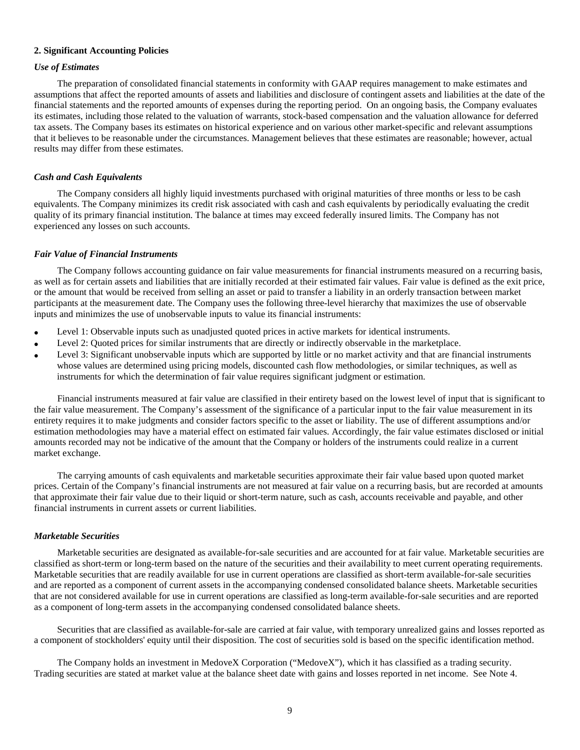#### **2. Significant Accounting Policies**

#### *Use of Estimates*

The preparation of consolidated financial statements in conformity with GAAP requires management to make estimates and assumptions that affect the reported amounts of assets and liabilities and disclosure of contingent assets and liabilities at the date of the financial statements and the reported amounts of expenses during the reporting period. On an ongoing basis, the Company evaluates its estimates, including those related to the valuation of warrants, stock-based compensation and the valuation allowance for deferred tax assets. The Company bases its estimates on historical experience and on various other market-specific and relevant assumptions that it believes to be reasonable under the circumstances. Management believes that these estimates are reasonable; however, actual results may differ from these estimates.

## *Cash and Cash Equivalents*

The Company considers all highly liquid investments purchased with original maturities of three months or less to be cash equivalents. The Company minimizes its credit risk associated with cash and cash equivalents by periodically evaluating the credit quality of its primary financial institution. The balance at times may exceed federally insured limits. The Company has not experienced any losses on such accounts.

#### *Fair Value of Financial Instruments*

The Company follows accounting guidance on fair value measurements for financial instruments measured on a recurring basis, as well as for certain assets and liabilities that are initially recorded at their estimated fair values. Fair value is defined as the exit price, or the amount that would be received from selling an asset or paid to transfer a liability in an orderly transaction between market participants at the measurement date. The Company uses the following three-level hierarchy that maximizes the use of observable inputs and minimizes the use of unobservable inputs to value its financial instruments:

- Level 1: Observable inputs such as unadjusted quoted prices in active markets for identical instruments.
- Level 2: Quoted prices for similar instruments that are directly or indirectly observable in the marketplace.
- Level 3: Significant unobservable inputs which are supported by little or no market activity and that are financial instruments whose values are determined using pricing models, discounted cash flow methodologies, or similar techniques, as well as instruments for which the determination of fair value requires significant judgment or estimation.

Financial instruments measured at fair value are classified in their entirety based on the lowest level of input that is significant to the fair value measurement. The Company's assessment of the significance of a particular input to the fair value measurement in its entirety requires it to make judgments and consider factors specific to the asset or liability. The use of different assumptions and/or estimation methodologies may have a material effect on estimated fair values. Accordingly, the fair value estimates disclosed or initial amounts recorded may not be indicative of the amount that the Company or holders of the instruments could realize in a current market exchange.

The carrying amounts of cash equivalents and marketable securities approximate their fair value based upon quoted market prices. Certain of the Company's financial instruments are not measured at fair value on a recurring basis, but are recorded at amounts that approximate their fair value due to their liquid or short-term nature, such as cash, accounts receivable and payable, and other financial instruments in current assets or current liabilities.

## *Marketable Securities*

Marketable securities are designated as available-for-sale securities and are accounted for at fair value. Marketable securities are classified as short-term or long-term based on the nature of the securities and their availability to meet current operating requirements. Marketable securities that are readily available for use in current operations are classified as short-term available-for-sale securities and are reported as a component of current assets in the accompanying condensed consolidated balance sheets. Marketable securities that are not considered available for use in current operations are classified as long-term available-for-sale securities and are reported as a component of long-term assets in the accompanying condensed consolidated balance sheets.

Securities that are classified as available-for-sale are carried at fair value, with temporary unrealized gains and losses reported as a component of stockholders' equity until their disposition. The cost of securities sold is based on the specific identification method.

The Company holds an investment in MedoveX Corporation ("MedoveX"), which it has classified as a trading security. Trading securities are stated at market value at the balance sheet date with gains and losses reported in net income. See Note 4.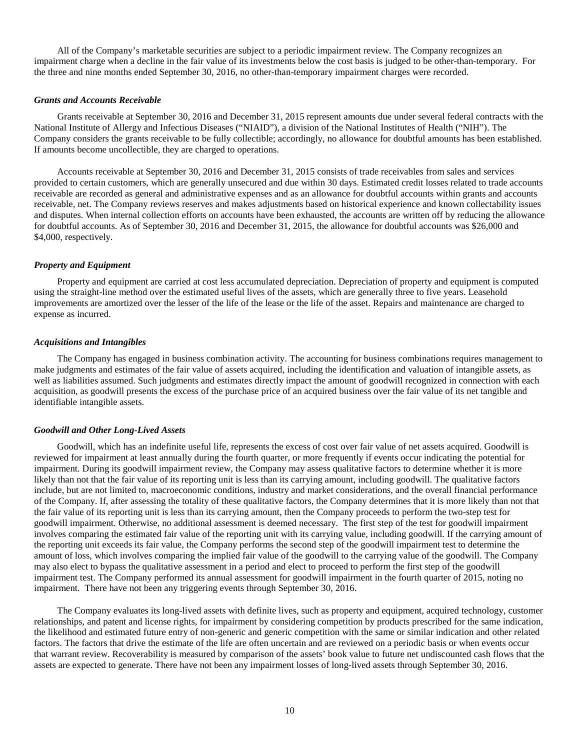All of the Company's marketable securities are subject to a periodic impairment review. The Company recognizes an impairment charge when a decline in the fair value of its investments below the cost basis is judged to be other-than-temporary. For the three and nine months ended September 30, 2016, no other-than-temporary impairment charges were recorded.

#### *Grants and Accounts Receivable*

Grants receivable at September 30, 2016 and December 31, 2015 represent amounts due under several federal contracts with the National Institute of Allergy and Infectious Diseases ("NIAID"), a division of the National Institutes of Health ("NIH"). The Company considers the grants receivable to be fully collectible; accordingly, no allowance for doubtful amounts has been established. If amounts become uncollectible, they are charged to operations.

Accounts receivable at September 30, 2016 and December 31, 2015 consists of trade receivables from sales and services provided to certain customers, which are generally unsecured and due within 30 days. Estimated credit losses related to trade accounts receivable are recorded as general and administrative expenses and as an allowance for doubtful accounts within grants and accounts receivable, net. The Company reviews reserves and makes adjustments based on historical experience and known collectability issues and disputes. When internal collection efforts on accounts have been exhausted, the accounts are written off by reducing the allowance for doubtful accounts. As of September 30, 2016 and December 31, 2015, the allowance for doubtful accounts was \$26,000 and \$4,000, respectively.

#### *Property and Equipment*

Property and equipment are carried at cost less accumulated depreciation. Depreciation of property and equipment is computed using the straight-line method over the estimated useful lives of the assets, which are generally three to five years. Leasehold improvements are amortized over the lesser of the life of the lease or the life of the asset. Repairs and maintenance are charged to expense as incurred.

#### *Acquisitions and Intangibles*

The Company has engaged in business combination activity. The accounting for business combinations requires management to make judgments and estimates of the fair value of assets acquired, including the identification and valuation of intangible assets, as well as liabilities assumed. Such judgments and estimates directly impact the amount of goodwill recognized in connection with each acquisition, as goodwill presents the excess of the purchase price of an acquired business over the fair value of its net tangible and identifiable intangible assets.

#### *Goodwill and Other Long-Lived Assets*

Goodwill, which has an indefinite useful life, represents the excess of cost over fair value of net assets acquired. Goodwill is reviewed for impairment at least annually during the fourth quarter, or more frequently if events occur indicating the potential for impairment. During its goodwill impairment review, the Company may assess qualitative factors to determine whether it is more likely than not that the fair value of its reporting unit is less than its carrying amount, including goodwill. The qualitative factors include, but are not limited to, macroeconomic conditions, industry and market considerations, and the overall financial performance of the Company. If, after assessing the totality of these qualitative factors, the Company determines that it is more likely than not that the fair value of its reporting unit is less than its carrying amount, then the Company proceeds to perform the two-step test for goodwill impairment. Otherwise, no additional assessment is deemed necessary. The first step of the test for goodwill impairment involves comparing the estimated fair value of the reporting unit with its carrying value, including goodwill. If the carrying amount of the reporting unit exceeds its fair value, the Company performs the second step of the goodwill impairment test to determine the amount of loss, which involves comparing the implied fair value of the goodwill to the carrying value of the goodwill. The Company may also elect to bypass the qualitative assessment in a period and elect to proceed to perform the first step of the goodwill impairment test. The Company performed its annual assessment for goodwill impairment in the fourth quarter of 2015, noting no impairment. There have not been any triggering events through September 30, 2016.

The Company evaluates its long-lived assets with definite lives, such as property and equipment, acquired technology, customer relationships, and patent and license rights, for impairment by considering competition by products prescribed for the same indication, the likelihood and estimated future entry of non-generic and generic competition with the same or similar indication and other related factors. The factors that drive the estimate of the life are often uncertain and are reviewed on a periodic basis or when events occur that warrant review. Recoverability is measured by comparison of the assets' book value to future net undiscounted cash flows that the assets are expected to generate. There have not been any impairment losses of long-lived assets through September 30, 2016.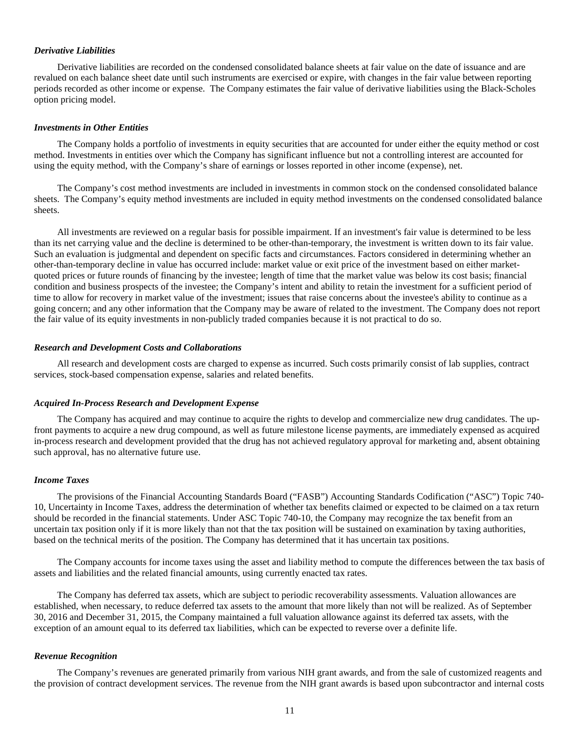#### *Derivative Liabilities*

Derivative liabilities are recorded on the condensed consolidated balance sheets at fair value on the date of issuance and are revalued on each balance sheet date until such instruments are exercised or expire, with changes in the fair value between reporting periods recorded as other income or expense. The Company estimates the fair value of derivative liabilities using the Black-Scholes option pricing model.

#### *Investments in Other Entities*

The Company holds a portfolio of investments in equity securities that are accounted for under either the equity method or cost method. Investments in entities over which the Company has significant influence but not a controlling interest are accounted for using the equity method, with the Company's share of earnings or losses reported in other income (expense), net.

The Company's cost method investments are included in investments in common stock on the condensed consolidated balance sheets. The Company's equity method investments are included in equity method investments on the condensed consolidated balance sheets.

All investments are reviewed on a regular basis for possible impairment. If an investment's fair value is determined to be less than its net carrying value and the decline is determined to be other-than-temporary, the investment is written down to its fair value. Such an evaluation is judgmental and dependent on specific facts and circumstances. Factors considered in determining whether an other-than-temporary decline in value has occurred include: market value or exit price of the investment based on either marketquoted prices or future rounds of financing by the investee; length of time that the market value was below its cost basis; financial condition and business prospects of the investee; the Company's intent and ability to retain the investment for a sufficient period of time to allow for recovery in market value of the investment; issues that raise concerns about the investee's ability to continue as a going concern; and any other information that the Company may be aware of related to the investment. The Company does not report the fair value of its equity investments in non-publicly traded companies because it is not practical to do so.

#### *Research and Development Costs and Collaborations*

All research and development costs are charged to expense as incurred. Such costs primarily consist of lab supplies, contract services, stock-based compensation expense, salaries and related benefits.

#### *Acquired In-Process Research and Development Expense*

The Company has acquired and may continue to acquire the rights to develop and commercialize new drug candidates. The upfront payments to acquire a new drug compound, as well as future milestone license payments, are immediately expensed as acquired in-process research and development provided that the drug has not achieved regulatory approval for marketing and, absent obtaining such approval, has no alternative future use.

#### *Income Taxes*

The provisions of the Financial Accounting Standards Board ("FASB") Accounting Standards Codification ("ASC") Topic 740- 10, Uncertainty in Income Taxes, address the determination of whether tax benefits claimed or expected to be claimed on a tax return should be recorded in the financial statements. Under ASC Topic 740-10, the Company may recognize the tax benefit from an uncertain tax position only if it is more likely than not that the tax position will be sustained on examination by taxing authorities, based on the technical merits of the position. The Company has determined that it has uncertain tax positions.

The Company accounts for income taxes using the asset and liability method to compute the differences between the tax basis of assets and liabilities and the related financial amounts, using currently enacted tax rates.

The Company has deferred tax assets, which are subject to periodic recoverability assessments. Valuation allowances are established, when necessary, to reduce deferred tax assets to the amount that more likely than not will be realized. As of September 30, 2016 and December 31, 2015, the Company maintained a full valuation allowance against its deferred tax assets, with the exception of an amount equal to its deferred tax liabilities, which can be expected to reverse over a definite life.

#### *Revenue Recognition*

The Company's revenues are generated primarily from various NIH grant awards, and from the sale of customized reagents and the provision of contract development services. The revenue from the NIH grant awards is based upon subcontractor and internal costs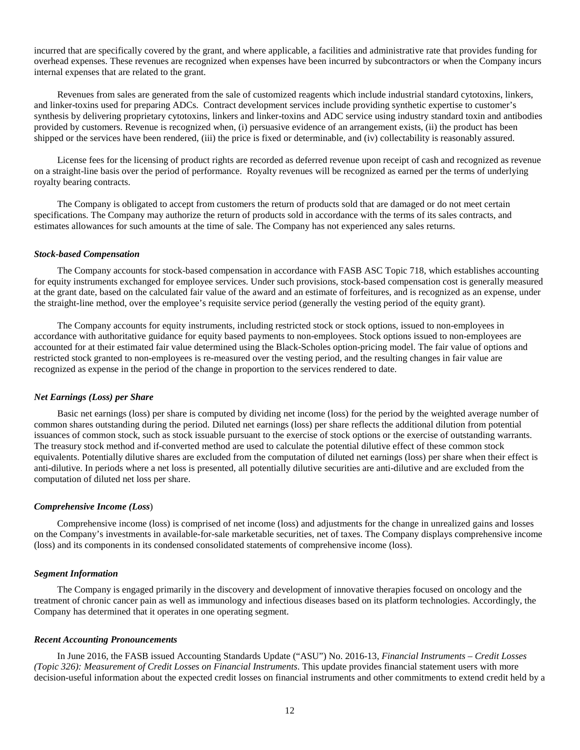incurred that are specifically covered by the grant, and where applicable, a facilities and administrative rate that provides funding for overhead expenses. These revenues are recognized when expenses have been incurred by subcontractors or when the Company incurs internal expenses that are related to the grant.

Revenues from sales are generated from the sale of customized reagents which include industrial standard cytotoxins, linkers, and linker-toxins used for preparing ADCs. Contract development services include providing synthetic expertise to customer's synthesis by delivering proprietary cytotoxins, linkers and linker-toxins and ADC service using industry standard toxin and antibodies provided by customers. Revenue is recognized when, (i) persuasive evidence of an arrangement exists, (ii) the product has been shipped or the services have been rendered, (iii) the price is fixed or determinable, and (iv) collectability is reasonably assured.

License fees for the licensing of product rights are recorded as deferred revenue upon receipt of cash and recognized as revenue on a straight-line basis over the period of performance. Royalty revenues will be recognized as earned per the terms of underlying royalty bearing contracts.

The Company is obligated to accept from customers the return of products sold that are damaged or do not meet certain specifications. The Company may authorize the return of products sold in accordance with the terms of its sales contracts, and estimates allowances for such amounts at the time of sale. The Company has not experienced any sales returns.

#### *Stock-based Compensation*

The Company accounts for stock-based compensation in accordance with FASB ASC Topic 718, which establishes accounting for equity instruments exchanged for employee services. Under such provisions, stock-based compensation cost is generally measured at the grant date, based on the calculated fair value of the award and an estimate of forfeitures, and is recognized as an expense, under the straight-line method, over the employee's requisite service period (generally the vesting period of the equity grant).

The Company accounts for equity instruments, including restricted stock or stock options, issued to non-employees in accordance with authoritative guidance for equity based payments to non-employees. Stock options issued to non-employees are accounted for at their estimated fair value determined using the Black-Scholes option-pricing model. The fair value of options and restricted stock granted to non-employees is re-measured over the vesting period, and the resulting changes in fair value are recognized as expense in the period of the change in proportion to the services rendered to date.

#### *Net Earnings (Loss) per Share*

Basic net earnings (loss) per share is computed by dividing net income (loss) for the period by the weighted average number of common shares outstanding during the period. Diluted net earnings (loss) per share reflects the additional dilution from potential issuances of common stock, such as stock issuable pursuant to the exercise of stock options or the exercise of outstanding warrants. The treasury stock method and if-converted method are used to calculate the potential dilutive effect of these common stock equivalents. Potentially dilutive shares are excluded from the computation of diluted net earnings (loss) per share when their effect is anti-dilutive. In periods where a net loss is presented, all potentially dilutive securities are anti-dilutive and are excluded from the computation of diluted net loss per share.

#### *Comprehensive Income (Loss*)

Comprehensive income (loss) is comprised of net income (loss) and adjustments for the change in unrealized gains and losses on the Company's investments in available-for-sale marketable securities, net of taxes. The Company displays comprehensive income (loss) and its components in its condensed consolidated statements of comprehensive income (loss).

#### *Segment Information*

The Company is engaged primarily in the discovery and development of innovative therapies focused on oncology and the treatment of chronic cancer pain as well as immunology and infectious diseases based on its platform technologies. Accordingly, the Company has determined that it operates in one operating segment.

#### *Recent Accounting Pronouncements*

In June 2016, the FASB issued Accounting Standards Update ("ASU") No. 2016-13, *Financial Instruments – Credit Losses (Topic 326): Measurement of Credit Losses on Financial Instruments*. This update provides financial statement users with more decision-useful information about the expected credit losses on financial instruments and other commitments to extend credit held by a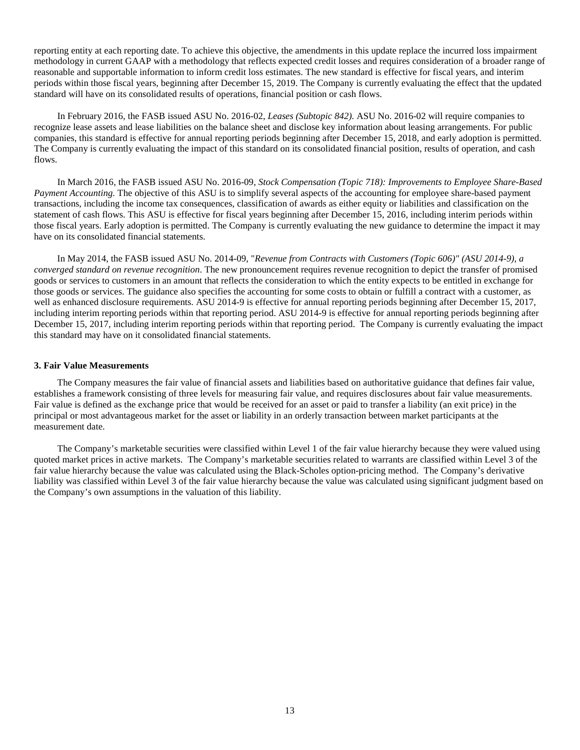reporting entity at each reporting date. To achieve this objective, the amendments in this update replace the incurred loss impairment methodology in current GAAP with a methodology that reflects expected credit losses and requires consideration of a broader range of reasonable and supportable information to inform credit loss estimates. The new standard is effective for fiscal years, and interim periods within those fiscal years, beginning after December 15, 2019. The Company is currently evaluating the effect that the updated standard will have on its consolidated results of operations, financial position or cash flows.

In February 2016, the FASB issued ASU No. 2016-02, *Leases (Subtopic 842).* ASU No. 2016-02 will require companies to recognize lease assets and lease liabilities on the balance sheet and disclose key information about leasing arrangements. For public companies, this standard is effective for annual reporting periods beginning after December 15, 2018, and early adoption is permitted. The Company is currently evaluating the impact of this standard on its consolidated financial position, results of operation, and cash flows.

In March 2016, the FASB issued ASU No. 2016-09, *Stock Compensation (Topic 718): Improvements to Employee Share-Based Payment Accounting.* The objective of this ASU is to simplify several aspects of the accounting for employee share-based payment transactions, including the income tax consequences, classification of awards as either equity or liabilities and classification on the statement of cash flows. This ASU is effective for fiscal years beginning after December 15, 2016, including interim periods within those fiscal years. Early adoption is permitted. The Company is currently evaluating the new guidance to determine the impact it may have on its consolidated financial statements.

In May 2014, the FASB issued ASU No. 2014-09, "*Revenue from Contracts with Customers (Topic 606)" (ASU 2014-9), a converged standard on revenue recognition*. The new pronouncement requires revenue recognition to depict the transfer of promised goods or services to customers in an amount that reflects the consideration to which the entity expects to be entitled in exchange for those goods or services. The guidance also specifies the accounting for some costs to obtain or fulfill a contract with a customer, as well as enhanced disclosure requirements. ASU 2014-9 is effective for annual reporting periods beginning after December 15, 2017, including interim reporting periods within that reporting period. ASU 2014-9 is effective for annual reporting periods beginning after December 15, 2017, including interim reporting periods within that reporting period. The Company is currently evaluating the impact this standard may have on it consolidated financial statements.

#### **3. Fair Value Measurements**

The Company measures the fair value of financial assets and liabilities based on authoritative guidance that defines fair value, establishes a framework consisting of three levels for measuring fair value, and requires disclosures about fair value measurements. Fair value is defined as the exchange price that would be received for an asset or paid to transfer a liability (an exit price) in the principal or most advantageous market for the asset or liability in an orderly transaction between market participants at the measurement date.

The Company's marketable securities were classified within Level 1 of the fair value hierarchy because they were valued using quoted market prices in active markets. The Company's marketable securities related to warrants are classified within Level 3 of the fair value hierarchy because the value was calculated using the Black-Scholes option-pricing method. The Company's derivative liability was classified within Level 3 of the fair value hierarchy because the value was calculated using significant judgment based on the Company's own assumptions in the valuation of this liability.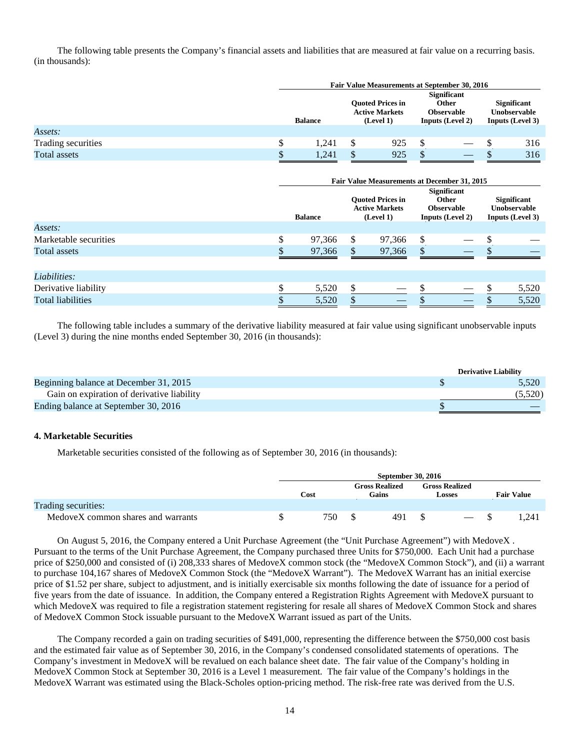The following table presents the Company's financial assets and liabilities that are measured at fair value on a recurring basis. (in thousands):

|                    |    | Fair Value Measurements at September 30, 2016 |  |     |  |                                                               |  |                                                                             |                                                                      |  |
|--------------------|----|-----------------------------------------------|--|-----|--|---------------------------------------------------------------|--|-----------------------------------------------------------------------------|----------------------------------------------------------------------|--|
|                    |    | <b>Balance</b>                                |  |     |  | <b>Ouoted Prices in</b><br><b>Active Markets</b><br>(Level 1) |  | <b>Significant</b><br>Other<br><b>Observable</b><br><b>Inputs (Level 2)</b> | <b>Significant</b><br><b>Unobservable</b><br><b>Inputs (Level 3)</b> |  |
| Assets:            |    |                                               |  |     |  |                                                               |  |                                                                             |                                                                      |  |
| Trading securities |    | 1.241                                         |  | 925 |  | $\overline{\phantom{a}}$                                      |  | 316                                                                         |                                                                      |  |
| Total assets       | ۰D | 1,241                                         |  | 925 |  |                                                               |  | 316                                                                         |                                                                      |  |

|                          | Fair Value Measurements at December 31, 2015<br><b>Significant</b><br><b>Ouoted Prices in</b><br><b>Significant</b><br><b>Other</b><br><b>Active Markets</b><br>Unobservable<br><b>Observable</b> |                |   |                          |  |                  |  |                         |  |  |
|--------------------------|---------------------------------------------------------------------------------------------------------------------------------------------------------------------------------------------------|----------------|---|--------------------------|--|------------------|--|-------------------------|--|--|
|                          |                                                                                                                                                                                                   | <b>Balance</b> |   | (Level 1)                |  | Inputs (Level 2) |  | <b>Inputs (Level 3)</b> |  |  |
| Assets:                  |                                                                                                                                                                                                   |                |   |                          |  |                  |  |                         |  |  |
| Marketable securities    |                                                                                                                                                                                                   | 97,366         |   | 97,366                   |  |                  |  |                         |  |  |
| Total assets             |                                                                                                                                                                                                   | 97,366         |   | 97,366                   |  |                  |  |                         |  |  |
|                          |                                                                                                                                                                                                   |                |   |                          |  |                  |  |                         |  |  |
| Liabilities:             |                                                                                                                                                                                                   |                |   |                          |  |                  |  |                         |  |  |
| Derivative liability     | \$                                                                                                                                                                                                | 5,520          | S |                          |  |                  |  | 5,520                   |  |  |
| <b>Total liabilities</b> |                                                                                                                                                                                                   | 5,520          |   | $\overline{\phantom{a}}$ |  |                  |  | 5,520                   |  |  |

The following table includes a summary of the derivative liability measured at fair value using significant unobservable inputs (Level 3) during the nine months ended September 30, 2016 (in thousands):

|                                            | <b>Derivative Liability</b> |
|--------------------------------------------|-----------------------------|
| Beginning balance at December 31, 2015     | 5.520                       |
| Gain on expiration of derivative liability | (5,520)                     |
| Ending balance at September 30, 2016       |                             |

#### **4. Marketable Securities**

Marketable securities consisted of the following as of September 30, 2016 (in thousands):

|                                    | <b>September 30, 2016</b> |  |                                |  |                                 |  |                   |
|------------------------------------|---------------------------|--|--------------------------------|--|---------------------------------|--|-------------------|
|                                    | Cost                      |  | <b>Gross Realized</b><br>Gains |  | <b>Gross Realized</b><br>Losses |  | <b>Fair Value</b> |
| Trading securities:                |                           |  |                                |  |                                 |  |                   |
| MedoveX common shares and warrants | 750                       |  | 491                            |  | $\hspace{0.1mm}-\hspace{0.1mm}$ |  | 1.241             |

On August 5, 2016, the Company entered a Unit Purchase Agreement (the "Unit Purchase Agreement") with MedoveX . Pursuant to the terms of the Unit Purchase Agreement, the Company purchased three Units for \$750,000. Each Unit had a purchase price of \$250,000 and consisted of (i) 208,333 shares of MedoveX common stock (the "MedoveX Common Stock"), and (ii) a warrant to purchase 104,167 shares of MedoveX Common Stock (the "MedoveX Warrant"). The MedoveX Warrant has an initial exercise price of \$1.52 per share, subject to adjustment, and is initially exercisable six months following the date of issuance for a period of five years from the date of issuance. In addition, the Company entered a Registration Rights Agreement with MedoveX pursuant to which MedoveX was required to file a registration statement registering for resale all shares of MedoveX Common Stock and shares of MedoveX Common Stock issuable pursuant to the MedoveX Warrant issued as part of the Units.

The Company recorded a gain on trading securities of \$491,000, representing the difference between the \$750,000 cost basis and the estimated fair value as of September 30, 2016, in the Company's condensed consolidated statements of operations. The Company's investment in MedoveX will be revalued on each balance sheet date. The fair value of the Company's holding in MedoveX Common Stock at September 30, 2016 is a Level 1 measurement. The fair value of the Company's holdings in the MedoveX Warrant was estimated using the Black-Scholes option-pricing method. The risk-free rate was derived from the U.S.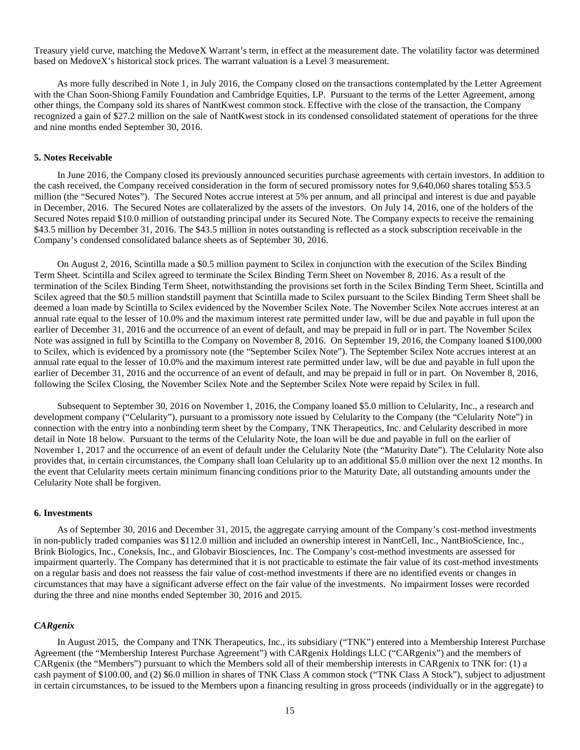Treasury yield curve, matching the MedoveX Warrant's term, in effect at the measurement date. The volatility factor was determined based on MedoveX's historical stock prices. The warrant valuation is a Level 3 measurement.

As more fully described in Note 1, in July 2016, the Company closed on the transactions contemplated by the Letter Agreement with the Chan Soon-Shiong Family Foundation and Cambridge Equities, LP. Pursuant to the terms of the Letter Agreement, among other things, the Company sold its shares of NantKwest common stock. Effective with the close of the transaction, the Company recognized a gain of \$27.2 million on the sale of NantKwest stock in its condensed consolidated statement of operations for the three and nine months ended September 30, 2016.

#### **5. Notes Receivable**

In June 2016, the Company closed its previously announced securities purchase agreements with certain investors. In addition to the cash received, the Company received consideration in the form of secured promissory notes for 9,640,060 shares totaling \$53.5 million (the "Secured Notes"). The Secured Notes accrue interest at 5% per annum, and all principal and interest is due and payable in December, 2016. The Secured Notes are collateralized by the assets of the investors. On July 14, 2016, one of the holders of the Secured Notes repaid \$10.0 million of outstanding principal under its Secured Note. The Company expects to receive the remaining \$43.5 million by December 31, 2016. The \$43.5 million in notes outstanding is reflected as a stock subscription receivable in the Company's condensed consolidated balance sheets as of September 30, 2016.

On August 2, 2016, Scintilla made a \$0.5 million payment to Scilex in conjunction with the execution of the Scilex Binding Term Sheet. Scintilla and Scilex agreed to terminate the Scilex Binding Term Sheet on November 8, 2016. As a result of the termination of the Scilex Binding Term Sheet, notwithstanding the provisions set forth in the Scilex Binding Term Sheet, Scintilla and Scilex agreed that the \$0.5 million standstill payment that Scintilla made to Scilex pursuant to the Scilex Binding Term Sheet shall be deemed a loan made by Scintilla to Scilex evidenced by the November Scilex Note. The November Scilex Note accrues interest at an annual rate equal to the lesser of 10.0% and the maximum interest rate permitted under law, will be due and payable in full upon the earlier of December 31, 2016 and the occurrence of an event of default, and may be prepaid in full or in part. The November Scilex Note was assigned in full by Scintilla to the Company on November 8, 2016. On September 19, 2016, the Company loaned \$100,000 to Scilex, which is evidenced by a promissory note (the "September Scilex Note"). The September Scilex Note accrues interest at an annual rate equal to the lesser of 10.0% and the maximum interest rate permitted under law, will be due and payable in full upon the earlier of December 31, 2016 and the occurrence of an event of default, and may be prepaid in full or in part. On November 8, 2016, following the Scilex Closing, the November Scilex Note and the September Scilex Note were repaid by Scilex in full.

Subsequent to September 30, 2016 on November 1, 2016, the Company loaned \$5.0 million to Celularity, Inc., a research and development company ("Celularity"), pursuant to a promissory note issued by Celularity to the Company (the "Celularity Note") in connection with the entry into a nonbinding term sheet by the Company, TNK Therapeutics, Inc. and Celularity described in more detail in Note 18 below. Pursuant to the terms of the Celularity Note, the loan will be due and payable in full on the earlier of November 1, 2017 and the occurrence of an event of default under the Celularity Note (the "Maturity Date"). The Celularity Note also provides that, in certain circumstances, the Company shall loan Celularity up to an additional \$5.0 million over the next 12 months. In the event that Celularity meets certain minimum financing conditions prior to the Maturity Date, all outstanding amounts under the Celularity Note shall be forgiven.

#### **6. Investments**

As of September 30, 2016 and December 31, 2015, the aggregate carrying amount of the Company's cost-method investments in non-publicly traded companies was \$112.0 million and included an ownership interest in NantCell, Inc., NantBioScience, Inc., Brink Biologics, Inc., Coneksis, Inc., and Globavir Biosciences, Inc. The Company's cost-method investments are assessed for impairment quarterly. The Company has determined that it is not practicable to estimate the fair value of its cost-method investments on a regular basis and does not reassess the fair value of cost-method investments if there are no identified events or changes in circumstances that may have a significant adverse effect on the fair value of the investments. No impairment losses were recorded during the three and nine months ended September 30, 2016 and 2015.

#### *CARgenix*

In August 2015, the Company and TNK Therapeutics, Inc., its subsidiary ("TNK") entered into a Membership Interest Purchase Agreement (the "Membership Interest Purchase Agreement") with CARgenix Holdings LLC ("CARgenix") and the members of CARgenix (the "Members") pursuant to which the Members sold all of their membership interests in CARgenix to TNK for: (1) a cash payment of \$100.00, and (2) \$6.0 million in shares of TNK Class A common stock ("TNK Class A Stock"), subject to adjustment in certain circumstances, to be issued to the Members upon a financing resulting in gross proceeds (individually or in the aggregate) to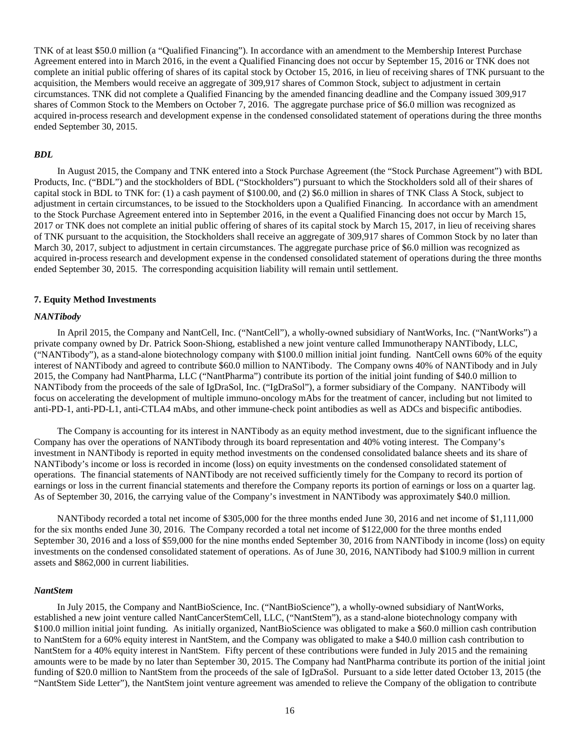TNK of at least \$50.0 million (a "Qualified Financing"). In accordance with an amendment to the Membership Interest Purchase Agreement entered into in March 2016, in the event a Qualified Financing does not occur by September 15, 2016 or TNK does not complete an initial public offering of shares of its capital stock by October 15, 2016, in lieu of receiving shares of TNK pursuant to the acquisition, the Members would receive an aggregate of 309,917 shares of Common Stock, subject to adjustment in certain circumstances. TNK did not complete a Qualified Financing by the amended financing deadline and the Company issued 309,917 shares of Common Stock to the Members on October 7, 2016. The aggregate purchase price of \$6.0 million was recognized as acquired in-process research and development expense in the condensed consolidated statement of operations during the three months ended September 30, 2015.

#### *BDL*

In August 2015, the Company and TNK entered into a Stock Purchase Agreement (the "Stock Purchase Agreement") with BDL Products, Inc. ("BDL") and the stockholders of BDL ("Stockholders") pursuant to which the Stockholders sold all of their shares of capital stock in BDL to TNK for: (1) a cash payment of \$100.00, and (2) \$6.0 million in shares of TNK Class A Stock, subject to adjustment in certain circumstances, to be issued to the Stockholders upon a Qualified Financing. In accordance with an amendment to the Stock Purchase Agreement entered into in September 2016, in the event a Qualified Financing does not occur by March 15, 2017 or TNK does not complete an initial public offering of shares of its capital stock by March 15, 2017, in lieu of receiving shares of TNK pursuant to the acquisition, the Stockholders shall receive an aggregate of 309,917 shares of Common Stock by no later than March 30, 2017, subject to adjustment in certain circumstances. The aggregate purchase price of \$6.0 million was recognized as acquired in-process research and development expense in the condensed consolidated statement of operations during the three months ended September 30, 2015. The corresponding acquisition liability will remain until settlement.

#### **7. Equity Method Investments**

#### *NANTibody*

In April 2015, the Company and NantCell, Inc. ("NantCell"), a wholly-owned subsidiary of NantWorks, Inc. ("NantWorks") a private company owned by Dr. Patrick Soon-Shiong, established a new joint venture called Immunotherapy NANTibody, LLC, ("NANTibody"), as a stand-alone biotechnology company with \$100.0 million initial joint funding. NantCell owns 60% of the equity interest of NANTibody and agreed to contribute \$60.0 million to NANTibody. The Company owns 40% of NANTibody and in July 2015, the Company had NantPharma, LLC ("NantPharma") contribute its portion of the initial joint funding of \$40.0 million to NANTibody from the proceeds of the sale of IgDraSol, Inc. ("IgDraSol"), a former subsidiary of the Company. NANTibody will focus on accelerating the development of multiple immuno-oncology mAbs for the treatment of cancer, including but not limited to anti-PD-1, anti-PD-L1, anti-CTLA4 mAbs, and other immune-check point antibodies as well as ADCs and bispecific antibodies.

The Company is accounting for its interest in NANTibody as an equity method investment, due to the significant influence the Company has over the operations of NANTibody through its board representation and 40% voting interest. The Company's investment in NANTibody is reported in equity method investments on the condensed consolidated balance sheets and its share of NANTibody's income or loss is recorded in income (loss) on equity investments on the condensed consolidated statement of operations. The financial statements of NANTibody are not received sufficiently timely for the Company to record its portion of earnings or loss in the current financial statements and therefore the Company reports its portion of earnings or loss on a quarter lag. As of September 30, 2016, the carrying value of the Company's investment in NANTibody was approximately \$40.0 million.

NANTibody recorded a total net income of \$305,000 for the three months ended June 30, 2016 and net income of \$1,111,000 for the six months ended June 30, 2016. The Company recorded a total net income of \$122,000 for the three months ended September 30, 2016 and a loss of \$59,000 for the nine months ended September 30, 2016 from NANTibody in income (loss) on equity investments on the condensed consolidated statement of operations. As of June 30, 2016, NANTibody had \$100.9 million in current assets and \$862,000 in current liabilities.

#### *NantStem*

In July 2015, the Company and NantBioScience, Inc. ("NantBioScience"), a wholly-owned subsidiary of NantWorks, established a new joint venture called NantCancerStemCell, LLC, ("NantStem"), as a stand-alone biotechnology company with \$100.0 million initial joint funding. As initially organized, NantBioScience was obligated to make a \$60.0 million cash contribution to NantStem for a 60% equity interest in NantStem, and the Company was obligated to make a \$40.0 million cash contribution to NantStem for a 40% equity interest in NantStem. Fifty percent of these contributions were funded in July 2015 and the remaining amounts were to be made by no later than September 30, 2015. The Company had NantPharma contribute its portion of the initial joint funding of \$20.0 million to NantStem from the proceeds of the sale of IgDraSol. Pursuant to a side letter dated October 13, 2015 (the "NantStem Side Letter"), the NantStem joint venture agreement was amended to relieve the Company of the obligation to contribute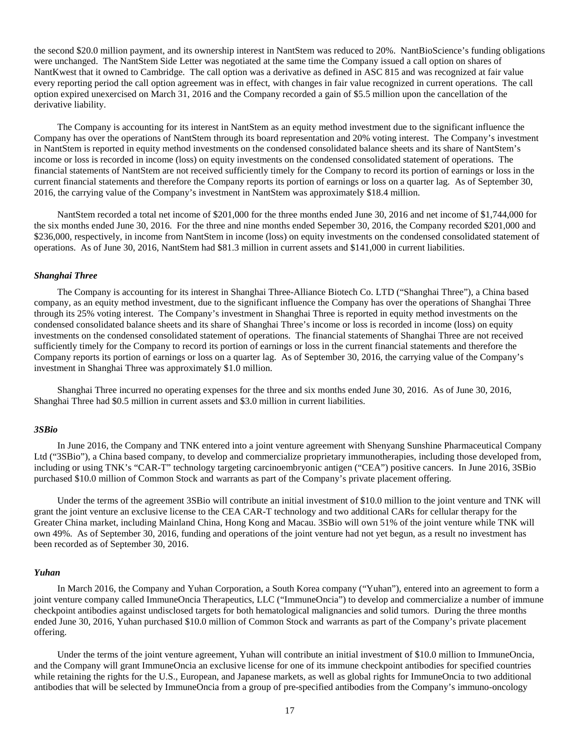the second \$20.0 million payment, and its ownership interest in NantStem was reduced to 20%. NantBioScience's funding obligations were unchanged. The NantStem Side Letter was negotiated at the same time the Company issued a call option on shares of NantKwest that it owned to Cambridge. The call option was a derivative as defined in ASC 815 and was recognized at fair value every reporting period the call option agreement was in effect, with changes in fair value recognized in current operations. The call option expired unexercised on March 31, 2016 and the Company recorded a gain of \$5.5 million upon the cancellation of the derivative liability.

The Company is accounting for its interest in NantStem as an equity method investment due to the significant influence the Company has over the operations of NantStem through its board representation and 20% voting interest. The Company's investment in NantStem is reported in equity method investments on the condensed consolidated balance sheets and its share of NantStem's income or loss is recorded in income (loss) on equity investments on the condensed consolidated statement of operations. The financial statements of NantStem are not received sufficiently timely for the Company to record its portion of earnings or loss in the current financial statements and therefore the Company reports its portion of earnings or loss on a quarter lag. As of September 30, 2016, the carrying value of the Company's investment in NantStem was approximately \$18.4 million.

NantStem recorded a total net income of \$201,000 for the three months ended June 30, 2016 and net income of \$1,744,000 for the six months ended June 30, 2016. For the three and nine months ended Sepember 30, 2016, the Company recorded \$201,000 and \$236,000, respectively, in income from NantStem in income (loss) on equity investments on the condensed consolidated statement of operations. As of June 30, 2016, NantStem had \$81.3 million in current assets and \$141,000 in current liabilities.

#### *Shanghai Three*

The Company is accounting for its interest in Shanghai Three-Alliance Biotech Co. LTD ("Shanghai Three"), a China based company, as an equity method investment, due to the significant influence the Company has over the operations of Shanghai Three through its 25% voting interest. The Company's investment in Shanghai Three is reported in equity method investments on the condensed consolidated balance sheets and its share of Shanghai Three's income or loss is recorded in income (loss) on equity investments on the condensed consolidated statement of operations. The financial statements of Shanghai Three are not received sufficiently timely for the Company to record its portion of earnings or loss in the current financial statements and therefore the Company reports its portion of earnings or loss on a quarter lag. As of September 30, 2016, the carrying value of the Company's investment in Shanghai Three was approximately \$1.0 million.

Shanghai Three incurred no operating expenses for the three and six months ended June 30, 2016. As of June 30, 2016, Shanghai Three had \$0.5 million in current assets and \$3.0 million in current liabilities.

#### *3SBio*

In June 2016, the Company and TNK entered into a joint venture agreement with Shenyang Sunshine Pharmaceutical Company Ltd ("3SBio"), a China based company, to develop and commercialize proprietary immunotherapies, including those developed from, including or using TNK's "CAR-T" technology targeting carcinoembryonic antigen ("CEA") positive cancers. In June 2016, 3SBio purchased \$10.0 million of Common Stock and warrants as part of the Company's private placement offering.

Under the terms of the agreement 3SBio will contribute an initial investment of \$10.0 million to the joint venture and TNK will grant the joint venture an exclusive license to the CEA CAR-T technology and two additional CARs for cellular therapy for the Greater China market, including Mainland China, Hong Kong and Macau. 3SBio will own 51% of the joint venture while TNK will own 49%. As of September 30, 2016, funding and operations of the joint venture had not yet begun, as a result no investment has been recorded as of September 30, 2016.

#### *Yuhan*

In March 2016, the Company and Yuhan Corporation, a South Korea company ("Yuhan"), entered into an agreement to form a joint venture company called ImmuneOncia Therapeutics, LLC ("ImmuneOncia") to develop and commercialize a number of immune checkpoint antibodies against undisclosed targets for both hematological malignancies and solid tumors. During the three months ended June 30, 2016, Yuhan purchased \$10.0 million of Common Stock and warrants as part of the Company's private placement offering.

Under the terms of the joint venture agreement, Yuhan will contribute an initial investment of \$10.0 million to ImmuneOncia, and the Company will grant ImmuneOncia an exclusive license for one of its immune checkpoint antibodies for specified countries while retaining the rights for the U.S., European, and Japanese markets, as well as global rights for ImmuneOncia to two additional antibodies that will be selected by ImmuneOncia from a group of pre-specified antibodies from the Company's immuno-oncology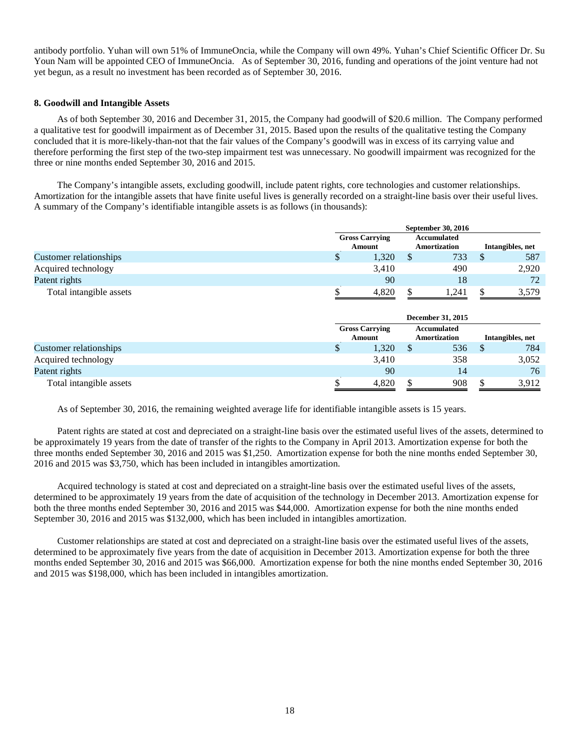antibody portfolio. Yuhan will own 51% of ImmuneOncia, while the Company will own 49%. Yuhan's Chief Scientific Officer Dr. Su Youn Nam will be appointed CEO of ImmuneOncia. As of September 30, 2016, funding and operations of the joint venture had not yet begun, as a result no investment has been recorded as of September 30, 2016.

#### **8. Goodwill and Intangible Assets**

As of both September 30, 2016 and December 31, 2015, the Company had goodwill of \$20.6 million. The Company performed a qualitative test for goodwill impairment as of December 31, 2015. Based upon the results of the qualitative testing the Company concluded that it is more-likely-than-not that the fair values of the Company's goodwill was in excess of its carrying value and therefore performing the first step of the two-step impairment test was unnecessary. No goodwill impairment was recognized for the three or nine months ended September 30, 2016 and 2015.

The Company's intangible assets, excluding goodwill, include patent rights, core technologies and customer relationships. Amortization for the intangible assets that have finite useful lives is generally recorded on a straight-line basis over their useful lives. A summary of the Company's identifiable intangible assets is as follows (in thousands):

|                         |                                 | September 30, 2016 |                                    |       |                  |       |  |  |  |  |
|-------------------------|---------------------------------|--------------------|------------------------------------|-------|------------------|-------|--|--|--|--|
|                         | <b>Gross Carrying</b><br>Amount |                    | Accumulated<br><b>Amortization</b> |       | Intangibles, net |       |  |  |  |  |
| Customer relationships  | Φ                               | 1,320              |                                    | 733   | S                | 587   |  |  |  |  |
| Acquired technology     |                                 | 3.410              |                                    | 490   |                  | 2,920 |  |  |  |  |
| Patent rights           |                                 | 90                 |                                    | 18    |                  | 72    |  |  |  |  |
| Total intangible assets |                                 | 4.820              |                                    | 1.241 | -S               | 3,579 |  |  |  |  |

|                         | <b>Gross Carrying</b><br><b>Amount</b> |       | Accumulated<br>Amortization |     | Intangibles, net |       |
|-------------------------|----------------------------------------|-------|-----------------------------|-----|------------------|-------|
| Customer relationships  | Φ                                      | 1,320 |                             | 536 |                  | 784   |
| Acquired technology     |                                        | 3.410 |                             | 358 |                  | 3,052 |
| Patent rights           |                                        | 90    |                             | 14  |                  | 76    |
| Total intangible assets |                                        | 4,820 |                             | 908 |                  | 3,912 |

As of September 30, 2016, the remaining weighted average life for identifiable intangible assets is 15 years.

Patent rights are stated at cost and depreciated on a straight-line basis over the estimated useful lives of the assets, determined to be approximately 19 years from the date of transfer of the rights to the Company in April 2013. Amortization expense for both the three months ended September 30, 2016 and 2015 was \$1,250. Amortization expense for both the nine months ended September 30, 2016 and 2015 was \$3,750, which has been included in intangibles amortization.

Acquired technology is stated at cost and depreciated on a straight-line basis over the estimated useful lives of the assets, determined to be approximately 19 years from the date of acquisition of the technology in December 2013. Amortization expense for both the three months ended September 30, 2016 and 2015 was \$44,000. Amortization expense for both the nine months ended September 30, 2016 and 2015 was \$132,000, which has been included in intangibles amortization.

Customer relationships are stated at cost and depreciated on a straight-line basis over the estimated useful lives of the assets, determined to be approximately five years from the date of acquisition in December 2013. Amortization expense for both the three months ended September 30, 2016 and 2015 was \$66,000. Amortization expense for both the nine months ended September 30, 2016 and 2015 was \$198,000, which has been included in intangibles amortization.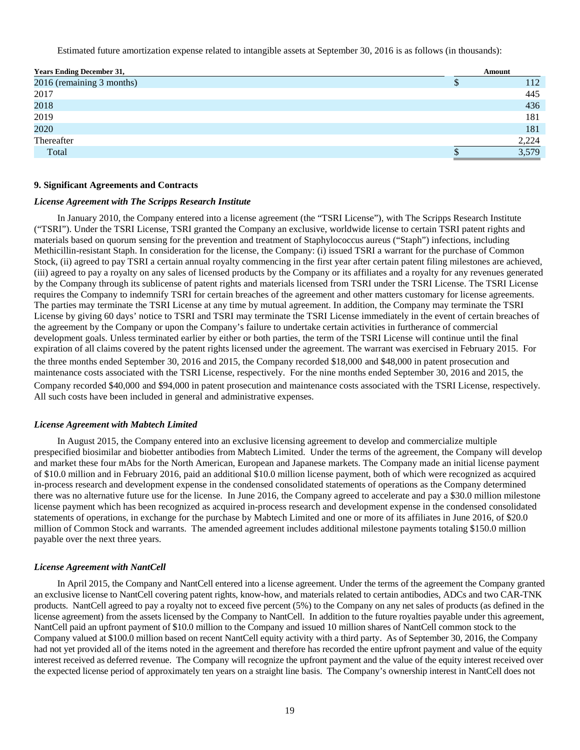Estimated future amortization expense related to intangible assets at September 30, 2016 is as follows (in thousands):

| <b>Years Ending December 31,</b> | Amount |
|----------------------------------|--------|
| 2016 (remaining 3 months)        | 112    |
| 2017                             | 445    |
| 2018                             | 436    |
| 2019                             | 181    |
| 2020                             | 181    |
| Thereafter                       | 2,224  |
| Total                            | 3,579  |

#### **9. Significant Agreements and Contracts**

#### *License Agreement with The Scripps Research Institute*

In January 2010, the Company entered into a license agreement (the "TSRI License"), with The Scripps Research Institute ("TSRI"). Under the TSRI License, TSRI granted the Company an exclusive, worldwide license to certain TSRI patent rights and materials based on quorum sensing for the prevention and treatment of Staphylococcus aureus ("Staph") infections, including Methicillin-resistant Staph. In consideration for the license, the Company: (i) issued TSRI a warrant for the purchase of Common Stock, (ii) agreed to pay TSRI a certain annual royalty commencing in the first year after certain patent filing milestones are achieved, (iii) agreed to pay a royalty on any sales of licensed products by the Company or its affiliates and a royalty for any revenues generated by the Company through its sublicense of patent rights and materials licensed from TSRI under the TSRI License. The TSRI License requires the Company to indemnify TSRI for certain breaches of the agreement and other matters customary for license agreements. The parties may terminate the TSRI License at any time by mutual agreement. In addition, the Company may terminate the TSRI License by giving 60 days' notice to TSRI and TSRI may terminate the TSRI License immediately in the event of certain breaches of the agreement by the Company or upon the Company's failure to undertake certain activities in furtherance of commercial development goals. Unless terminated earlier by either or both parties, the term of the TSRI License will continue until the final expiration of all claims covered by the patent rights licensed under the agreement. The warrant was exercised in February 2015. For the three months ended September 30, 2016 and 2015, the Company recorded \$18,000 and \$48,000 in patent prosecution and maintenance costs associated with the TSRI License, respectively. For the nine months ended September 30, 2016 and 2015, the Company recorded \$40,000 and \$94,000 in patent prosecution and maintenance costs associated with the TSRI License, respectively. All such costs have been included in general and administrative expenses.

#### *License Agreement with Mabtech Limited*

In August 2015, the Company entered into an exclusive licensing agreement to develop and commercialize multiple prespecified biosimilar and biobetter antibodies from Mabtech Limited. Under the terms of the agreement, the Company will develop and market these four mAbs for the North American, European and Japanese markets. The Company made an initial license payment of \$10.0 million and in February 2016, paid an additional \$10.0 million license payment, both of which were recognized as acquired in-process research and development expense in the condensed consolidated statements of operations as the Company determined there was no alternative future use for the license. In June 2016, the Company agreed to accelerate and pay a \$30.0 million milestone license payment which has been recognized as acquired in-process research and development expense in the condensed consolidated statements of operations, in exchange for the purchase by Mabtech Limited and one or more of its affiliates in June 2016, of \$20.0 million of Common Stock and warrants. The amended agreement includes additional milestone payments totaling \$150.0 million payable over the next three years.

#### *License Agreement with NantCell*

In April 2015, the Company and NantCell entered into a license agreement. Under the terms of the agreement the Company granted an exclusive license to NantCell covering patent rights, know-how, and materials related to certain antibodies, ADCs and two CAR-TNK products. NantCell agreed to pay a royalty not to exceed five percent (5%) to the Company on any net sales of products (as defined in the license agreement) from the assets licensed by the Company to NantCell. In addition to the future royalties payable under this agreement, NantCell paid an upfront payment of \$10.0 million to the Company and issued 10 million shares of NantCell common stock to the Company valued at \$100.0 million based on recent NantCell equity activity with a third party. As of September 30, 2016, the Company had not yet provided all of the items noted in the agreement and therefore has recorded the entire upfront payment and value of the equity interest received as deferred revenue. The Company will recognize the upfront payment and the value of the equity interest received over the expected license period of approximately ten years on a straight line basis. The Company's ownership interest in NantCell does not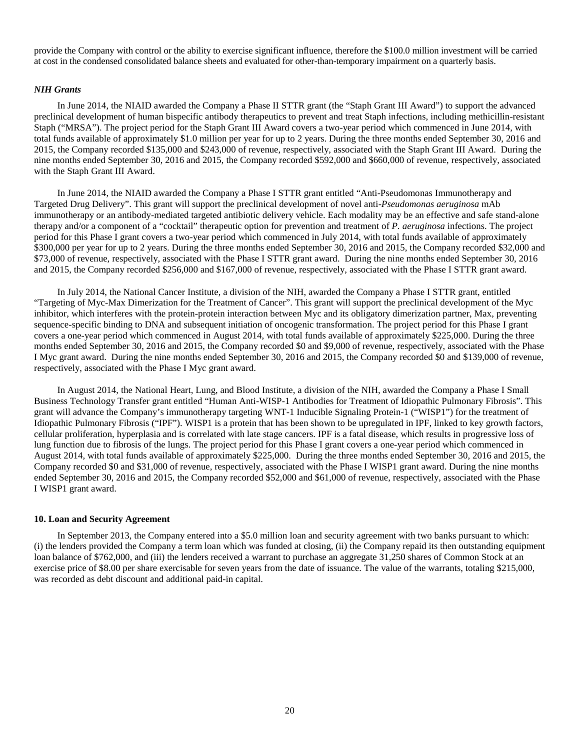provide the Company with control or the ability to exercise significant influence, therefore the \$100.0 million investment will be carried at cost in the condensed consolidated balance sheets and evaluated for other-than-temporary impairment on a quarterly basis.

#### *NIH Grants*

In June 2014, the NIAID awarded the Company a Phase II STTR grant (the "Staph Grant III Award") to support the advanced preclinical development of human bispecific antibody therapeutics to prevent and treat Staph infections, including methicillin-resistant Staph ("MRSA"). The project period for the Staph Grant III Award covers a two-year period which commenced in June 2014, with total funds available of approximately \$1.0 million per year for up to 2 years. During the three months ended September 30, 2016 and 2015, the Company recorded \$135,000 and \$243,000 of revenue, respectively, associated with the Staph Grant III Award. During the nine months ended September 30, 2016 and 2015, the Company recorded \$592,000 and \$660,000 of revenue, respectively, associated with the Staph Grant III Award.

In June 2014, the NIAID awarded the Company a Phase I STTR grant entitled "Anti-Pseudomonas Immunotherapy and Targeted Drug Delivery". This grant will support the preclinical development of novel anti-*Pseudomonas aeruginosa* mAb immunotherapy or an antibody-mediated targeted antibiotic delivery vehicle. Each modality may be an effective and safe stand-alone therapy and/or a component of a "cocktail" therapeutic option for prevention and treatment of *P. aeruginosa* infections. The project period for this Phase I grant covers a two-year period which commenced in July 2014, with total funds available of approximately \$300,000 per year for up to 2 years. During the three months ended September 30, 2016 and 2015, the Company recorded \$32,000 and \$73,000 of revenue, respectively, associated with the Phase I STTR grant award. During the nine months ended September 30, 2016 and 2015, the Company recorded \$256,000 and \$167,000 of revenue, respectively, associated with the Phase I STTR grant award.

In July 2014, the National Cancer Institute, a division of the NIH, awarded the Company a Phase I STTR grant, entitled "Targeting of Myc-Max Dimerization for the Treatment of Cancer". This grant will support the preclinical development of the Myc inhibitor, which interferes with the protein-protein interaction between Myc and its obligatory dimerization partner, Max, preventing sequence-specific binding to DNA and subsequent initiation of oncogenic transformation. The project period for this Phase I grant covers a one-year period which commenced in August 2014, with total funds available of approximately \$225,000. During the three months ended September 30, 2016 and 2015, the Company recorded \$0 and \$9,000 of revenue, respectively, associated with the Phase I Myc grant award. During the nine months ended September 30, 2016 and 2015, the Company recorded \$0 and \$139,000 of revenue, respectively, associated with the Phase I Myc grant award.

In August 2014, the National Heart, Lung, and Blood Institute, a division of the NIH, awarded the Company a Phase I Small Business Technology Transfer grant entitled "Human Anti-WISP-1 Antibodies for Treatment of Idiopathic Pulmonary Fibrosis". This grant will advance the Company's immunotherapy targeting WNT-1 Inducible Signaling Protein-1 ("WISP1") for the treatment of Idiopathic Pulmonary Fibrosis ("IPF"). WISP1 is a protein that has been shown to be upregulated in IPF, linked to key growth factors, cellular proliferation, hyperplasia and is correlated with late stage cancers. IPF is a fatal disease, which results in progressive loss of lung function due to fibrosis of the lungs. The project period for this Phase I grant covers a one-year period which commenced in August 2014, with total funds available of approximately \$225,000. During the three months ended September 30, 2016 and 2015, the Company recorded \$0 and \$31,000 of revenue, respectively, associated with the Phase I WISP1 grant award. During the nine months ended September 30, 2016 and 2015, the Company recorded \$52,000 and \$61,000 of revenue, respectively, associated with the Phase I WISP1 grant award.

#### **10. Loan and Security Agreement**

In September 2013, the Company entered into a \$5.0 million loan and security agreement with two banks pursuant to which: (i) the lenders provided the Company a term loan which was funded at closing, (ii) the Company repaid its then outstanding equipment loan balance of \$762,000, and (iii) the lenders received a warrant to purchase an aggregate 31,250 shares of Common Stock at an exercise price of \$8.00 per share exercisable for seven years from the date of issuance. The value of the warrants, totaling \$215,000, was recorded as debt discount and additional paid-in capital.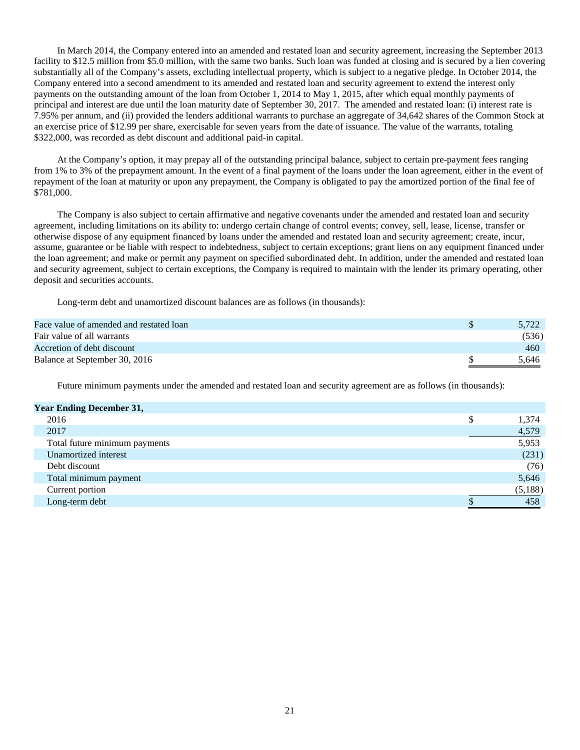In March 2014, the Company entered into an amended and restated loan and security agreement, increasing the September 2013 facility to \$12.5 million from \$5.0 million, with the same two banks. Such loan was funded at closing and is secured by a lien covering substantially all of the Company's assets, excluding intellectual property, which is subject to a negative pledge. In October 2014, the Company entered into a second amendment to its amended and restated loan and security agreement to extend the interest only payments on the outstanding amount of the loan from October 1, 2014 to May 1, 2015, after which equal monthly payments of principal and interest are due until the loan maturity date of September 30, 2017. The amended and restated loan: (i) interest rate is 7.95% per annum, and (ii) provided the lenders additional warrants to purchase an aggregate of 34,642 shares of the Common Stock at an exercise price of \$12.99 per share, exercisable for seven years from the date of issuance. The value of the warrants, totaling \$322,000, was recorded as debt discount and additional paid-in capital.

At the Company's option, it may prepay all of the outstanding principal balance, subject to certain pre-payment fees ranging from 1% to 3% of the prepayment amount. In the event of a final payment of the loans under the loan agreement, either in the event of repayment of the loan at maturity or upon any prepayment, the Company is obligated to pay the amortized portion of the final fee of \$781,000.

The Company is also subject to certain affirmative and negative covenants under the amended and restated loan and security agreement, including limitations on its ability to: undergo certain change of control events; convey, sell, lease, license, transfer or otherwise dispose of any equipment financed by loans under the amended and restated loan and security agreement; create, incur, assume, guarantee or be liable with respect to indebtedness, subject to certain exceptions; grant liens on any equipment financed under the loan agreement; and make or permit any payment on specified subordinated debt. In addition, under the amended and restated loan and security agreement, subject to certain exceptions, the Company is required to maintain with the lender its primary operating, other deposit and securities accounts.

Long-term debt and unamortized discount balances are as follows (in thousands):

| Face value of amended and restated loan | 5.722 |
|-----------------------------------------|-------|
| Fair value of all warrants              | (536) |
| Accretion of debt discount              | 460   |
| Balance at September 30, 2016           | 5.646 |

Future minimum payments under the amended and restated loan and security agreement are as follows (in thousands):

| <b>Year Ending December 31,</b> |   |         |
|---------------------------------|---|---------|
| 2016                            | ¢ | 1,374   |
| 2017                            |   | 4,579   |
| Total future minimum payments   |   | 5,953   |
| Unamortized interest            |   | (231)   |
| Debt discount                   |   | (76)    |
| Total minimum payment           |   | 5,646   |
| Current portion                 |   | (5,188) |
| Long-term debt                  |   | 458     |
|                                 |   |         |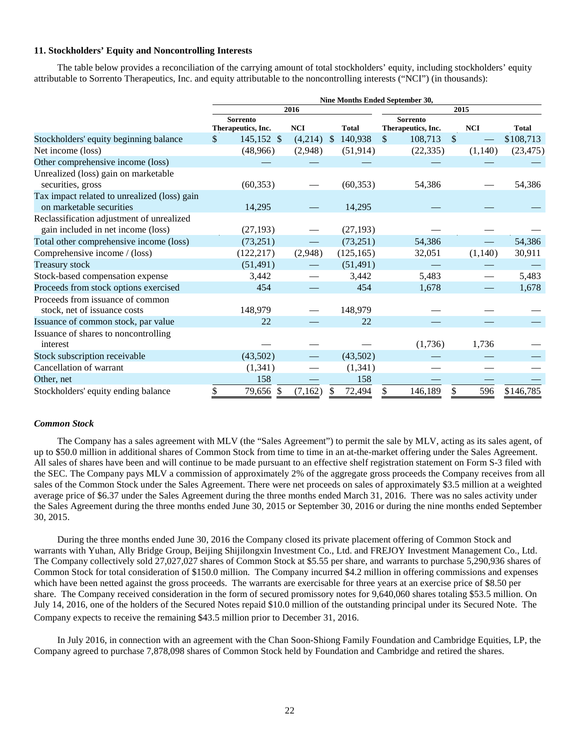## **11. Stockholders' Equity and Noncontrolling Interests**

The table below provides a reconciliation of the carrying amount of total stockholders' equity, including stockholders' equity attributable to Sorrento Therapeutics, Inc. and equity attributable to the noncontrolling interests ("NCI") (in thousands):

|                                                                                 | Nine Months Ended September 30, |                                |            |               |              |              |                                       |               |            |              |
|---------------------------------------------------------------------------------|---------------------------------|--------------------------------|------------|---------------|--------------|--------------|---------------------------------------|---------------|------------|--------------|
|                                                                                 | 2016                            |                                |            |               | 2015         |              |                                       |               |            |              |
|                                                                                 |                                 | Sorrento<br>Therapeutics, Inc. | <b>NCI</b> |               | <b>Total</b> |              | <b>Sorrento</b><br>Therapeutics, Inc. |               | <b>NCI</b> | <b>Total</b> |
| Stockholders' equity beginning balance                                          | \$                              | 145,152 \$                     | (4,214)    | $\mathcal{S}$ | 140,938      | $\mathbb{S}$ | 108,713                               | $\mathcal{S}$ |            | \$108,713    |
| Net income (loss)                                                               |                                 | (48,966)                       | (2,948)    |               | (51, 914)    |              | (22, 335)                             |               | (1,140)    | (23, 475)    |
| Other comprehensive income (loss)                                               |                                 |                                |            |               |              |              |                                       |               |            |              |
| Unrealized (loss) gain on marketable<br>securities, gross                       |                                 | (60, 353)                      |            |               | (60, 353)    |              | 54,386                                |               |            | 54,386       |
| Tax impact related to unrealized (loss) gain<br>on marketable securities        |                                 | 14,295                         |            |               | 14,295       |              |                                       |               |            |              |
| Reclassification adjustment of unrealized<br>gain included in net income (loss) |                                 | (27, 193)                      |            |               | (27, 193)    |              |                                       |               |            |              |
| Total other comprehensive income (loss)                                         |                                 | (73, 251)                      |            |               | (73,251)     |              | 54,386                                |               |            | 54,386       |
| Comprehensive income / (loss)                                                   |                                 | (122, 217)                     | (2,948)    |               | (125, 165)   |              | 32,051                                |               | (1,140)    | 30,911       |
| <b>Treasury stock</b>                                                           |                                 | (51, 491)                      |            |               | (51, 491)    |              |                                       |               |            |              |
| Stock-based compensation expense                                                |                                 | 3,442                          |            |               | 3,442        |              | 5,483                                 |               |            | 5,483        |
| Proceeds from stock options exercised                                           |                                 | 454                            |            |               | 454          |              | 1,678                                 |               |            | 1,678        |
| Proceeds from issuance of common<br>stock, net of issuance costs                |                                 | 148,979                        |            |               | 148,979      |              |                                       |               |            |              |
| Issuance of common stock, par value                                             |                                 | 22                             |            |               | 22           |              |                                       |               |            |              |
| Issuance of shares to noncontrolling<br>interest                                |                                 |                                |            |               |              |              | (1,736)                               |               | 1,736      |              |
| Stock subscription receivable                                                   |                                 | (43,502)                       |            |               | (43,502)     |              |                                       |               |            |              |
| Cancellation of warrant                                                         |                                 | (1,341)                        |            |               | (1, 341)     |              |                                       |               |            |              |
| Other, net                                                                      |                                 | 158                            |            |               | 158          |              |                                       |               |            |              |
| Stockholders' equity ending balance                                             | \$                              | 79,656 \$                      | (7,162)    | <sup>\$</sup> | 72,494       | \$           | 146,189                               | \$            | 596        | \$146,785    |

## *Common Stock*

The Company has a sales agreement with MLV (the "Sales Agreement") to permit the sale by MLV, acting as its sales agent, of up to \$50.0 million in additional shares of Common Stock from time to time in an at-the-market offering under the Sales Agreement. All sales of shares have been and will continue to be made pursuant to an effective shelf registration statement on Form S-3 filed with the SEC. The Company pays MLV a commission of approximately 2% of the aggregate gross proceeds the Company receives from all sales of the Common Stock under the Sales Agreement. There were net proceeds on sales of approximately \$3.5 million at a weighted average price of \$6.37 under the Sales Agreement during the three months ended March 31, 2016. There was no sales activity under the Sales Agreement during the three months ended June 30, 2015 or September 30, 2016 or during the nine months ended September 30, 2015.

During the three months ended June 30, 2016 the Company closed its private placement offering of Common Stock and warrants with Yuhan, Ally Bridge Group, Beijing Shijilongxin Investment Co., Ltd. and FREJOY Investment Management Co., Ltd. The Company collectively sold 27,027,027 shares of Common Stock at \$5.55 per share, and warrants to purchase 5,290,936 shares of Common Stock for total consideration of \$150.0 million. The Company incurred \$4.2 million in offering commissions and expenses which have been netted against the gross proceeds. The warrants are exercisable for three years at an exercise price of \$8.50 per share. The Company received consideration in the form of secured promissory notes for 9,640,060 shares totaling \$53.5 million. On July 14, 2016, one of the holders of the Secured Notes repaid \$10.0 million of the outstanding principal under its Secured Note. The Company expects to receive the remaining \$43.5 million prior to December 31, 2016.

In July 2016, in connection with an agreement with the Chan Soon-Shiong Family Foundation and Cambridge Equities, LP, the Company agreed to purchase 7,878,098 shares of Common Stock held by Foundation and Cambridge and retired the shares.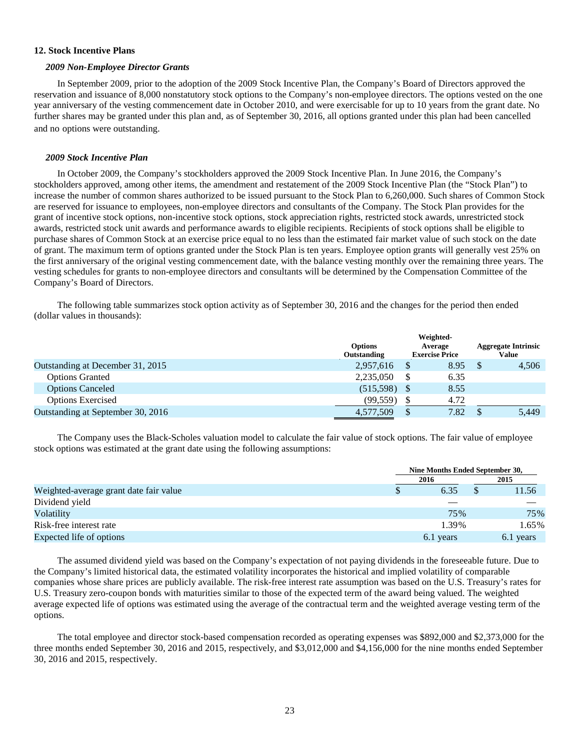#### **12. Stock Incentive Plans**

#### *2009 Non-Employee Director Grants*

In September 2009, prior to the adoption of the 2009 Stock Incentive Plan, the Company's Board of Directors approved the reservation and issuance of 8,000 nonstatutory stock options to the Company's non-employee directors. The options vested on the one year anniversary of the vesting commencement date in October 2010, and were exercisable for up to 10 years from the grant date. No further shares may be granted under this plan and, as of September 30, 2016, all options granted under this plan had been cancelled and no options were outstanding.

#### *2009 Stock Incentive Plan*

In October 2009, the Company's stockholders approved the 2009 Stock Incentive Plan. In June 2016, the Company's stockholders approved, among other items, the amendment and restatement of the 2009 Stock Incentive Plan (the "Stock Plan") to increase the number of common shares authorized to be issued pursuant to the Stock Plan to 6,260,000. Such shares of Common Stock are reserved for issuance to employees, non-employee directors and consultants of the Company. The Stock Plan provides for the grant of incentive stock options, non-incentive stock options, stock appreciation rights, restricted stock awards, unrestricted stock awards, restricted stock unit awards and performance awards to eligible recipients. Recipients of stock options shall be eligible to purchase shares of Common Stock at an exercise price equal to no less than the estimated fair market value of such stock on the date of grant. The maximum term of options granted under the Stock Plan is ten years. Employee option grants will generally vest 25% on the first anniversary of the original vesting commencement date, with the balance vesting monthly over the remaining three years. The vesting schedules for grants to non-employee directors and consultants will be determined by the Compensation Committee of the Company's Board of Directors.

The following table summarizes stock option activity as of September 30, 2016 and the changes for the period then ended (dollar values in thousands):

|                                   | <b>Options</b><br>Outstanding | Weighted-<br>Average<br><b>Exercise Price</b> | <b>Aggregate Intrinsic</b><br>Value |       |  |
|-----------------------------------|-------------------------------|-----------------------------------------------|-------------------------------------|-------|--|
| Outstanding at December 31, 2015  | 2,957,616                     | 8.95                                          |                                     | 4,506 |  |
| <b>Options Granted</b>            | 2,235,050                     | 6.35                                          |                                     |       |  |
| <b>Options Canceled</b>           | (515,598)                     | 8.55                                          |                                     |       |  |
| <b>Options Exercised</b>          | (99, 559)                     | 4.72                                          |                                     |       |  |
| Outstanding at September 30, 2016 | 4,577,509                     | 7.82                                          |                                     | 5,449 |  |

The Company uses the Black-Scholes valuation model to calculate the fair value of stock options. The fair value of employee stock options was estimated at the grant date using the following assumptions:

|                                        | Nine Months Ended September 30, |  |           |  |  |
|----------------------------------------|---------------------------------|--|-----------|--|--|
|                                        | 2016                            |  | 2015      |  |  |
| Weighted-average grant date fair value | 6.35                            |  | 11.56     |  |  |
| Dividend yield                         |                                 |  |           |  |  |
| Volatility                             | 75%                             |  | 75%       |  |  |
| Risk-free interest rate                | 1.39%                           |  | 1.65%     |  |  |
| Expected life of options               | 6.1 years                       |  | 6.1 years |  |  |

The assumed dividend yield was based on the Company's expectation of not paying dividends in the foreseeable future. Due to the Company's limited historical data, the estimated volatility incorporates the historical and implied volatility of comparable companies whose share prices are publicly available. The risk-free interest rate assumption was based on the U.S. Treasury's rates for U.S. Treasury zero-coupon bonds with maturities similar to those of the expected term of the award being valued. The weighted average expected life of options was estimated using the average of the contractual term and the weighted average vesting term of the options.

The total employee and director stock-based compensation recorded as operating expenses was \$892,000 and \$2,373,000 for the three months ended September 30, 2016 and 2015, respectively, and \$3,012,000 and \$4,156,000 for the nine months ended September 30, 2016 and 2015, respectively.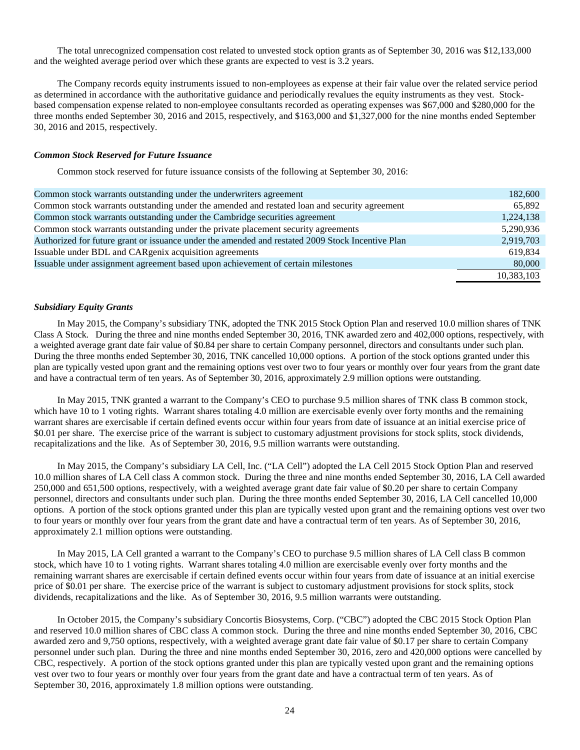The total unrecognized compensation cost related to unvested stock option grants as of September 30, 2016 was \$12,133,000 and the weighted average period over which these grants are expected to vest is 3.2 years.

The Company records equity instruments issued to non-employees as expense at their fair value over the related service period as determined in accordance with the authoritative guidance and periodically revalues the equity instruments as they vest. Stockbased compensation expense related to non-employee consultants recorded as operating expenses was \$67,000 and \$280,000 for the three months ended September 30, 2016 and 2015, respectively, and \$163,000 and \$1,327,000 for the nine months ended September 30, 2016 and 2015, respectively.

#### *Common Stock Reserved for Future Issuance*

Common stock reserved for future issuance consists of the following at September 30, 2016:

| 182,600    |
|------------|
| 65.892     |
| 1,224,138  |
| 5,290,936  |
| 2,919,703  |
| 619.834    |
| 80,000     |
| 10,383,103 |
|            |

#### *Subsidiary Equity Grants*

In May 2015, the Company's subsidiary TNK, adopted the TNK 2015 Stock Option Plan and reserved 10.0 million shares of TNK Class A Stock. During the three and nine months ended September 30, 2016, TNK awarded zero and 402,000 options, respectively, with a weighted average grant date fair value of \$0.84 per share to certain Company personnel, directors and consultants under such plan. During the three months ended September 30, 2016, TNK cancelled 10,000 options. A portion of the stock options granted under this plan are typically vested upon grant and the remaining options vest over two to four years or monthly over four years from the grant date and have a contractual term of ten years. As of September 30, 2016, approximately 2.9 million options were outstanding.

In May 2015, TNK granted a warrant to the Company's CEO to purchase 9.5 million shares of TNK class B common stock, which have 10 to 1 voting rights. Warrant shares totaling 4.0 million are exercisable evenly over forty months and the remaining warrant shares are exercisable if certain defined events occur within four years from date of issuance at an initial exercise price of \$0.01 per share. The exercise price of the warrant is subject to customary adjustment provisions for stock splits, stock dividends, recapitalizations and the like. As of September 30, 2016, 9.5 million warrants were outstanding.

In May 2015, the Company's subsidiary LA Cell, Inc. ("LA Cell") adopted the LA Cell 2015 Stock Option Plan and reserved 10.0 million shares of LA Cell class A common stock. During the three and nine months ended September 30, 2016, LA Cell awarded 250,000 and 651,500 options, respectively, with a weighted average grant date fair value of \$0.20 per share to certain Company personnel, directors and consultants under such plan. During the three months ended September 30, 2016, LA Cell cancelled 10,000 options. A portion of the stock options granted under this plan are typically vested upon grant and the remaining options vest over two to four years or monthly over four years from the grant date and have a contractual term of ten years. As of September 30, 2016, approximately 2.1 million options were outstanding.

In May 2015, LA Cell granted a warrant to the Company's CEO to purchase 9.5 million shares of LA Cell class B common stock, which have 10 to 1 voting rights. Warrant shares totaling 4.0 million are exercisable evenly over forty months and the remaining warrant shares are exercisable if certain defined events occur within four years from date of issuance at an initial exercise price of \$0.01 per share. The exercise price of the warrant is subject to customary adjustment provisions for stock splits, stock dividends, recapitalizations and the like. As of September 30, 2016, 9.5 million warrants were outstanding.

In October 2015, the Company's subsidiary Concortis Biosystems, Corp. ("CBC") adopted the CBC 2015 Stock Option Plan and reserved 10.0 million shares of CBC class A common stock. During the three and nine months ended September 30, 2016, CBC awarded zero and 9,750 options, respectively, with a weighted average grant date fair value of \$0.17 per share to certain Company personnel under such plan. During the three and nine months ended September 30, 2016, zero and 420,000 options were cancelled by CBC, respectively. A portion of the stock options granted under this plan are typically vested upon grant and the remaining options vest over two to four years or monthly over four years from the grant date and have a contractual term of ten years. As of September 30, 2016, approximately 1.8 million options were outstanding.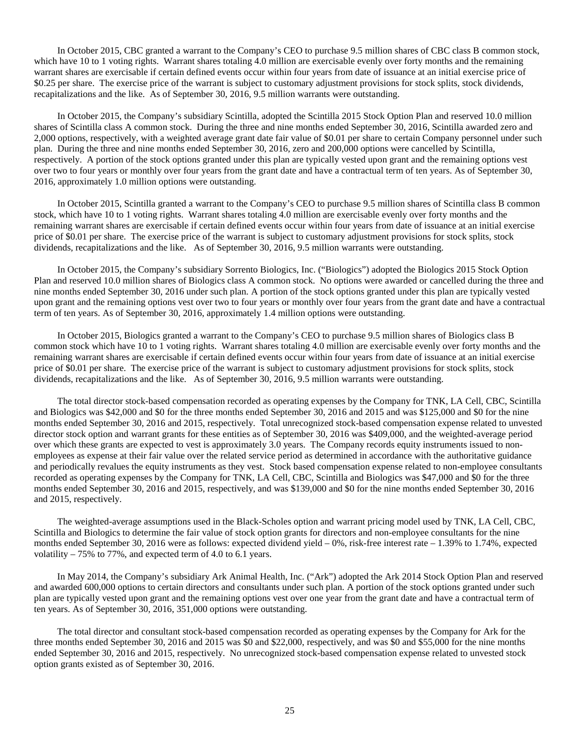In October 2015, CBC granted a warrant to the Company's CEO to purchase 9.5 million shares of CBC class B common stock, which have 10 to 1 voting rights. Warrant shares totaling 4.0 million are exercisable evenly over forty months and the remaining warrant shares are exercisable if certain defined events occur within four years from date of issuance at an initial exercise price of \$0.25 per share. The exercise price of the warrant is subject to customary adjustment provisions for stock splits, stock dividends, recapitalizations and the like. As of September 30, 2016, 9.5 million warrants were outstanding.

In October 2015, the Company's subsidiary Scintilla, adopted the Scintilla 2015 Stock Option Plan and reserved 10.0 million shares of Scintilla class A common stock. During the three and nine months ended September 30, 2016, Scintilla awarded zero and 2,000 options, respectively, with a weighted average grant date fair value of \$0.01 per share to certain Company personnel under such plan. During the three and nine months ended September 30, 2016, zero and 200,000 options were cancelled by Scintilla, respectively. A portion of the stock options granted under this plan are typically vested upon grant and the remaining options vest over two to four years or monthly over four years from the grant date and have a contractual term of ten years. As of September 30, 2016, approximately 1.0 million options were outstanding.

In October 2015, Scintilla granted a warrant to the Company's CEO to purchase 9.5 million shares of Scintilla class B common stock, which have 10 to 1 voting rights. Warrant shares totaling 4.0 million are exercisable evenly over forty months and the remaining warrant shares are exercisable if certain defined events occur within four years from date of issuance at an initial exercise price of \$0.01 per share. The exercise price of the warrant is subject to customary adjustment provisions for stock splits, stock dividends, recapitalizations and the like. As of September 30, 2016, 9.5 million warrants were outstanding.

In October 2015, the Company's subsidiary Sorrento Biologics, Inc. ("Biologics") adopted the Biologics 2015 Stock Option Plan and reserved 10.0 million shares of Biologics class A common stock. No options were awarded or cancelled during the three and nine months ended September 30, 2016 under such plan. A portion of the stock options granted under this plan are typically vested upon grant and the remaining options vest over two to four years or monthly over four years from the grant date and have a contractual term of ten years. As of September 30, 2016, approximately 1.4 million options were outstanding.

In October 2015, Biologics granted a warrant to the Company's CEO to purchase 9.5 million shares of Biologics class B common stock which have 10 to 1 voting rights. Warrant shares totaling 4.0 million are exercisable evenly over forty months and the remaining warrant shares are exercisable if certain defined events occur within four years from date of issuance at an initial exercise price of \$0.01 per share. The exercise price of the warrant is subject to customary adjustment provisions for stock splits, stock dividends, recapitalizations and the like. As of September 30, 2016, 9.5 million warrants were outstanding.

The total director stock-based compensation recorded as operating expenses by the Company for TNK, LA Cell, CBC, Scintilla and Biologics was \$42,000 and \$0 for the three months ended September 30, 2016 and 2015 and was \$125,000 and \$0 for the nine months ended September 30, 2016 and 2015, respectively. Total unrecognized stock-based compensation expense related to unvested director stock option and warrant grants for these entities as of September 30, 2016 was \$409,000, and the weighted-average period over which these grants are expected to vest is approximately 3.0 years. The Company records equity instruments issued to nonemployees as expense at their fair value over the related service period as determined in accordance with the authoritative guidance and periodically revalues the equity instruments as they vest. Stock based compensation expense related to non-employee consultants recorded as operating expenses by the Company for TNK, LA Cell, CBC, Scintilla and Biologics was \$47,000 and \$0 for the three months ended September 30, 2016 and 2015, respectively, and was \$139,000 and \$0 for the nine months ended September 30, 2016 and 2015, respectively.

The weighted-average assumptions used in the Black-Scholes option and warrant pricing model used by TNK, LA Cell, CBC, Scintilla and Biologics to determine the fair value of stock option grants for directors and non-employee consultants for the nine months ended September 30, 2016 were as follows: expected dividend yield – 0%, risk-free interest rate – 1.39% to 1.74%, expected volatility – 75% to 77%, and expected term of 4.0 to 6.1 years.

In May 2014, the Company's subsidiary Ark Animal Health, Inc. ("Ark") adopted the Ark 2014 Stock Option Plan and reserved and awarded 600,000 options to certain directors and consultants under such plan. A portion of the stock options granted under such plan are typically vested upon grant and the remaining options vest over one year from the grant date and have a contractual term of ten years. As of September 30, 2016, 351,000 options were outstanding.

The total director and consultant stock-based compensation recorded as operating expenses by the Company for Ark for the three months ended September 30, 2016 and 2015 was \$0 and \$22,000, respectively, and was \$0 and \$55,000 for the nine months ended September 30, 2016 and 2015, respectively. No unrecognized stock-based compensation expense related to unvested stock option grants existed as of September 30, 2016.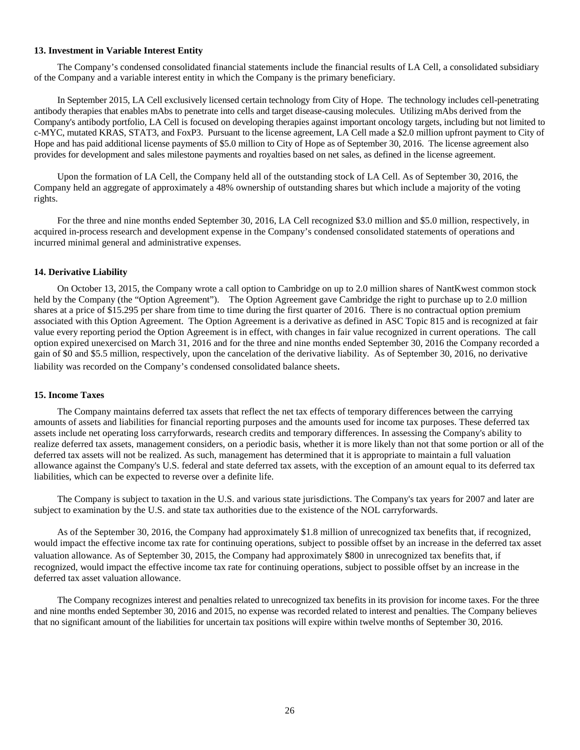#### **13. Investment in Variable Interest Entity**

The Company's condensed consolidated financial statements include the financial results of LA Cell, a consolidated subsidiary of the Company and a variable interest entity in which the Company is the primary beneficiary.

In September 2015, LA Cell exclusively licensed certain technology from City of Hope. The technology includes cell-penetrating antibody therapies that enables mAbs to penetrate into cells and target disease-causing molecules. Utilizing mAbs derived from the Company's antibody portfolio, LA Cell is focused on developing therapies against important oncology targets, including but not limited to c-MYC, mutated KRAS, STAT3, and FoxP3. Pursuant to the license agreement, LA Cell made a \$2.0 million upfront payment to City of Hope and has paid additional license payments of \$5.0 million to City of Hope as of September 30, 2016. The license agreement also provides for development and sales milestone payments and royalties based on net sales, as defined in the license agreement.

Upon the formation of LA Cell, the Company held all of the outstanding stock of LA Cell. As of September 30, 2016, the Company held an aggregate of approximately a 48% ownership of outstanding shares but which include a majority of the voting rights.

For the three and nine months ended September 30, 2016, LA Cell recognized \$3.0 million and \$5.0 million, respectively, in acquired in-process research and development expense in the Company's condensed consolidated statements of operations and incurred minimal general and administrative expenses.

#### **14. Derivative Liability**

On October 13, 2015, the Company wrote a call option to Cambridge on up to 2.0 million shares of NantKwest common stock held by the Company (the "Option Agreement"). The Option Agreement gave Cambridge the right to purchase up to 2.0 million shares at a price of \$15.295 per share from time to time during the first quarter of 2016. There is no contractual option premium associated with this Option Agreement. The Option Agreement is a derivative as defined in ASC Topic 815 and is recognized at fair value every reporting period the Option Agreement is in effect, with changes in fair value recognized in current operations. The call option expired unexercised on March 31, 2016 and for the three and nine months ended September 30, 2016 the Company recorded a gain of \$0 and \$5.5 million, respectively, upon the cancelation of the derivative liability. As of September 30, 2016, no derivative liability was recorded on the Company's condensed consolidated balance sheets.

#### **15. Income Taxes**

The Company maintains deferred tax assets that reflect the net tax effects of temporary differences between the carrying amounts of assets and liabilities for financial reporting purposes and the amounts used for income tax purposes. These deferred tax assets include net operating loss carryforwards, research credits and temporary differences. In assessing the Company's ability to realize deferred tax assets, management considers, on a periodic basis, whether it is more likely than not that some portion or all of the deferred tax assets will not be realized. As such, management has determined that it is appropriate to maintain a full valuation allowance against the Company's U.S. federal and state deferred tax assets, with the exception of an amount equal to its deferred tax liabilities, which can be expected to reverse over a definite life.

The Company is subject to taxation in the U.S. and various state jurisdictions. The Company's tax years for 2007 and later are subject to examination by the U.S. and state tax authorities due to the existence of the NOL carryforwards.

As of the September 30, 2016, the Company had approximately \$1.8 million of unrecognized tax benefits that, if recognized, would impact the effective income tax rate for continuing operations, subject to possible offset by an increase in the deferred tax asset valuation allowance. As of September 30, 2015, the Company had approximately \$800 in unrecognized tax benefits that, if recognized, would impact the effective income tax rate for continuing operations, subject to possible offset by an increase in the deferred tax asset valuation allowance.

The Company recognizes interest and penalties related to unrecognized tax benefits in its provision for income taxes. For the three and nine months ended September 30, 2016 and 2015, no expense was recorded related to interest and penalties. The Company believes that no significant amount of the liabilities for uncertain tax positions will expire within twelve months of September 30, 2016.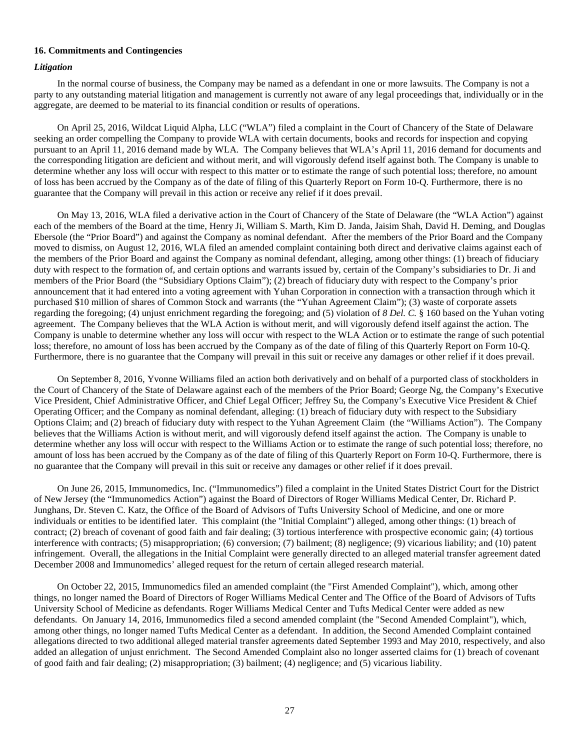#### **16. Commitments and Contingencies**

#### *Litigation*

In the normal course of business, the Company may be named as a defendant in one or more lawsuits. The Company is not a party to any outstanding material litigation and management is currently not aware of any legal proceedings that, individually or in the aggregate, are deemed to be material to its financial condition or results of operations.

On April 25, 2016, Wildcat Liquid Alpha, LLC ("WLA") filed a complaint in the Court of Chancery of the State of Delaware seeking an order compelling the Company to provide WLA with certain documents, books and records for inspection and copying pursuant to an April 11, 2016 demand made by WLA. The Company believes that WLA's April 11, 2016 demand for documents and the corresponding litigation are deficient and without merit, and will vigorously defend itself against both. The Company is unable to determine whether any loss will occur with respect to this matter or to estimate the range of such potential loss; therefore, no amount of loss has been accrued by the Company as of the date of filing of this Quarterly Report on Form 10-Q. Furthermore, there is no guarantee that the Company will prevail in this action or receive any relief if it does prevail.

On May 13, 2016, WLA filed a derivative action in the Court of Chancery of the State of Delaware (the "WLA Action") against each of the members of the Board at the time, Henry Ji, William S. Marth, Kim D. Janda, Jaisim Shah, David H. Deming, and Douglas Ebersole (the "Prior Board") and against the Company as nominal defendant. After the members of the Prior Board and the Company moved to dismiss, on August 12, 2016, WLA filed an amended complaint containing both direct and derivative claims against each of the members of the Prior Board and against the Company as nominal defendant, alleging, among other things: (1) breach of fiduciary duty with respect to the formation of, and certain options and warrants issued by, certain of the Company's subsidiaries to Dr. Ji and members of the Prior Board (the "Subsidiary Options Claim"); (2) breach of fiduciary duty with respect to the Company's prior announcement that it had entered into a voting agreement with Yuhan Corporation in connection with a transaction through which it purchased \$10 million of shares of Common Stock and warrants (the "Yuhan Agreement Claim"); (3) waste of corporate assets regarding the foregoing; (4) unjust enrichment regarding the foregoing; and (5) violation of *8 Del. C.* § 160 based on the Yuhan voting agreement. The Company believes that the WLA Action is without merit, and will vigorously defend itself against the action. The Company is unable to determine whether any loss will occur with respect to the WLA Action or to estimate the range of such potential loss; therefore, no amount of loss has been accrued by the Company as of the date of filing of this Quarterly Report on Form 10-Q. Furthermore, there is no guarantee that the Company will prevail in this suit or receive any damages or other relief if it does prevail.

On September 8, 2016, Yvonne Williams filed an action both derivatively and on behalf of a purported class of stockholders in the Court of Chancery of the State of Delaware against each of the members of the Prior Board; George Ng, the Company's Executive Vice President, Chief Administrative Officer, and Chief Legal Officer; Jeffrey Su, the Company's Executive Vice President & Chief Operating Officer; and the Company as nominal defendant, alleging: (1) breach of fiduciary duty with respect to the Subsidiary Options Claim; and (2) breach of fiduciary duty with respect to the Yuhan Agreement Claim (the "Williams Action"). The Company believes that the Williams Action is without merit, and will vigorously defend itself against the action. The Company is unable to determine whether any loss will occur with respect to the Williams Action or to estimate the range of such potential loss; therefore, no amount of loss has been accrued by the Company as of the date of filing of this Quarterly Report on Form 10-Q. Furthermore, there is no guarantee that the Company will prevail in this suit or receive any damages or other relief if it does prevail.

On June 26, 2015, Immunomedics, Inc. ("Immunomedics") filed a complaint in the United States District Court for the District of New Jersey (the "Immunomedics Action") against the Board of Directors of Roger Williams Medical Center, Dr. Richard P. Junghans, Dr. Steven C. Katz, the Office of the Board of Advisors of Tufts University School of Medicine, and one or more individuals or entities to be identified later. This complaint (the "Initial Complaint") alleged, among other things: (1) breach of contract; (2) breach of covenant of good faith and fair dealing; (3) tortious interference with prospective economic gain; (4) tortious interference with contracts; (5) misappropriation; (6) conversion; (7) bailment; (8) negligence; (9) vicarious liability; and (10) patent infringement. Overall, the allegations in the Initial Complaint were generally directed to an alleged material transfer agreement dated December 2008 and Immunomedics' alleged request for the return of certain alleged research material.

On October 22, 2015, Immunomedics filed an amended complaint (the "First Amended Complaint"), which, among other things, no longer named the Board of Directors of Roger Williams Medical Center and The Office of the Board of Advisors of Tufts University School of Medicine as defendants. Roger Williams Medical Center and Tufts Medical Center were added as new defendants. On January 14, 2016, Immunomedics filed a second amended complaint (the "Second Amended Complaint"), which, among other things, no longer named Tufts Medical Center as a defendant. In addition, the Second Amended Complaint contained allegations directed to two additional alleged material transfer agreements dated September 1993 and May 2010, respectively, and also added an allegation of unjust enrichment. The Second Amended Complaint also no longer asserted claims for (1) breach of covenant of good faith and fair dealing; (2) misappropriation; (3) bailment; (4) negligence; and (5) vicarious liability.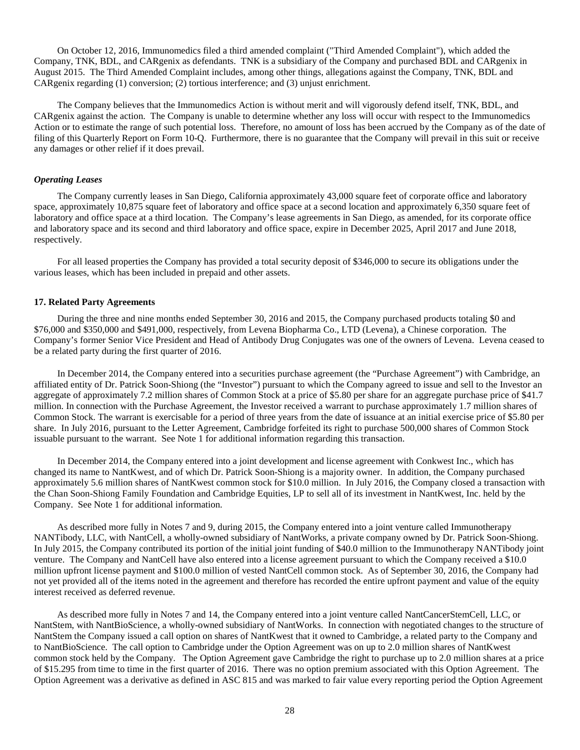On October 12, 2016, Immunomedics filed a third amended complaint ("Third Amended Complaint"), which added the Company, TNK, BDL, and CARgenix as defendants. TNK is a subsidiary of the Company and purchased BDL and CARgenix in August 2015. The Third Amended Complaint includes, among other things, allegations against the Company, TNK, BDL and CARgenix regarding (1) conversion; (2) tortious interference; and (3) unjust enrichment.

The Company believes that the Immunomedics Action is without merit and will vigorously defend itself, TNK, BDL, and CARgenix against the action. The Company is unable to determine whether any loss will occur with respect to the Immunomedics Action or to estimate the range of such potential loss. Therefore, no amount of loss has been accrued by the Company as of the date of filing of this Quarterly Report on Form 10-Q. Furthermore, there is no guarantee that the Company will prevail in this suit or receive any damages or other relief if it does prevail.

#### *Operating Leases*

The Company currently leases in San Diego, California approximately 43,000 square feet of corporate office and laboratory space, approximately 10,875 square feet of laboratory and office space at a second location and approximately 6,350 square feet of laboratory and office space at a third location. The Company's lease agreements in San Diego, as amended, for its corporate office and laboratory space and its second and third laboratory and office space, expire in December 2025, April 2017 and June 2018, respectively.

For all leased properties the Company has provided a total security deposit of \$346,000 to secure its obligations under the various leases, which has been included in prepaid and other assets.

#### **17. Related Party Agreements**

During the three and nine months ended September 30, 2016 and 2015, the Company purchased products totaling \$0 and \$76,000 and \$350,000 and \$491,000, respectively, from Levena Biopharma Co., LTD (Levena), a Chinese corporation. The Company's former Senior Vice President and Head of Antibody Drug Conjugates was one of the owners of Levena. Levena ceased to be a related party during the first quarter of 2016.

In December 2014, the Company entered into a securities purchase agreement (the "Purchase Agreement") with Cambridge, an affiliated entity of Dr. Patrick Soon-Shiong (the "Investor") pursuant to which the Company agreed to issue and sell to the Investor an aggregate of approximately 7.2 million shares of Common Stock at a price of \$5.80 per share for an aggregate purchase price of \$41.7 million. In connection with the Purchase Agreement, the Investor received a warrant to purchase approximately 1.7 million shares of Common Stock. The warrant is exercisable for a period of three years from the date of issuance at an initial exercise price of \$5.80 per share. In July 2016, pursuant to the Letter Agreement, Cambridge forfeited its right to purchase 500,000 shares of Common Stock issuable pursuant to the warrant. See Note 1 for additional information regarding this transaction.

In December 2014, the Company entered into a joint development and license agreement with Conkwest Inc., which has changed its name to NantKwest, and of which Dr. Patrick Soon-Shiong is a majority owner. In addition, the Company purchased approximately 5.6 million shares of NantKwest common stock for \$10.0 million. In July 2016, the Company closed a transaction with the Chan Soon-Shiong Family Foundation and Cambridge Equities, LP to sell all of its investment in NantKwest, Inc. held by the Company. See Note 1 for additional information.

As described more fully in Notes 7 and 9, during 2015, the Company entered into a joint venture called Immunotherapy NANTibody, LLC, with NantCell, a wholly-owned subsidiary of NantWorks, a private company owned by Dr. Patrick Soon-Shiong. In July 2015, the Company contributed its portion of the initial joint funding of \$40.0 million to the Immunotherapy NANTibody joint venture. The Company and NantCell have also entered into a license agreement pursuant to which the Company received a \$10.0 million upfront license payment and \$100.0 million of vested NantCell common stock. As of September 30, 2016, the Company had not yet provided all of the items noted in the agreement and therefore has recorded the entire upfront payment and value of the equity interest received as deferred revenue.

As described more fully in Notes 7 and 14, the Company entered into a joint venture called NantCancerStemCell, LLC, or NantStem, with NantBioScience, a wholly-owned subsidiary of NantWorks. In connection with negotiated changes to the structure of NantStem the Company issued a call option on shares of NantKwest that it owned to Cambridge, a related party to the Company and to NantBioScience. The call option to Cambridge under the Option Agreement was on up to 2.0 million shares of NantKwest common stock held by the Company. The Option Agreement gave Cambridge the right to purchase up to 2.0 million shares at a price of \$15.295 from time to time in the first quarter of 2016. There was no option premium associated with this Option Agreement. The Option Agreement was a derivative as defined in ASC 815 and was marked to fair value every reporting period the Option Agreement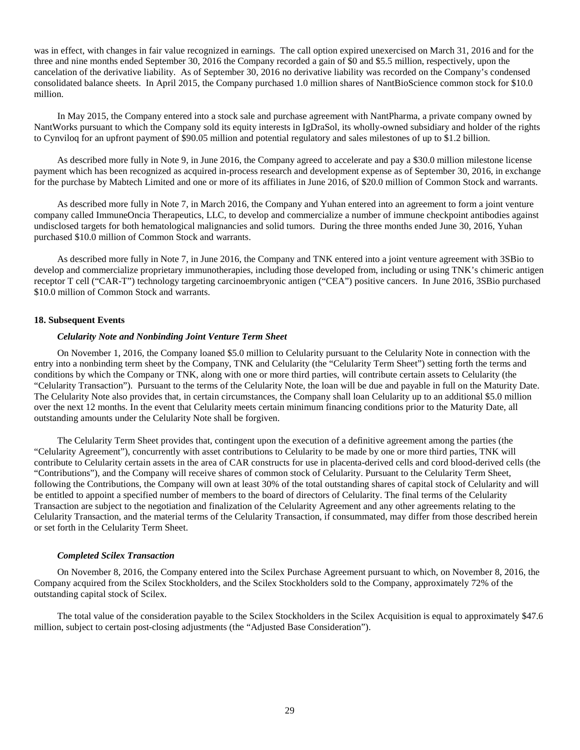was in effect, with changes in fair value recognized in earnings. The call option expired unexercised on March 31, 2016 and for the three and nine months ended September 30, 2016 the Company recorded a gain of \$0 and \$5.5 million, respectively, upon the cancelation of the derivative liability. As of September 30, 2016 no derivative liability was recorded on the Company's condensed consolidated balance sheets. In April 2015, the Company purchased 1.0 million shares of NantBioScience common stock for \$10.0 million.

In May 2015, the Company entered into a stock sale and purchase agreement with NantPharma, a private company owned by NantWorks pursuant to which the Company sold its equity interests in IgDraSol, its wholly-owned subsidiary and holder of the rights to Cynviloq for an upfront payment of \$90.05 million and potential regulatory and sales milestones of up to \$1.2 billion.

As described more fully in Note 9, in June 2016, the Company agreed to accelerate and pay a \$30.0 million milestone license payment which has been recognized as acquired in-process research and development expense as of September 30, 2016, in exchange for the purchase by Mabtech Limited and one or more of its affiliates in June 2016, of \$20.0 million of Common Stock and warrants.

As described more fully in Note 7, in March 2016, the Company and Yuhan entered into an agreement to form a joint venture company called ImmuneOncia Therapeutics, LLC, to develop and commercialize a number of immune checkpoint antibodies against undisclosed targets for both hematological malignancies and solid tumors. During the three months ended June 30, 2016, Yuhan purchased \$10.0 million of Common Stock and warrants.

As described more fully in Note 7, in June 2016, the Company and TNK entered into a joint venture agreement with 3SBio to develop and commercialize proprietary immunotherapies, including those developed from, including or using TNK's chimeric antigen receptor T cell ("CAR-T") technology targeting carcinoembryonic antigen ("CEA") positive cancers. In June 2016, 3SBio purchased \$10.0 million of Common Stock and warrants.

#### **18. Subsequent Events**

#### *Celularity Note and Nonbinding Joint Venture Term Sheet*

On November 1, 2016, the Company loaned \$5.0 million to Celularity pursuant to the Celularity Note in connection with the entry into a nonbinding term sheet by the Company, TNK and Celularity (the "Celularity Term Sheet") setting forth the terms and conditions by which the Company or TNK, along with one or more third parties, will contribute certain assets to Celularity (the "Celularity Transaction"). Pursuant to the terms of the Celularity Note, the loan will be due and payable in full on the Maturity Date. The Celularity Note also provides that, in certain circumstances, the Company shall loan Celularity up to an additional \$5.0 million over the next 12 months. In the event that Celularity meets certain minimum financing conditions prior to the Maturity Date, all outstanding amounts under the Celularity Note shall be forgiven.

The Celularity Term Sheet provides that, contingent upon the execution of a definitive agreement among the parties (the "Celularity Agreement"), concurrently with asset contributions to Celularity to be made by one or more third parties, TNK will contribute to Celularity certain assets in the area of CAR constructs for use in placenta-derived cells and cord blood-derived cells (the "Contributions"), and the Company will receive shares of common stock of Celularity. Pursuant to the Celularity Term Sheet, following the Contributions, the Company will own at least 30% of the total outstanding shares of capital stock of Celularity and will be entitled to appoint a specified number of members to the board of directors of Celularity. The final terms of the Celularity Transaction are subject to the negotiation and finalization of the Celularity Agreement and any other agreements relating to the Celularity Transaction, and the material terms of the Celularity Transaction, if consummated, may differ from those described herein or set forth in the Celularity Term Sheet.

#### *Completed Scilex Transaction*

On November 8, 2016, the Company entered into the Scilex Purchase Agreement pursuant to which, on November 8, 2016, the Company acquired from the Scilex Stockholders, and the Scilex Stockholders sold to the Company, approximately 72% of the outstanding capital stock of Scilex.

The total value of the consideration payable to the Scilex Stockholders in the Scilex Acquisition is equal to approximately \$47.6 million, subject to certain post-closing adjustments (the "Adjusted Base Consideration").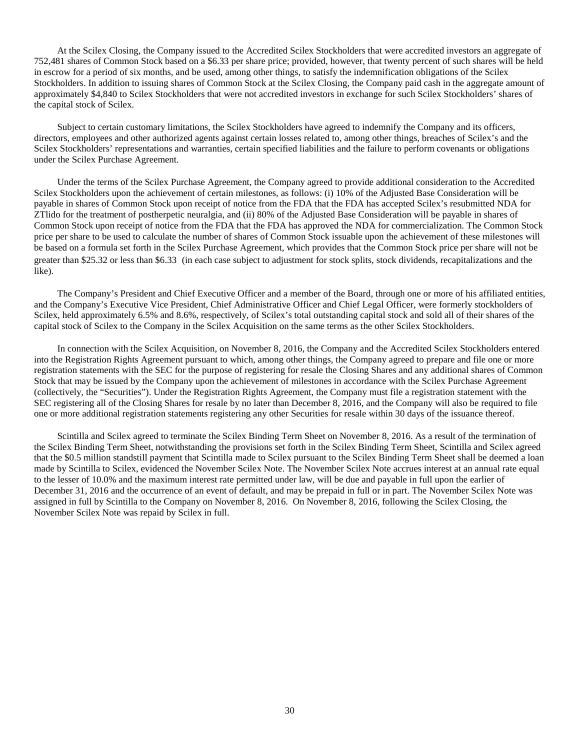At the Scilex Closing, the Company issued to the Accredited Scilex Stockholders that were accredited investors an aggregate of 752,481 shares of Common Stock based on a \$6.33 per share price; provided, however, that twenty percent of such shares will be held in escrow for a period of six months, and be used, among other things, to satisfy the indemnification obligations of the Scilex Stockholders. In addition to issuing shares of Common Stock at the Scilex Closing, the Company paid cash in the aggregate amount of approximately \$4,840 to Scilex Stockholders that were not accredited investors in exchange for such Scilex Stockholders' shares of the capital stock of Scilex.

Subject to certain customary limitations, the Scilex Stockholders have agreed to indemnify the Company and its officers, directors, employees and other authorized agents against certain losses related to, among other things, breaches of Scilex's and the Scilex Stockholders' representations and warranties, certain specified liabilities and the failure to perform covenants or obligations under the Scilex Purchase Agreement.

Under the terms of the Scilex Purchase Agreement, the Company agreed to provide additional consideration to the Accredited Scilex Stockholders upon the achievement of certain milestones, as follows: (i) 10% of the Adjusted Base Consideration will be payable in shares of Common Stock upon receipt of notice from the FDA that the FDA has accepted Scilex's resubmitted NDA for ZTlido for the treatment of postherpetic neuralgia, and (ii) 80% of the Adjusted Base Consideration will be payable in shares of Common Stock upon receipt of notice from the FDA that the FDA has approved the NDA for commercialization. The Common Stock price per share to be used to calculate the number of shares of Common Stock issuable upon the achievement of these milestones will be based on a formula set forth in the Scilex Purchase Agreement, which provides that the Common Stock price per share will not be greater than \$25.32 or less than \$6.33 (in each case subject to adjustment for stock splits, stock dividends, recapitalizations and the like).

The Company's President and Chief Executive Officer and a member of the Board, through one or more of his affiliated entities, and the Company's Executive Vice President, Chief Administrative Officer and Chief Legal Officer, were formerly stockholders of Scilex, held approximately 6.5% and 8.6%, respectively, of Scilex's total outstanding capital stock and sold all of their shares of the capital stock of Scilex to the Company in the Scilex Acquisition on the same terms as the other Scilex Stockholders.

In connection with the Scilex Acquisition, on November 8, 2016, the Company and the Accredited Scilex Stockholders entered into the Registration Rights Agreement pursuant to which, among other things, the Company agreed to prepare and file one or more registration statements with the SEC for the purpose of registering for resale the Closing Shares and any additional shares of Common Stock that may be issued by the Company upon the achievement of milestones in accordance with the Scilex Purchase Agreement (collectively, the "Securities"). Under the Registration Rights Agreement, the Company must file a registration statement with the SEC registering all of the Closing Shares for resale by no later than December 8, 2016, and the Company will also be required to file one or more additional registration statements registering any other Securities for resale within 30 days of the issuance thereof.

Scintilla and Scilex agreed to terminate the Scilex Binding Term Sheet on November 8, 2016. As a result of the termination of the Scilex Binding Term Sheet, notwithstanding the provisions set forth in the Scilex Binding Term Sheet, Scintilla and Scilex agreed that the \$0.5 million standstill payment that Scintilla made to Scilex pursuant to the Scilex Binding Term Sheet shall be deemed a loan made by Scintilla to Scilex, evidenced the November Scilex Note. The November Scilex Note accrues interest at an annual rate equal to the lesser of 10.0% and the maximum interest rate permitted under law, will be due and payable in full upon the earlier of December 31, 2016 and the occurrence of an event of default, and may be prepaid in full or in part. The November Scilex Note was assigned in full by Scintilla to the Company on November 8, 2016. On November 8, 2016, following the Scilex Closing, the November Scilex Note was repaid by Scilex in full.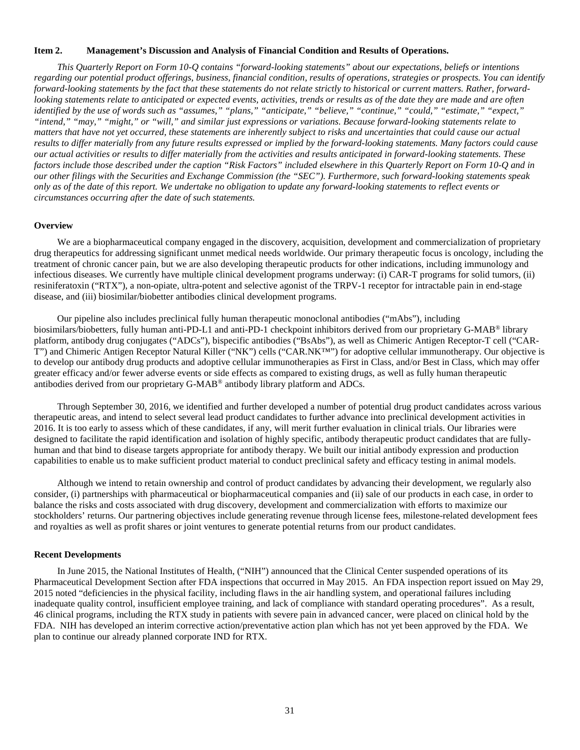#### <span id="page-32-0"></span>**Item 2. Management's Discussion and Analysis of Financial Condition and Results of Operations.**

*This Quarterly Report on Form 10-Q contains "forward-looking statements" about our expectations, beliefs or intentions regarding our potential product offerings, business, financial condition, results of operations, strategies or prospects. You can identify forward-looking statements by the fact that these statements do not relate strictly to historical or current matters. Rather, forwardlooking statements relate to anticipated or expected events, activities, trends or results as of the date they are made and are often identified by the use of words such as "assumes," "plans," "anticipate," "believe," "continue," "could," "estimate," "expect," "intend," "may," "might," or "will," and similar just expressions or variations. Because forward-looking statements relate to matters that have not yet occurred, these statements are inherently subject to risks and uncertainties that could cause our actual results to differ materially from any future results expressed or implied by the forward-looking statements. Many factors could cause our actual activities or results to differ materially from the activities and results anticipated in forward-looking statements. These factors include those described under the caption "Risk Factors" included elsewhere in this Quarterly Report on Form 10-Q and in our other filings with the Securities and Exchange Commission (the "SEC"). Furthermore, such forward-looking statements speak only as of the date of this report. We undertake no obligation to update any forward-looking statements to reflect events or circumstances occurring after the date of such statements.* 

#### **Overview**

We are a biopharmaceutical company engaged in the discovery, acquisition, development and commercialization of proprietary drug therapeutics for addressing significant unmet medical needs worldwide. Our primary therapeutic focus is oncology, including the treatment of chronic cancer pain, but we are also developing therapeutic products for other indications, including immunology and infectious diseases. We currently have multiple clinical development programs underway: (i) CAR-T programs for solid tumors, (ii) resiniferatoxin ("RTX"), a non-opiate, ultra-potent and selective agonist of the TRPV-1 receptor for intractable pain in end-stage disease, and (iii) biosimilar/biobetter antibodies clinical development programs.

Our pipeline also includes preclinical fully human therapeutic monoclonal antibodies ("mAbs"), including biosimilars/biobetters, fully human anti-PD-L1 and anti-PD-1 checkpoint inhibitors derived from our proprietary G-MAB® library platform, antibody drug conjugates ("ADCs"), bispecific antibodies ("BsAbs"), as well as Chimeric Antigen Receptor-T cell ("CAR-T") and Chimeric Antigen Receptor Natural Killer ("NK") cells ("CAR.NK™") for adoptive cellular immunotherapy. Our objective is to develop our antibody drug products and adoptive cellular immunotherapies as First in Class, and/or Best in Class, which may offer greater efficacy and/or fewer adverse events or side effects as compared to existing drugs, as well as fully human therapeutic antibodies derived from our proprietary G-MAB® antibody library platform and ADCs.

Through September 30, 2016, we identified and further developed a number of potential drug product candidates across various therapeutic areas, and intend to select several lead product candidates to further advance into preclinical development activities in 2016. It is too early to assess which of these candidates, if any, will merit further evaluation in clinical trials. Our libraries were designed to facilitate the rapid identification and isolation of highly specific, antibody therapeutic product candidates that are fullyhuman and that bind to disease targets appropriate for antibody therapy. We built our initial antibody expression and production capabilities to enable us to make sufficient product material to conduct preclinical safety and efficacy testing in animal models.

Although we intend to retain ownership and control of product candidates by advancing their development, we regularly also consider, (i) partnerships with pharmaceutical or biopharmaceutical companies and (ii) sale of our products in each case, in order to balance the risks and costs associated with drug discovery, development and commercialization with efforts to maximize our stockholders' returns. Our partnering objectives include generating revenue through license fees, milestone-related development fees and royalties as well as profit shares or joint ventures to generate potential returns from our product candidates.

#### **Recent Developments**

In June 2015, the National Institutes of Health, ("NIH") announced that the Clinical Center suspended operations of its Pharmaceutical Development Section after FDA inspections that occurred in May 2015. An FDA inspection report issued on May 29, 2015 noted "deficiencies in the physical facility, including flaws in the air handling system, and operational failures including inadequate quality control, insufficient employee training, and lack of compliance with standard operating procedures". As a result, 46 clinical programs, including the RTX study in patients with severe pain in advanced cancer, were placed on clinical hold by the FDA. NIH has developed an interim corrective action/preventative action plan which has not yet been approved by the FDA. We plan to continue our already planned corporate IND for RTX.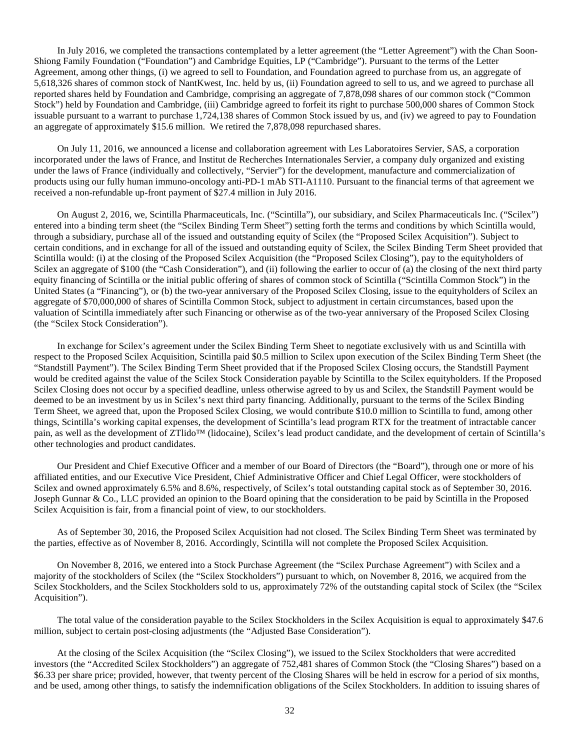In July 2016, we completed the transactions contemplated by a letter agreement (the "Letter Agreement") with the Chan Soon-Shiong Family Foundation ("Foundation") and Cambridge Equities, LP ("Cambridge"). Pursuant to the terms of the Letter Agreement, among other things, (i) we agreed to sell to Foundation, and Foundation agreed to purchase from us, an aggregate of 5,618,326 shares of common stock of NantKwest, Inc. held by us, (ii) Foundation agreed to sell to us, and we agreed to purchase all reported shares held by Foundation and Cambridge, comprising an aggregate of 7,878,098 shares of our common stock ("Common Stock") held by Foundation and Cambridge, (iii) Cambridge agreed to forfeit its right to purchase 500,000 shares of Common Stock issuable pursuant to a warrant to purchase 1,724,138 shares of Common Stock issued by us, and (iv) we agreed to pay to Foundation an aggregate of approximately \$15.6 million. We retired the 7,878,098 repurchased shares.

On July 11, 2016, we announced a license and collaboration agreement with Les Laboratoires Servier, SAS, a corporation incorporated under the laws of France, and Institut de Recherches Internationales Servier, a company duly organized and existing under the laws of France (individually and collectively, "Servier") for the development, manufacture and commercialization of products using our fully human immuno-oncology anti-PD-1 mAb STI-A1110. Pursuant to the financial terms of that agreement we received a non-refundable up-front payment of \$27.4 million in July 2016.

On August 2, 2016, we, Scintilla Pharmaceuticals, Inc. ("Scintilla"), our subsidiary, and Scilex Pharmaceuticals Inc. ("Scilex") entered into a binding term sheet (the "Scilex Binding Term Sheet") setting forth the terms and conditions by which Scintilla would, through a subsidiary, purchase all of the issued and outstanding equity of Scilex (the "Proposed Scilex Acquisition"). Subject to certain conditions, and in exchange for all of the issued and outstanding equity of Scilex, the Scilex Binding Term Sheet provided that Scintilla would: (i) at the closing of the Proposed Scilex Acquisition (the "Proposed Scilex Closing"), pay to the equityholders of Scilex an aggregate of \$100 (the "Cash Consideration"), and (ii) following the earlier to occur of (a) the closing of the next third party equity financing of Scintilla or the initial public offering of shares of common stock of Scintilla ("Scintilla Common Stock") in the United States (a "Financing"), or (b) the two-year anniversary of the Proposed Scilex Closing, issue to the equityholders of Scilex an aggregate of \$70,000,000 of shares of Scintilla Common Stock, subject to adjustment in certain circumstances, based upon the valuation of Scintilla immediately after such Financing or otherwise as of the two-year anniversary of the Proposed Scilex Closing (the "Scilex Stock Consideration").

In exchange for Scilex's agreement under the Scilex Binding Term Sheet to negotiate exclusively with us and Scintilla with respect to the Proposed Scilex Acquisition, Scintilla paid \$0.5 million to Scilex upon execution of the Scilex Binding Term Sheet (the "Standstill Payment"). The Scilex Binding Term Sheet provided that if the Proposed Scilex Closing occurs, the Standstill Payment would be credited against the value of the Scilex Stock Consideration payable by Scintilla to the Scilex equityholders. If the Proposed Scilex Closing does not occur by a specified deadline, unless otherwise agreed to by us and Scilex, the Standstill Payment would be deemed to be an investment by us in Scilex's next third party financing. Additionally, pursuant to the terms of the Scilex Binding Term Sheet, we agreed that, upon the Proposed Scilex Closing, we would contribute \$10.0 million to Scintilla to fund, among other things, Scintilla's working capital expenses, the development of Scintilla's lead program RTX for the treatment of intractable cancer pain, as well as the development of ZTlido<sup>™</sup> (lidocaine), Scilex's lead product candidate, and the development of certain of Scintilla's other technologies and product candidates.

Our President and Chief Executive Officer and a member of our Board of Directors (the "Board"), through one or more of his affiliated entities, and our Executive Vice President, Chief Administrative Officer and Chief Legal Officer, were stockholders of Scilex and owned approximately 6.5% and 8.6%, respectively, of Scilex's total outstanding capital stock as of September 30, 2016. Joseph Gunnar & Co., LLC provided an opinion to the Board opining that the consideration to be paid by Scintilla in the Proposed Scilex Acquisition is fair, from a financial point of view, to our stockholders.

As of September 30, 2016, the Proposed Scilex Acquisition had not closed. The Scilex Binding Term Sheet was terminated by the parties, effective as of November 8, 2016. Accordingly, Scintilla will not complete the Proposed Scilex Acquisition.

On November 8, 2016, we entered into a Stock Purchase Agreement (the "Scilex Purchase Agreement") with Scilex and a majority of the stockholders of Scilex (the "Scilex Stockholders") pursuant to which, on November 8, 2016, we acquired from the Scilex Stockholders, and the Scilex Stockholders sold to us, approximately 72% of the outstanding capital stock of Scilex (the "Scilex Acquisition").

The total value of the consideration payable to the Scilex Stockholders in the Scilex Acquisition is equal to approximately \$47.6 million, subject to certain post-closing adjustments (the "Adjusted Base Consideration").

At the closing of the Scilex Acquisition (the "Scilex Closing"), we issued to the Scilex Stockholders that were accredited investors (the "Accredited Scilex Stockholders") an aggregate of 752,481 shares of Common Stock (the "Closing Shares") based on a \$6.33 per share price; provided, however, that twenty percent of the Closing Shares will be held in escrow for a period of six months, and be used, among other things, to satisfy the indemnification obligations of the Scilex Stockholders. In addition to issuing shares of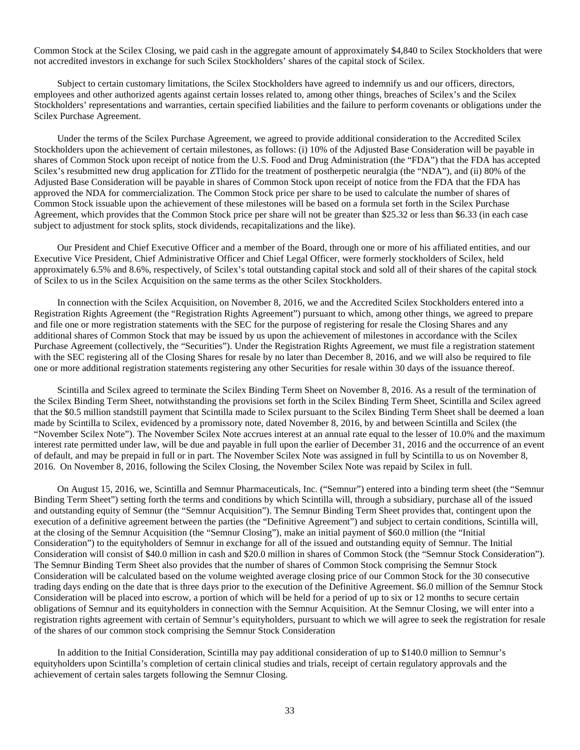Common Stock at the Scilex Closing, we paid cash in the aggregate amount of approximately \$4,840 to Scilex Stockholders that were not accredited investors in exchange for such Scilex Stockholders' shares of the capital stock of Scilex.

Subject to certain customary limitations, the Scilex Stockholders have agreed to indemnify us and our officers, directors, employees and other authorized agents against certain losses related to, among other things, breaches of Scilex's and the Scilex Stockholders' representations and warranties, certain specified liabilities and the failure to perform covenants or obligations under the Scilex Purchase Agreement.

Under the terms of the Scilex Purchase Agreement, we agreed to provide additional consideration to the Accredited Scilex Stockholders upon the achievement of certain milestones, as follows: (i) 10% of the Adjusted Base Consideration will be payable in shares of Common Stock upon receipt of notice from the U.S. Food and Drug Administration (the "FDA") that the FDA has accepted Scilex's resubmitted new drug application for ZTlido for the treatment of postherpetic neuralgia (the "NDA"), and (ii) 80% of the Adjusted Base Consideration will be payable in shares of Common Stock upon receipt of notice from the FDA that the FDA has approved the NDA for commercialization. The Common Stock price per share to be used to calculate the number of shares of Common Stock issuable upon the achievement of these milestones will be based on a formula set forth in the Scilex Purchase Agreement, which provides that the Common Stock price per share will not be greater than \$25.32 or less than \$6.33 (in each case subject to adjustment for stock splits, stock dividends, recapitalizations and the like).

Our President and Chief Executive Officer and a member of the Board, through one or more of his affiliated entities, and our Executive Vice President, Chief Administrative Officer and Chief Legal Officer, were formerly stockholders of Scilex, held approximately 6.5% and 8.6%, respectively, of Scilex's total outstanding capital stock and sold all of their shares of the capital stock of Scilex to us in the Scilex Acquisition on the same terms as the other Scilex Stockholders.

In connection with the Scilex Acquisition, on November 8, 2016, we and the Accredited Scilex Stockholders entered into a Registration Rights Agreement (the "Registration Rights Agreement") pursuant to which, among other things, we agreed to prepare and file one or more registration statements with the SEC for the purpose of registering for resale the Closing Shares and any additional shares of Common Stock that may be issued by us upon the achievement of milestones in accordance with the Scilex Purchase Agreement (collectively, the "Securities"). Under the Registration Rights Agreement, we must file a registration statement with the SEC registering all of the Closing Shares for resale by no later than December 8, 2016, and we will also be required to file one or more additional registration statements registering any other Securities for resale within 30 days of the issuance thereof.

Scintilla and Scilex agreed to terminate the Scilex Binding Term Sheet on November 8, 2016. As a result of the termination of the Scilex Binding Term Sheet, notwithstanding the provisions set forth in the Scilex Binding Term Sheet, Scintilla and Scilex agreed that the \$0.5 million standstill payment that Scintilla made to Scilex pursuant to the Scilex Binding Term Sheet shall be deemed a loan made by Scintilla to Scilex, evidenced by a promissory note, dated November 8, 2016, by and between Scintilla and Scilex (the "November Scilex Note"). The November Scilex Note accrues interest at an annual rate equal to the lesser of 10.0% and the maximum interest rate permitted under law, will be due and payable in full upon the earlier of December 31, 2016 and the occurrence of an event of default, and may be prepaid in full or in part. The November Scilex Note was assigned in full by Scintilla to us on November 8, 2016. On November 8, 2016, following the Scilex Closing, the November Scilex Note was repaid by Scilex in full.

On August 15, 2016, we, Scintilla and Semnur Pharmaceuticals, Inc. ("Semnur") entered into a binding term sheet (the "Semnur Binding Term Sheet") setting forth the terms and conditions by which Scintilla will, through a subsidiary, purchase all of the issued and outstanding equity of Semnur (the "Semnur Acquisition"). The Semnur Binding Term Sheet provides that, contingent upon the execution of a definitive agreement between the parties (the "Definitive Agreement") and subject to certain conditions, Scintilla will, at the closing of the Semnur Acquisition (the "Semnur Closing"), make an initial payment of \$60.0 million (the "Initial Consideration") to the equityholders of Semnur in exchange for all of the issued and outstanding equity of Semnur. The Initial Consideration will consist of \$40.0 million in cash and \$20.0 million in shares of Common Stock (the "Semnur Stock Consideration"). The Semnur Binding Term Sheet also provides that the number of shares of Common Stock comprising the Semnur Stock Consideration will be calculated based on the volume weighted average closing price of our Common Stock for the 30 consecutive trading days ending on the date that is three days prior to the execution of the Definitive Agreement. \$6.0 million of the Semnur Stock Consideration will be placed into escrow, a portion of which will be held for a period of up to six or 12 months to secure certain obligations of Semnur and its equityholders in connection with the Semnur Acquisition. At the Semnur Closing, we will enter into a registration rights agreement with certain of Semnur's equityholders, pursuant to which we will agree to seek the registration for resale of the shares of our common stock comprising the Semnur Stock Consideration

In addition to the Initial Consideration, Scintilla may pay additional consideration of up to \$140.0 million to Semnur's equityholders upon Scintilla's completion of certain clinical studies and trials, receipt of certain regulatory approvals and the achievement of certain sales targets following the Semnur Closing.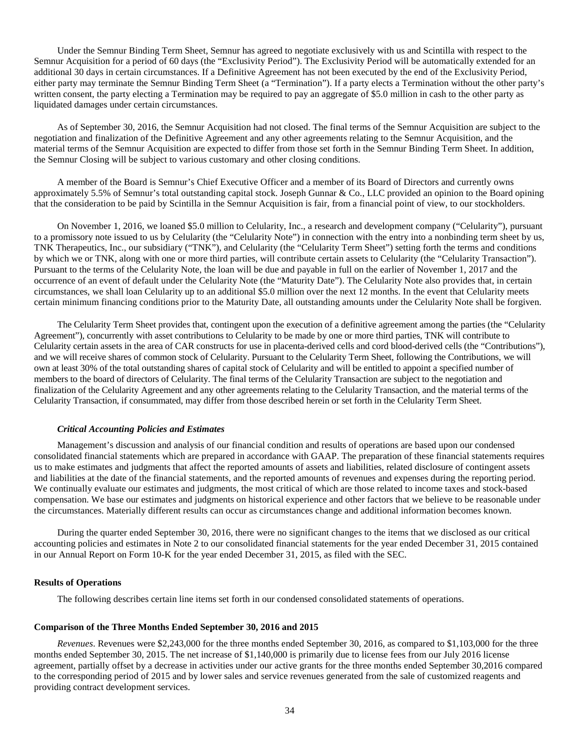Under the Semnur Binding Term Sheet, Semnur has agreed to negotiate exclusively with us and Scintilla with respect to the Semnur Acquisition for a period of 60 days (the "Exclusivity Period"). The Exclusivity Period will be automatically extended for an additional 30 days in certain circumstances. If a Definitive Agreement has not been executed by the end of the Exclusivity Period, either party may terminate the Semnur Binding Term Sheet (a "Termination"). If a party elects a Termination without the other party's written consent, the party electing a Termination may be required to pay an aggregate of \$5.0 million in cash to the other party as liquidated damages under certain circumstances.

As of September 30, 2016, the Semnur Acquisition had not closed. The final terms of the Semnur Acquisition are subject to the negotiation and finalization of the Definitive Agreement and any other agreements relating to the Semnur Acquisition, and the material terms of the Semnur Acquisition are expected to differ from those set forth in the Semnur Binding Term Sheet. In addition, the Semnur Closing will be subject to various customary and other closing conditions.

A member of the Board is Semnur's Chief Executive Officer and a member of its Board of Directors and currently owns approximately 5.5% of Semnur's total outstanding capital stock. Joseph Gunnar & Co., LLC provided an opinion to the Board opining that the consideration to be paid by Scintilla in the Semnur Acquisition is fair, from a financial point of view, to our stockholders.

On November 1, 2016, we loaned \$5.0 million to Celularity, Inc., a research and development company ("Celularity"), pursuant to a promissory note issued to us by Celularity (the "Celularity Note") in connection with the entry into a nonbinding term sheet by us, TNK Therapeutics, Inc., our subsidiary ("TNK"), and Celularity (the "Celularity Term Sheet") setting forth the terms and conditions by which we or TNK, along with one or more third parties, will contribute certain assets to Celularity (the "Celularity Transaction"). Pursuant to the terms of the Celularity Note, the loan will be due and payable in full on the earlier of November 1, 2017 and the occurrence of an event of default under the Celularity Note (the "Maturity Date"). The Celularity Note also provides that, in certain circumstances, we shall loan Celularity up to an additional \$5.0 million over the next 12 months. In the event that Celularity meets certain minimum financing conditions prior to the Maturity Date, all outstanding amounts under the Celularity Note shall be forgiven.

The Celularity Term Sheet provides that, contingent upon the execution of a definitive agreement among the parties (the "Celularity Agreement"), concurrently with asset contributions to Celularity to be made by one or more third parties, TNK will contribute to Celularity certain assets in the area of CAR constructs for use in placenta-derived cells and cord blood-derived cells (the "Contributions"), and we will receive shares of common stock of Celularity. Pursuant to the Celularity Term Sheet, following the Contributions, we will own at least 30% of the total outstanding shares of capital stock of Celularity and will be entitled to appoint a specified number of members to the board of directors of Celularity. The final terms of the Celularity Transaction are subject to the negotiation and finalization of the Celularity Agreement and any other agreements relating to the Celularity Transaction, and the material terms of the Celularity Transaction, if consummated, may differ from those described herein or set forth in the Celularity Term Sheet.

#### *Critical Accounting Policies and Estimates*

Management's discussion and analysis of our financial condition and results of operations are based upon our condensed consolidated financial statements which are prepared in accordance with GAAP. The preparation of these financial statements requires us to make estimates and judgments that affect the reported amounts of assets and liabilities, related disclosure of contingent assets and liabilities at the date of the financial statements, and the reported amounts of revenues and expenses during the reporting period. We continually evaluate our estimates and judgments, the most critical of which are those related to income taxes and stock-based compensation. We base our estimates and judgments on historical experience and other factors that we believe to be reasonable under the circumstances. Materially different results can occur as circumstances change and additional information becomes known.

During the quarter ended September 30, 2016, there were no significant changes to the items that we disclosed as our critical accounting policies and estimates in Note 2 to our consolidated financial statements for the year ended December 31, 2015 contained in our Annual Report on Form 10-K for the year ended December 31, 2015, as filed with the SEC.

#### **Results of Operations**

The following describes certain line items set forth in our condensed consolidated statements of operations.

#### **Comparison of the Three Months Ended September 30, 2016 and 2015**

*Revenues*. Revenues were \$2,243,000 for the three months ended September 30, 2016, as compared to \$1,103,000 for the three months ended September 30, 2015. The net increase of \$1,140,000 is primarily due to license fees from our July 2016 license agreement, partially offset by a decrease in activities under our active grants for the three months ended September 30,2016 compared to the corresponding period of 2015 and by lower sales and service revenues generated from the sale of customized reagents and providing contract development services.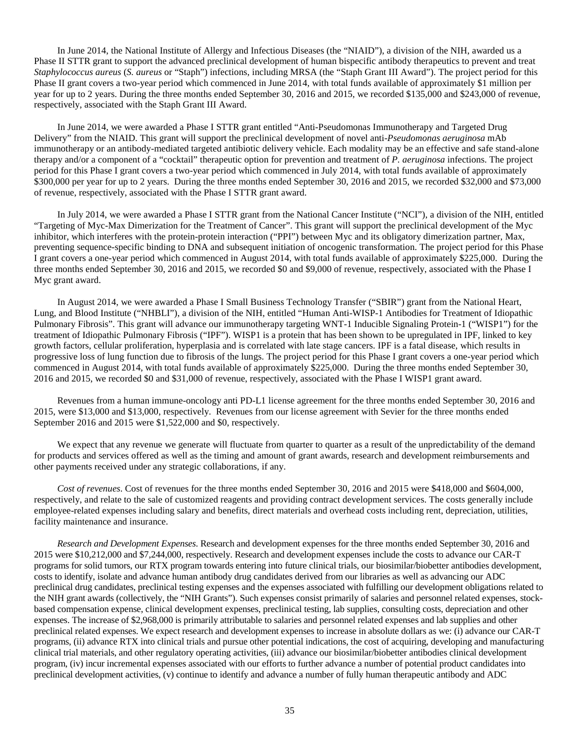In June 2014, the National Institute of Allergy and Infectious Diseases (the "NIAID"), a division of the NIH, awarded us a Phase II STTR grant to support the advanced preclinical development of human bispecific antibody therapeutics to prevent and treat *Staphylococcus aureus* (*S. aureus* or "Staph") infections, including MRSA (the "Staph Grant III Award"). The project period for this Phase II grant covers a two-year period which commenced in June 2014, with total funds available of approximately \$1 million per year for up to 2 years. During the three months ended September 30, 2016 and 2015, we recorded \$135,000 and \$243,000 of revenue, respectively, associated with the Staph Grant III Award.

In June 2014, we were awarded a Phase I STTR grant entitled "Anti-Pseudomonas Immunotherapy and Targeted Drug Delivery" from the NIAID. This grant will support the preclinical development of novel anti-*Pseudomonas aeruginosa* mAb immunotherapy or an antibody-mediated targeted antibiotic delivery vehicle. Each modality may be an effective and safe stand-alone therapy and/or a component of a "cocktail" therapeutic option for prevention and treatment of *P. aeruginosa* infections. The project period for this Phase I grant covers a two-year period which commenced in July 2014, with total funds available of approximately \$300,000 per year for up to 2 years. During the three months ended September 30, 2016 and 2015, we recorded \$32,000 and \$73,000 of revenue, respectively, associated with the Phase I STTR grant award.

In July 2014, we were awarded a Phase I STTR grant from the National Cancer Institute ("NCI"), a division of the NIH, entitled "Targeting of Myc-Max Dimerization for the Treatment of Cancer". This grant will support the preclinical development of the Myc inhibitor, which interferes with the protein-protein interaction ("PPI") between Myc and its obligatory dimerization partner, Max, preventing sequence-specific binding to DNA and subsequent initiation of oncogenic transformation. The project period for this Phase I grant covers a one-year period which commenced in August 2014, with total funds available of approximately \$225,000. During the three months ended September 30, 2016 and 2015, we recorded \$0 and \$9,000 of revenue, respectively, associated with the Phase I Myc grant award.

In August 2014, we were awarded a Phase I Small Business Technology Transfer ("SBIR") grant from the National Heart, Lung, and Blood Institute ("NHBLI"), a division of the NIH, entitled "Human Anti-WISP-1 Antibodies for Treatment of Idiopathic Pulmonary Fibrosis". This grant will advance our immunotherapy targeting WNT-1 Inducible Signaling Protein-1 ("WISP1") for the treatment of Idiopathic Pulmonary Fibrosis ("IPF"). WISP1 is a protein that has been shown to be upregulated in IPF, linked to key growth factors, cellular proliferation, hyperplasia and is correlated with late stage cancers. IPF is a fatal disease, which results in progressive loss of lung function due to fibrosis of the lungs. The project period for this Phase I grant covers a one-year period which commenced in August 2014, with total funds available of approximately \$225,000. During the three months ended September 30, 2016 and 2015, we recorded \$0 and \$31,000 of revenue, respectively, associated with the Phase I WISP1 grant award.

Revenues from a human immune-oncology anti PD-L1 license agreement for the three months ended September 30, 2016 and 2015, were \$13,000 and \$13,000, respectively. Revenues from our license agreement with Sevier for the three months ended September 2016 and 2015 were \$1,522,000 and \$0, respectively.

We expect that any revenue we generate will fluctuate from quarter to quarter as a result of the unpredictability of the demand for products and services offered as well as the timing and amount of grant awards, research and development reimbursements and other payments received under any strategic collaborations, if any.

*Cost of revenues*. Cost of revenues for the three months ended September 30, 2016 and 2015 were \$418,000 and \$604,000, respectively, and relate to the sale of customized reagents and providing contract development services. The costs generally include employee-related expenses including salary and benefits, direct materials and overhead costs including rent, depreciation, utilities, facility maintenance and insurance.

*Research and Development Expenses*. Research and development expenses for the three months ended September 30, 2016 and 2015 were \$10,212,000 and \$7,244,000, respectively. Research and development expenses include the costs to advance our CAR-T programs for solid tumors, our RTX program towards entering into future clinical trials, our biosimilar/biobetter antibodies development, costs to identify, isolate and advance human antibody drug candidates derived from our libraries as well as advancing our ADC preclinical drug candidates, preclinical testing expenses and the expenses associated with fulfilling our development obligations related to the NIH grant awards (collectively, the "NIH Grants"). Such expenses consist primarily of salaries and personnel related expenses, stockbased compensation expense, clinical development expenses, preclinical testing, lab supplies, consulting costs, depreciation and other expenses. The increase of \$2,968,000 is primarily attributable to salaries and personnel related expenses and lab supplies and other preclinical related expenses. We expect research and development expenses to increase in absolute dollars as we: (i) advance our CAR-T programs, (ii) advance RTX into clinical trials and pursue other potential indications, the cost of acquiring, developing and manufacturing clinical trial materials, and other regulatory operating activities, (iii) advance our biosimilar/biobetter antibodies clinical development program, (iv) incur incremental expenses associated with our efforts to further advance a number of potential product candidates into preclinical development activities, (v) continue to identify and advance a number of fully human therapeutic antibody and ADC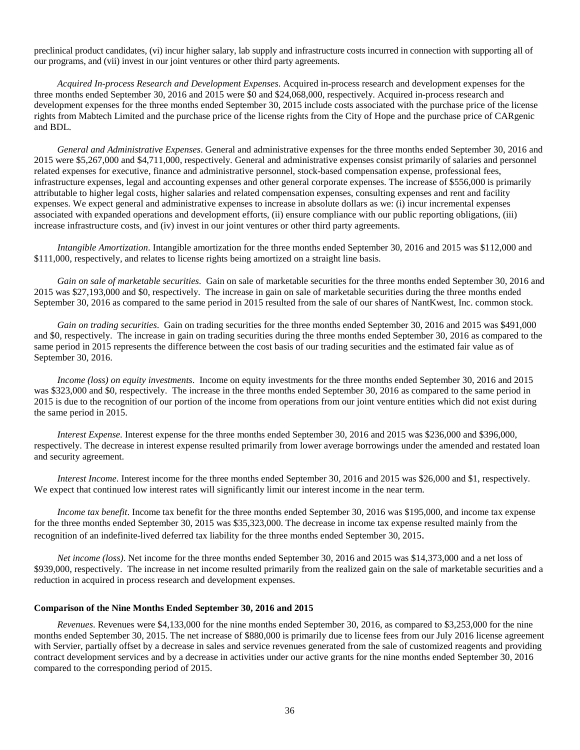preclinical product candidates, (vi) incur higher salary, lab supply and infrastructure costs incurred in connection with supporting all of our programs, and (vii) invest in our joint ventures or other third party agreements.

*Acquired In-process Research and Development Expenses*. Acquired in-process research and development expenses for the three months ended September 30, 2016 and 2015 were \$0 and \$24,068,000, respectively. Acquired in-process research and development expenses for the three months ended September 30, 2015 include costs associated with the purchase price of the license rights from Mabtech Limited and the purchase price of the license rights from the City of Hope and the purchase price of CARgenic and BDL.

*General and Administrative Expenses*. General and administrative expenses for the three months ended September 30, 2016 and 2015 were \$5,267,000 and \$4,711,000, respectively. General and administrative expenses consist primarily of salaries and personnel related expenses for executive, finance and administrative personnel, stock-based compensation expense, professional fees, infrastructure expenses, legal and accounting expenses and other general corporate expenses. The increase of \$556,000 is primarily attributable to higher legal costs, higher salaries and related compensation expenses, consulting expenses and rent and facility expenses. We expect general and administrative expenses to increase in absolute dollars as we: (i) incur incremental expenses associated with expanded operations and development efforts, (ii) ensure compliance with our public reporting obligations, (iii) increase infrastructure costs, and (iv) invest in our joint ventures or other third party agreements.

*Intangible Amortization*. Intangible amortization for the three months ended September 30, 2016 and 2015 was \$112,000 and \$111,000, respectively, and relates to license rights being amortized on a straight line basis.

*Gain on sale of marketable securities*. Gain on sale of marketable securities for the three months ended September 30, 2016 and 2015 was \$27,193,000 and \$0, respectively. The increase in gain on sale of marketable securities during the three months ended September 30, 2016 as compared to the same period in 2015 resulted from the sale of our shares of NantKwest, Inc. common stock.

*Gain on trading securities*. Gain on trading securities for the three months ended September 30, 2016 and 2015 was \$491,000 and \$0, respectively. The increase in gain on trading securities during the three months ended September 30, 2016 as compared to the same period in 2015 represents the difference between the cost basis of our trading securities and the estimated fair value as of September 30, 2016.

*Income (loss) on equity investments*. Income on equity investments for the three months ended September 30, 2016 and 2015 was \$323,000 and \$0, respectively. The increase in the three months ended September 30, 2016 as compared to the same period in 2015 is due to the recognition of our portion of the income from operations from our joint venture entities which did not exist during the same period in 2015.

*Interest Expense*. Interest expense for the three months ended September 30, 2016 and 2015 was \$236,000 and \$396,000, respectively. The decrease in interest expense resulted primarily from lower average borrowings under the amended and restated loan and security agreement.

*Interest Income*. Interest income for the three months ended September 30, 2016 and 2015 was \$26,000 and \$1, respectively. We expect that continued low interest rates will significantly limit our interest income in the near term.

*Income tax benefit*. Income tax benefit for the three months ended September 30, 2016 was \$195,000, and income tax expense for the three months ended September 30, 2015 was \$35,323,000. The decrease in income tax expense resulted mainly from the recognition of an indefinite-lived deferred tax liability for the three months ended September 30, 2015.

*Net income (loss)*. Net income for the three months ended September 30, 2016 and 2015 was \$14,373,000 and a net loss of \$939,000, respectively. The increase in net income resulted primarily from the realized gain on the sale of marketable securities and a reduction in acquired in process research and development expenses.

#### **Comparison of the Nine Months Ended September 30, 2016 and 2015**

*Revenues*. Revenues were \$4,133,000 for the nine months ended September 30, 2016, as compared to \$3,253,000 for the nine months ended September 30, 2015. The net increase of \$880,000 is primarily due to license fees from our July 2016 license agreement with Servier, partially offset by a decrease in sales and service revenues generated from the sale of customized reagents and providing contract development services and by a decrease in activities under our active grants for the nine months ended September 30, 2016 compared to the corresponding period of 2015.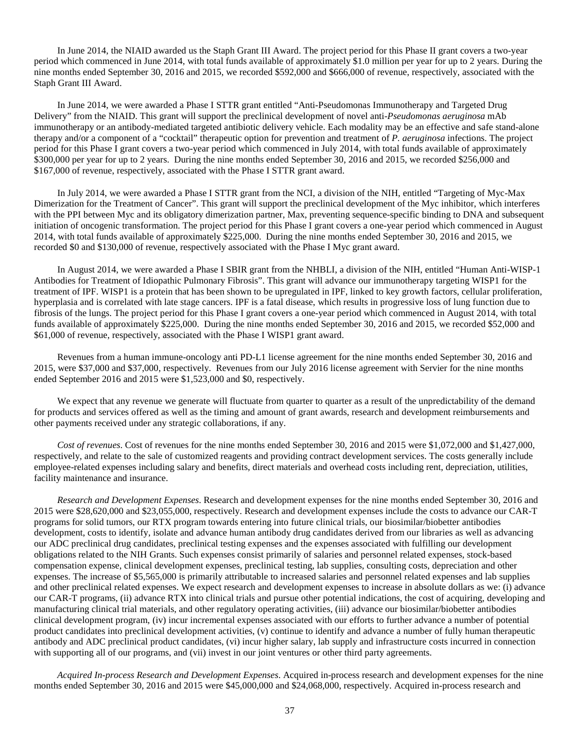In June 2014, the NIAID awarded us the Staph Grant III Award. The project period for this Phase II grant covers a two-year period which commenced in June 2014, with total funds available of approximately \$1.0 million per year for up to 2 years. During the nine months ended September 30, 2016 and 2015, we recorded \$592,000 and \$666,000 of revenue, respectively, associated with the Staph Grant III Award.

In June 2014, we were awarded a Phase I STTR grant entitled "Anti-Pseudomonas Immunotherapy and Targeted Drug Delivery" from the NIAID. This grant will support the preclinical development of novel anti-*Pseudomonas aeruginosa* mAb immunotherapy or an antibody-mediated targeted antibiotic delivery vehicle. Each modality may be an effective and safe stand-alone therapy and/or a component of a "cocktail" therapeutic option for prevention and treatment of *P. aeruginosa* infections. The project period for this Phase I grant covers a two-year period which commenced in July 2014, with total funds available of approximately \$300,000 per year for up to 2 years. During the nine months ended September 30, 2016 and 2015, we recorded \$256,000 and \$167,000 of revenue, respectively, associated with the Phase I STTR grant award.

In July 2014, we were awarded a Phase I STTR grant from the NCI, a division of the NIH, entitled "Targeting of Myc-Max Dimerization for the Treatment of Cancer". This grant will support the preclinical development of the Myc inhibitor, which interferes with the PPI between Myc and its obligatory dimerization partner, Max, preventing sequence-specific binding to DNA and subsequent initiation of oncogenic transformation. The project period for this Phase I grant covers a one-year period which commenced in August 2014, with total funds available of approximately \$225,000. During the nine months ended September 30, 2016 and 2015, we recorded \$0 and \$130,000 of revenue, respectively associated with the Phase I Myc grant award.

In August 2014, we were awarded a Phase I SBIR grant from the NHBLI, a division of the NIH, entitled "Human Anti-WISP-1 Antibodies for Treatment of Idiopathic Pulmonary Fibrosis". This grant will advance our immunotherapy targeting WISP1 for the treatment of IPF. WISP1 is a protein that has been shown to be upregulated in IPF, linked to key growth factors, cellular proliferation, hyperplasia and is correlated with late stage cancers. IPF is a fatal disease, which results in progressive loss of lung function due to fibrosis of the lungs. The project period for this Phase I grant covers a one-year period which commenced in August 2014, with total funds available of approximately \$225,000. During the nine months ended September 30, 2016 and 2015, we recorded \$52,000 and \$61,000 of revenue, respectively, associated with the Phase I WISP1 grant award.

Revenues from a human immune-oncology anti PD-L1 license agreement for the nine months ended September 30, 2016 and 2015, were \$37,000 and \$37,000, respectively. Revenues from our July 2016 license agreement with Servier for the nine months ended September 2016 and 2015 were \$1,523,000 and \$0, respectively.

We expect that any revenue we generate will fluctuate from quarter to quarter as a result of the unpredictability of the demand for products and services offered as well as the timing and amount of grant awards, research and development reimbursements and other payments received under any strategic collaborations, if any.

*Cost of revenues*. Cost of revenues for the nine months ended September 30, 2016 and 2015 were \$1,072,000 and \$1,427,000, respectively, and relate to the sale of customized reagents and providing contract development services. The costs generally include employee-related expenses including salary and benefits, direct materials and overhead costs including rent, depreciation, utilities, facility maintenance and insurance.

*Research and Development Expenses*. Research and development expenses for the nine months ended September 30, 2016 and 2015 were \$28,620,000 and \$23,055,000, respectively. Research and development expenses include the costs to advance our CAR-T programs for solid tumors, our RTX program towards entering into future clinical trials, our biosimilar/biobetter antibodies development, costs to identify, isolate and advance human antibody drug candidates derived from our libraries as well as advancing our ADC preclinical drug candidates, preclinical testing expenses and the expenses associated with fulfilling our development obligations related to the NIH Grants. Such expenses consist primarily of salaries and personnel related expenses, stock-based compensation expense, clinical development expenses, preclinical testing, lab supplies, consulting costs, depreciation and other expenses. The increase of \$5,565,000 is primarily attributable to increased salaries and personnel related expenses and lab supplies and other preclinical related expenses. We expect research and development expenses to increase in absolute dollars as we: (i) advance our CAR-T programs, (ii) advance RTX into clinical trials and pursue other potential indications, the cost of acquiring, developing and manufacturing clinical trial materials, and other regulatory operating activities, (iii) advance our biosimilar/biobetter antibodies clinical development program, (iv) incur incremental expenses associated with our efforts to further advance a number of potential product candidates into preclinical development activities, (v) continue to identify and advance a number of fully human therapeutic antibody and ADC preclinical product candidates, (vi) incur higher salary, lab supply and infrastructure costs incurred in connection with supporting all of our programs, and (vii) invest in our joint ventures or other third party agreements.

*Acquired In-process Research and Development Expenses*. Acquired in-process research and development expenses for the nine months ended September 30, 2016 and 2015 were \$45,000,000 and \$24,068,000, respectively. Acquired in-process research and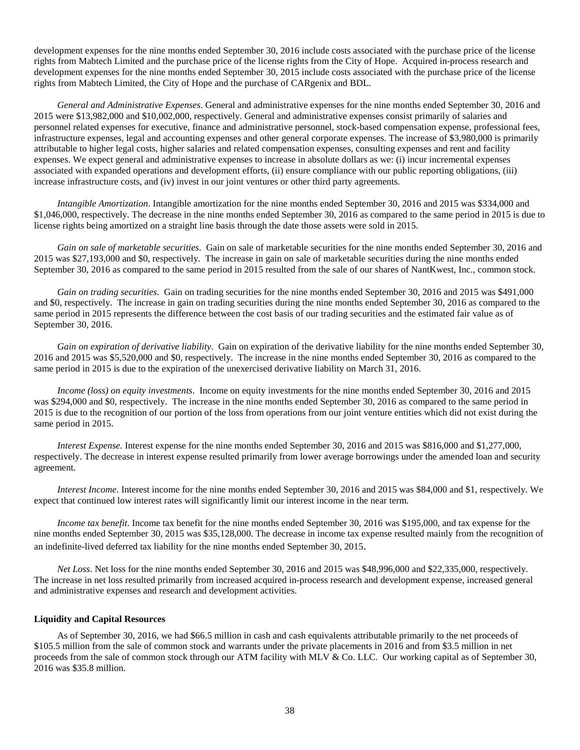development expenses for the nine months ended September 30, 2016 include costs associated with the purchase price of the license rights from Mabtech Limited and the purchase price of the license rights from the City of Hope. Acquired in-process research and development expenses for the nine months ended September 30, 2015 include costs associated with the purchase price of the license rights from Mabtech Limited, the City of Hope and the purchase of CARgenix and BDL.

*General and Administrative Expenses*. General and administrative expenses for the nine months ended September 30, 2016 and 2015 were \$13,982,000 and \$10,002,000, respectively. General and administrative expenses consist primarily of salaries and personnel related expenses for executive, finance and administrative personnel, stock-based compensation expense, professional fees, infrastructure expenses, legal and accounting expenses and other general corporate expenses. The increase of \$3,980,000 is primarily attributable to higher legal costs, higher salaries and related compensation expenses, consulting expenses and rent and facility expenses. We expect general and administrative expenses to increase in absolute dollars as we: (i) incur incremental expenses associated with expanded operations and development efforts, (ii) ensure compliance with our public reporting obligations, (iii) increase infrastructure costs, and (iv) invest in our joint ventures or other third party agreements.

*Intangible Amortization*. Intangible amortization for the nine months ended September 30, 2016 and 2015 was \$334,000 and \$1,046,000, respectively. The decrease in the nine months ended September 30, 2016 as compared to the same period in 2015 is due to license rights being amortized on a straight line basis through the date those assets were sold in 2015.

*Gain on sale of marketable securities*. Gain on sale of marketable securities for the nine months ended September 30, 2016 and 2015 was \$27,193,000 and \$0, respectively. The increase in gain on sale of marketable securities during the nine months ended September 30, 2016 as compared to the same period in 2015 resulted from the sale of our shares of NantKwest, Inc., common stock.

*Gain on trading securities*. Gain on trading securities for the nine months ended September 30, 2016 and 2015 was \$491,000 and \$0, respectively. The increase in gain on trading securities during the nine months ended September 30, 2016 as compared to the same period in 2015 represents the difference between the cost basis of our trading securities and the estimated fair value as of September 30, 2016.

*Gain on expiration of derivative liability*. Gain on expiration of the derivative liability for the nine months ended September 30, 2016 and 2015 was \$5,520,000 and \$0, respectively. The increase in the nine months ended September 30, 2016 as compared to the same period in 2015 is due to the expiration of the unexercised derivative liability on March 31, 2016.

*Income (loss) on equity investments*. Income on equity investments for the nine months ended September 30, 2016 and 2015 was \$294,000 and \$0, respectively. The increase in the nine months ended September 30, 2016 as compared to the same period in 2015 is due to the recognition of our portion of the loss from operations from our joint venture entities which did not exist during the same period in 2015.

*Interest Expense*. Interest expense for the nine months ended September 30, 2016 and 2015 was \$816,000 and \$1,277,000, respectively. The decrease in interest expense resulted primarily from lower average borrowings under the amended loan and security agreement.

*Interest Income*. Interest income for the nine months ended September 30, 2016 and 2015 was \$84,000 and \$1, respectively. We expect that continued low interest rates will significantly limit our interest income in the near term.

*Income tax benefit*. Income tax benefit for the nine months ended September 30, 2016 was \$195,000, and tax expense for the nine months ended September 30, 2015 was \$35,128,000. The decrease in income tax expense resulted mainly from the recognition of an indefinite-lived deferred tax liability for the nine months ended September 30, 2015.

*Net Loss*. Net loss for the nine months ended September 30, 2016 and 2015 was \$48,996,000 and \$22,335,000, respectively. The increase in net loss resulted primarily from increased acquired in-process research and development expense, increased general and administrative expenses and research and development activities.

#### **Liquidity and Capital Resources**

As of September 30, 2016, we had \$66.5 million in cash and cash equivalents attributable primarily to the net proceeds of \$105.5 million from the sale of common stock and warrants under the private placements in 2016 and from \$3.5 million in net proceeds from the sale of common stock through our ATM facility with MLV & Co. LLC. Our working capital as of September 30, 2016 was \$35.8 million.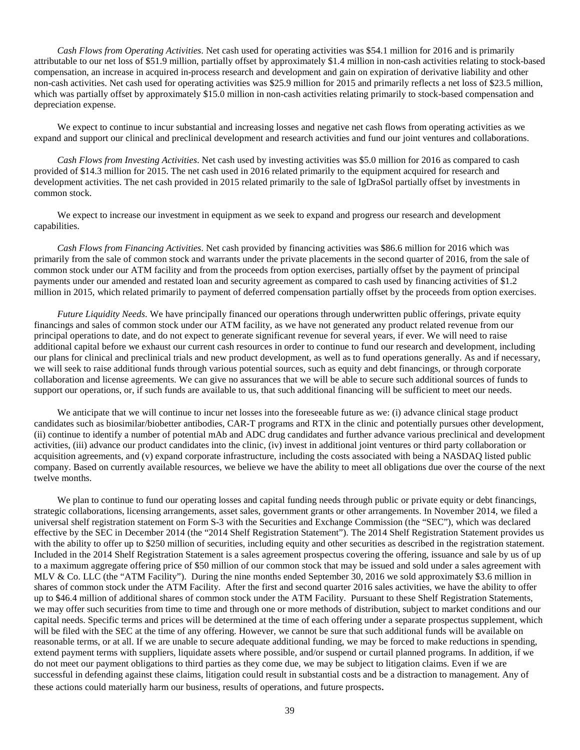*Cash Flows from Operating Activities*. Net cash used for operating activities was \$54.1 million for 2016 and is primarily attributable to our net loss of \$51.9 million, partially offset by approximately \$1.4 million in non-cash activities relating to stock-based compensation, an increase in acquired in-process research and development and gain on expiration of derivative liability and other non-cash activities. Net cash used for operating activities was \$25.9 million for 2015 and primarily reflects a net loss of \$23.5 million, which was partially offset by approximately \$15.0 million in non-cash activities relating primarily to stock-based compensation and depreciation expense.

We expect to continue to incur substantial and increasing losses and negative net cash flows from operating activities as we expand and support our clinical and preclinical development and research activities and fund our joint ventures and collaborations.

*Cash Flows from Investing Activities*. Net cash used by investing activities was \$5.0 million for 2016 as compared to cash provided of \$14.3 million for 2015. The net cash used in 2016 related primarily to the equipment acquired for research and development activities. The net cash provided in 2015 related primarily to the sale of IgDraSol partially offset by investments in common stock.

We expect to increase our investment in equipment as we seek to expand and progress our research and development capabilities.

*Cash Flows from Financing Activities*. Net cash provided by financing activities was \$86.6 million for 2016 which was primarily from the sale of common stock and warrants under the private placements in the second quarter of 2016, from the sale of common stock under our ATM facility and from the proceeds from option exercises, partially offset by the payment of principal payments under our amended and restated loan and security agreement as compared to cash used by financing activities of \$1.2 million in 2015, which related primarily to payment of deferred compensation partially offset by the proceeds from option exercises.

*Future Liquidity Needs*. We have principally financed our operations through underwritten public offerings, private equity financings and sales of common stock under our ATM facility, as we have not generated any product related revenue from our principal operations to date, and do not expect to generate significant revenue for several years, if ever. We will need to raise additional capital before we exhaust our current cash resources in order to continue to fund our research and development, including our plans for clinical and preclinical trials and new product development, as well as to fund operations generally. As and if necessary, we will seek to raise additional funds through various potential sources, such as equity and debt financings, or through corporate collaboration and license agreements. We can give no assurances that we will be able to secure such additional sources of funds to support our operations, or, if such funds are available to us, that such additional financing will be sufficient to meet our needs.

We anticipate that we will continue to incur net losses into the foreseeable future as we: (i) advance clinical stage product candidates such as biosimilar/biobetter antibodies, CAR-T programs and RTX in the clinic and potentially pursues other development, (ii) continue to identify a number of potential mAb and ADC drug candidates and further advance various preclinical and development activities, (iii) advance our product candidates into the clinic, (iv) invest in additional joint ventures or third party collaboration or acquisition agreements, and (v) expand corporate infrastructure, including the costs associated with being a NASDAQ listed public company. Based on currently available resources, we believe we have the ability to meet all obligations due over the course of the next twelve months.

We plan to continue to fund our operating losses and capital funding needs through public or private equity or debt financings, strategic collaborations, licensing arrangements, asset sales, government grants or other arrangements. In November 2014, we filed a universal shelf registration statement on Form S-3 with the Securities and Exchange Commission (the "SEC"), which was declared effective by the SEC in December 2014 (the "2014 Shelf Registration Statement"). The 2014 Shelf Registration Statement provides us with the ability to offer up to \$250 million of securities, including equity and other securities as described in the registration statement. Included in the 2014 Shelf Registration Statement is a sales agreement prospectus covering the offering, issuance and sale by us of up to a maximum aggregate offering price of \$50 million of our common stock that may be issued and sold under a sales agreement with MLV & Co. LLC (the "ATM Facility"). During the nine months ended September 30, 2016 we sold approximately \$3.6 million in shares of common stock under the ATM Facility. After the first and second quarter 2016 sales activities, we have the ability to offer up to \$46.4 million of additional shares of common stock under the ATM Facility. Pursuant to these Shelf Registration Statements, we may offer such securities from time to time and through one or more methods of distribution, subject to market conditions and our capital needs. Specific terms and prices will be determined at the time of each offering under a separate prospectus supplement, which will be filed with the SEC at the time of any offering. However, we cannot be sure that such additional funds will be available on reasonable terms, or at all. If we are unable to secure adequate additional funding, we may be forced to make reductions in spending, extend payment terms with suppliers, liquidate assets where possible, and/or suspend or curtail planned programs. In addition, if we do not meet our payment obligations to third parties as they come due, we may be subject to litigation claims. Even if we are successful in defending against these claims, litigation could result in substantial costs and be a distraction to management. Any of these actions could materially harm our business, results of operations, and future prospects.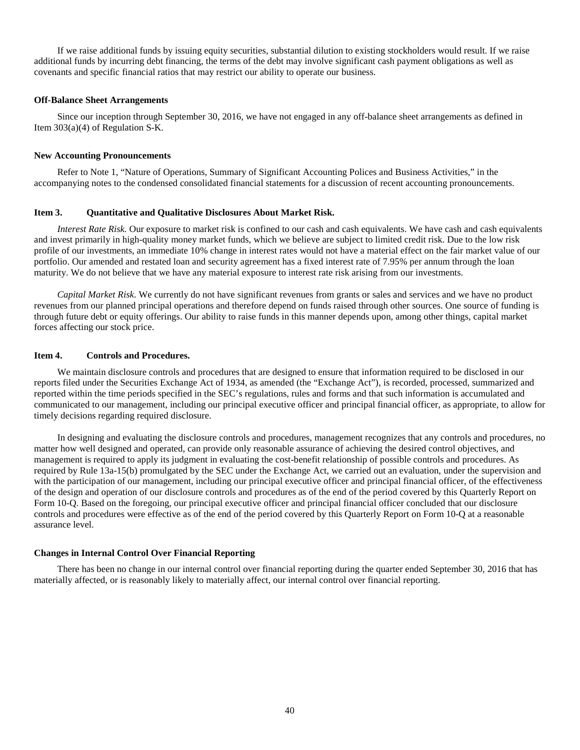If we raise additional funds by issuing equity securities, substantial dilution to existing stockholders would result. If we raise additional funds by incurring debt financing, the terms of the debt may involve significant cash payment obligations as well as covenants and specific financial ratios that may restrict our ability to operate our business.

#### **Off-Balance Sheet Arrangements**

Since our inception through September 30, 2016, we have not engaged in any off-balance sheet arrangements as defined in Item 303(a)(4) of Regulation S-K.

#### **New Accounting Pronouncements**

Refer to Note 1, "Nature of Operations, Summary of Significant Accounting Polices and Business Activities," in the accompanying notes to the condensed consolidated financial statements for a discussion of recent accounting pronouncements.

#### <span id="page-41-0"></span>**Item 3. Quantitative and Qualitative Disclosures About Market Risk.**

*Interest Rate Risk.* Our exposure to market risk is confined to our cash and cash equivalents. We have cash and cash equivalents and invest primarily in high-quality money market funds, which we believe are subject to limited credit risk. Due to the low risk profile of our investments, an immediate 10% change in interest rates would not have a material effect on the fair market value of our portfolio. Our amended and restated loan and security agreement has a fixed interest rate of 7.95% per annum through the loan maturity. We do not believe that we have any material exposure to interest rate risk arising from our investments.

*Capital Market Risk*. We currently do not have significant revenues from grants or sales and services and we have no product revenues from our planned principal operations and therefore depend on funds raised through other sources. One source of funding is through future debt or equity offerings. Our ability to raise funds in this manner depends upon, among other things, capital market forces affecting our stock price.

#### <span id="page-41-1"></span>**Item 4. Controls and Procedures.**

We maintain disclosure controls and procedures that are designed to ensure that information required to be disclosed in our reports filed under the Securities Exchange Act of 1934, as amended (the "Exchange Act"), is recorded, processed, summarized and reported within the time periods specified in the SEC's regulations, rules and forms and that such information is accumulated and communicated to our management, including our principal executive officer and principal financial officer, as appropriate, to allow for timely decisions regarding required disclosure.

In designing and evaluating the disclosure controls and procedures, management recognizes that any controls and procedures, no matter how well designed and operated, can provide only reasonable assurance of achieving the desired control objectives, and management is required to apply its judgment in evaluating the cost-benefit relationship of possible controls and procedures. As required by Rule 13a-15(b) promulgated by the SEC under the Exchange Act, we carried out an evaluation, under the supervision and with the participation of our management, including our principal executive officer and principal financial officer, of the effectiveness of the design and operation of our disclosure controls and procedures as of the end of the period covered by this Quarterly Report on Form 10-Q. Based on the foregoing, our principal executive officer and principal financial officer concluded that our disclosure controls and procedures were effective as of the end of the period covered by this Quarterly Report on Form 10-Q at a reasonable assurance level.

#### **Changes in Internal Control Over Financial Reporting**

There has been no change in our internal control over financial reporting during the quarter ended September 30, 2016 that has materially affected, or is reasonably likely to materially affect, our internal control over financial reporting.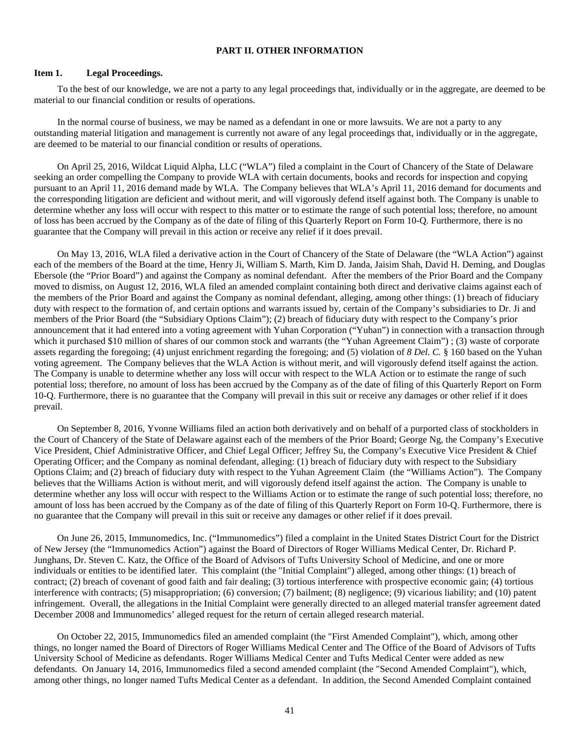#### <span id="page-42-0"></span>**PART II. OTHER INFORMATION**

#### <span id="page-42-1"></span>**Item 1. Legal Proceedings.**

To the best of our knowledge, we are not a party to any legal proceedings that, individually or in the aggregate, are deemed to be material to our financial condition or results of operations.

In the normal course of business, we may be named as a defendant in one or more lawsuits. We are not a party to any outstanding material litigation and management is currently not aware of any legal proceedings that, individually or in the aggregate, are deemed to be material to our financial condition or results of operations.

On April 25, 2016, Wildcat Liquid Alpha, LLC ("WLA") filed a complaint in the Court of Chancery of the State of Delaware seeking an order compelling the Company to provide WLA with certain documents, books and records for inspection and copying pursuant to an April 11, 2016 demand made by WLA. The Company believes that WLA's April 11, 2016 demand for documents and the corresponding litigation are deficient and without merit, and will vigorously defend itself against both. The Company is unable to determine whether any loss will occur with respect to this matter or to estimate the range of such potential loss; therefore, no amount of loss has been accrued by the Company as of the date of filing of this Quarterly Report on Form 10-Q. Furthermore, there is no guarantee that the Company will prevail in this action or receive any relief if it does prevail.

On May 13, 2016, WLA filed a derivative action in the Court of Chancery of the State of Delaware (the "WLA Action") against each of the members of the Board at the time, Henry Ji, William S. Marth, Kim D. Janda, Jaisim Shah, David H. Deming, and Douglas Ebersole (the "Prior Board") and against the Company as nominal defendant. After the members of the Prior Board and the Company moved to dismiss, on August 12, 2016, WLA filed an amended complaint containing both direct and derivative claims against each of the members of the Prior Board and against the Company as nominal defendant, alleging, among other things: (1) breach of fiduciary duty with respect to the formation of, and certain options and warrants issued by, certain of the Company's subsidiaries to Dr. Ji and members of the Prior Board (the "Subsidiary Options Claim"); (2) breach of fiduciary duty with respect to the Company's prior announcement that it had entered into a voting agreement with Yuhan Corporation ("Yuhan") in connection with a transaction through which it purchased \$10 million of shares of our common stock and warrants (the "Yuhan Agreement Claim"); (3) waste of corporate assets regarding the foregoing; (4) unjust enrichment regarding the foregoing; and (5) violation of *8 Del. C.* § 160 based on the Yuhan voting agreement. The Company believes that the WLA Action is without merit, and will vigorously defend itself against the action. The Company is unable to determine whether any loss will occur with respect to the WLA Action or to estimate the range of such potential loss; therefore, no amount of loss has been accrued by the Company as of the date of filing of this Quarterly Report on Form 10-Q. Furthermore, there is no guarantee that the Company will prevail in this suit or receive any damages or other relief if it does prevail.

On September 8, 2016, Yvonne Williams filed an action both derivatively and on behalf of a purported class of stockholders in the Court of Chancery of the State of Delaware against each of the members of the Prior Board; George Ng, the Company's Executive Vice President, Chief Administrative Officer, and Chief Legal Officer; Jeffrey Su, the Company's Executive Vice President & Chief Operating Officer; and the Company as nominal defendant, alleging: (1) breach of fiduciary duty with respect to the Subsidiary Options Claim; and (2) breach of fiduciary duty with respect to the Yuhan Agreement Claim (the "Williams Action"). The Company believes that the Williams Action is without merit, and will vigorously defend itself against the action. The Company is unable to determine whether any loss will occur with respect to the Williams Action or to estimate the range of such potential loss; therefore, no amount of loss has been accrued by the Company as of the date of filing of this Quarterly Report on Form 10-Q. Furthermore, there is no guarantee that the Company will prevail in this suit or receive any damages or other relief if it does prevail.

On June 26, 2015, Immunomedics, Inc. ("Immunomedics") filed a complaint in the United States District Court for the District of New Jersey (the "Immunomedics Action") against the Board of Directors of Roger Williams Medical Center, Dr. Richard P. Junghans, Dr. Steven C. Katz, the Office of the Board of Advisors of Tufts University School of Medicine, and one or more individuals or entities to be identified later. This complaint (the "Initial Complaint") alleged, among other things: (1) breach of contract; (2) breach of covenant of good faith and fair dealing; (3) tortious interference with prospective economic gain; (4) tortious interference with contracts; (5) misappropriation; (6) conversion; (7) bailment; (8) negligence; (9) vicarious liability; and (10) patent infringement. Overall, the allegations in the Initial Complaint were generally directed to an alleged material transfer agreement dated December 2008 and Immunomedics' alleged request for the return of certain alleged research material.

On October 22, 2015, Immunomedics filed an amended complaint (the "First Amended Complaint"), which, among other things, no longer named the Board of Directors of Roger Williams Medical Center and The Office of the Board of Advisors of Tufts University School of Medicine as defendants. Roger Williams Medical Center and Tufts Medical Center were added as new defendants. On January 14, 2016, Immunomedics filed a second amended complaint (the "Second Amended Complaint"), which, among other things, no longer named Tufts Medical Center as a defendant. In addition, the Second Amended Complaint contained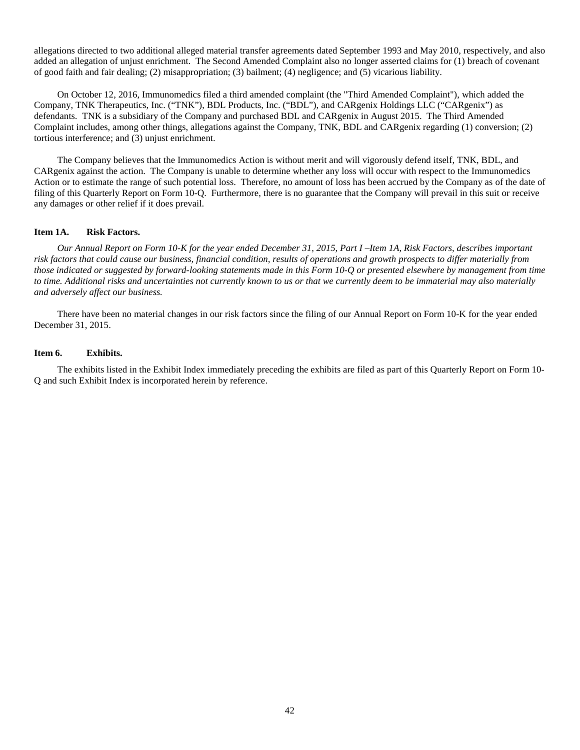allegations directed to two additional alleged material transfer agreements dated September 1993 and May 2010, respectively, and also added an allegation of unjust enrichment. The Second Amended Complaint also no longer asserted claims for (1) breach of covenant of good faith and fair dealing; (2) misappropriation; (3) bailment; (4) negligence; and (5) vicarious liability.

On October 12, 2016, Immunomedics filed a third amended complaint (the "Third Amended Complaint"), which added the Company, TNK Therapeutics, Inc. ("TNK"), BDL Products, Inc. ("BDL"), and CARgenix Holdings LLC ("CARgenix") as defendants. TNK is a subsidiary of the Company and purchased BDL and CARgenix in August 2015. The Third Amended Complaint includes, among other things, allegations against the Company, TNK, BDL and CARgenix regarding (1) conversion; (2) tortious interference; and (3) unjust enrichment.

The Company believes that the Immunomedics Action is without merit and will vigorously defend itself, TNK, BDL, and CARgenix against the action. The Company is unable to determine whether any loss will occur with respect to the Immunomedics Action or to estimate the range of such potential loss. Therefore, no amount of loss has been accrued by the Company as of the date of filing of this Quarterly Report on Form 10-Q. Furthermore, there is no guarantee that the Company will prevail in this suit or receive any damages or other relief if it does prevail.

#### <span id="page-43-0"></span>**Item 1A. Risk Factors.**

*Our Annual Report on Form 10-K for the year ended December 31, 2015, Part I –Item 1A, Risk Factors, describes important risk factors that could cause our business, financial condition, results of operations and growth prospects to differ materially from those indicated or suggested by forward-looking statements made in this Form 10-Q or presented elsewhere by management from time to time. Additional risks and uncertainties not currently known to us or that we currently deem to be immaterial may also materially and adversely affect our business.* 

There have been no material changes in our risk factors since the filing of our Annual Report on Form 10-K for the year ended December 31, 2015.

#### <span id="page-43-1"></span>**Item 6. Exhibits.**

The exhibits listed in the Exhibit Index immediately preceding the exhibits are filed as part of this Quarterly Report on Form 10- Q and such Exhibit Index is incorporated herein by reference.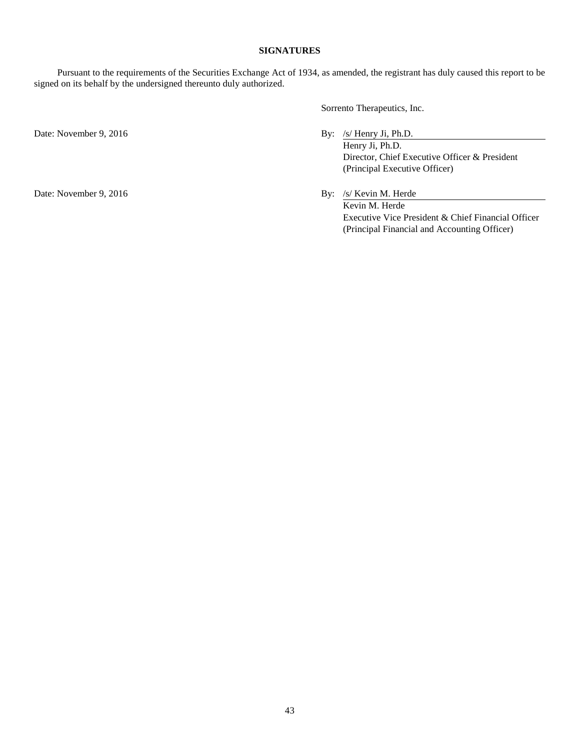#### <span id="page-44-0"></span>**SIGNATURES**

Pursuant to the requirements of the Securities Exchange Act of 1934, as amended, the registrant has duly caused this report to be signed on its behalf by the undersigned thereunto duly authorized.

Sorrento Therapeutics, Inc.

Date: November 9, 2016 By: /s/ Henry Ji, Ph.D.

Henry Ji, Ph.D. Director, Chief Executive Officer & President (Principal Executive Officer)

Date: November 9, 2016 By: /s/ Kevin M. Herde Kevin M. Herde Executive Vice President & Chief Financial Officer (Principal Financial and Accounting Officer)

43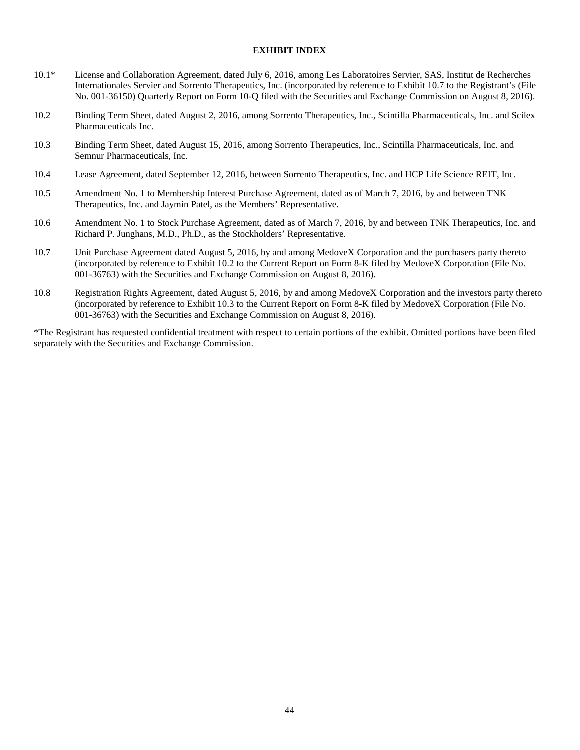#### **EXHIBIT INDEX**

- 10.1\* License and Collaboration Agreement, dated July 6, 2016, among Les Laboratoires Servier, SAS, Institut de Recherches Internationales Servier and Sorrento Therapeutics, Inc. (incorporated by reference to Exhibit 10.7 to the Registrant's (File No. 001-36150) Quarterly Report on Form 10-Q filed with the Securities and Exchange Commission on August 8, 2016).
- 10.2 Binding Term Sheet, dated August 2, 2016, among Sorrento Therapeutics, Inc., Scintilla Pharmaceuticals, Inc. and Scilex Pharmaceuticals Inc.
- 10.3 Binding Term Sheet, dated August 15, 2016, among Sorrento Therapeutics, Inc., Scintilla Pharmaceuticals, Inc. and Semnur Pharmaceuticals, Inc.
- 10.4 Lease Agreement, dated September 12, 2016, between Sorrento Therapeutics, Inc. and HCP Life Science REIT, Inc.
- 10.5 Amendment No. 1 to Membership Interest Purchase Agreement, dated as of March 7, 2016, by and between TNK Therapeutics, Inc. and Jaymin Patel, as the Members' Representative.
- 10.6 Amendment No. 1 to Stock Purchase Agreement, dated as of March 7, 2016, by and between TNK Therapeutics, Inc. and Richard P. Junghans, M.D., Ph.D., as the Stockholders' Representative.
- 10.7 Unit Purchase Agreement dated August 5, 2016, by and among MedoveX Corporation and the purchasers party thereto (incorporated by reference to Exhibit 10.2 to the Current Report on Form 8-K filed by MedoveX Corporation (File No. 001-36763) with the Securities and Exchange Commission on August 8, 2016).
- 10.8 Registration Rights Agreement, dated August 5, 2016, by and among MedoveX Corporation and the investors party thereto (incorporated by reference to Exhibit 10.3 to the Current Report on Form 8-K filed by MedoveX Corporation (File No. 001-36763) with the Securities and Exchange Commission on August 8, 2016).

\*The Registrant has requested confidential treatment with respect to certain portions of the exhibit. Omitted portions have been filed separately with the Securities and Exchange Commission.